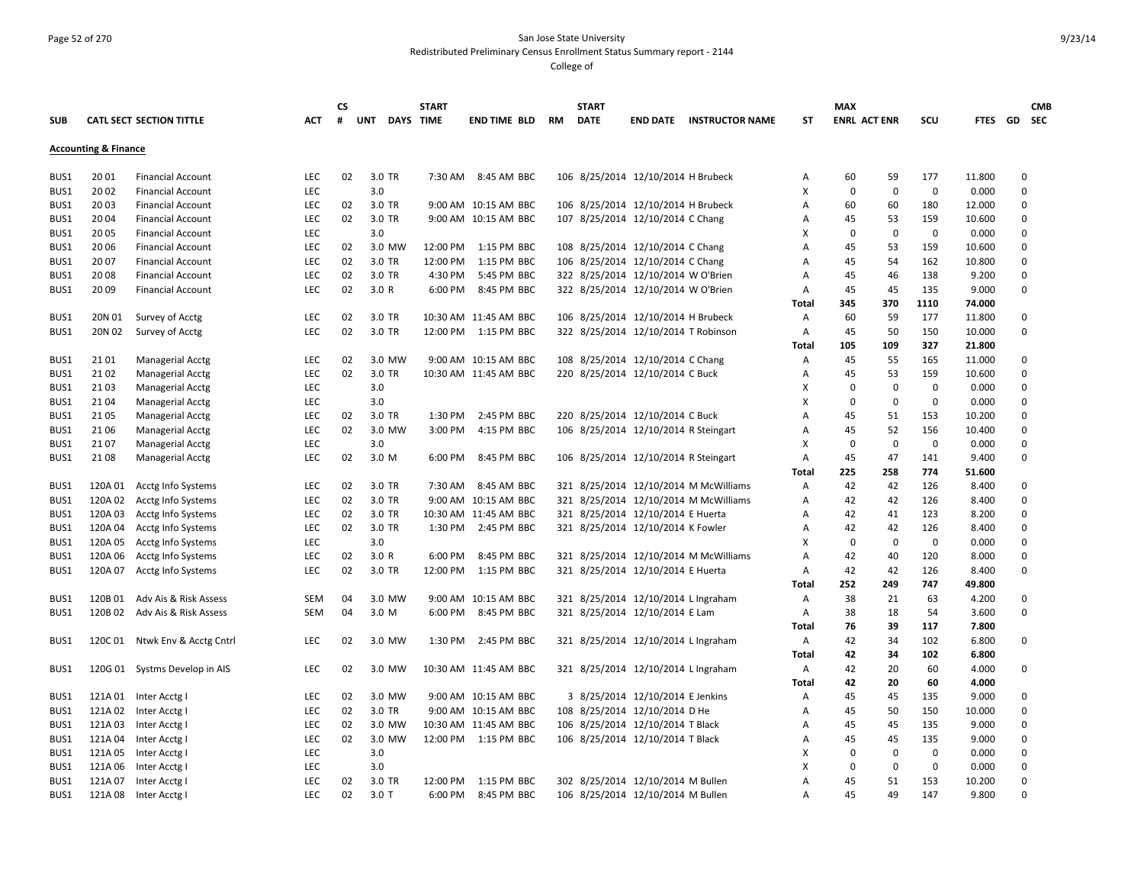### Page 52 of 270 San Jose State University Redistributed Preliminary Census Enrollment Status Summary report - 2144

|      |                                 |                               |            | CS |                  | <b>START</b> |                       |    | <b>START</b> |                                      |                                       |              | <b>MAX</b>          |             |             |             |             | <b>CMB</b> |
|------|---------------------------------|-------------------------------|------------|----|------------------|--------------|-----------------------|----|--------------|--------------------------------------|---------------------------------------|--------------|---------------------|-------------|-------------|-------------|-------------|------------|
| SUB  |                                 | CATL SECT SECTION TITTLE      | АСТ        | #  | UNT<br>DAYS TIME |              | <b>END TIME BLD</b>   | RM | <b>DATE</b>  | <b>END DATE</b>                      | <b>INSTRUCTOR NAME</b>                | SΤ           | <b>ENRL ACT ENR</b> |             | scu         | FTES GD SEC |             |            |
|      | <b>Accounting &amp; Finance</b> |                               |            |    |                  |              |                       |    |              |                                      |                                       |              |                     |             |             |             |             |            |
|      |                                 |                               |            |    |                  |              |                       |    |              |                                      |                                       |              |                     |             |             |             |             |            |
| BUS1 | 20 01                           | <b>Financial Account</b>      | LEC        | 02 | 3.0 TR           |              | 7:30 AM 8:45 AM BBC   |    |              | 106 8/25/2014 12/10/2014 H Brubeck   |                                       | Α            | 60                  | 59          | 177         | 11.800      | 0           |            |
| BUS1 | 20 02                           | <b>Financial Account</b>      | <b>LEC</b> |    | 3.0              |              |                       |    |              |                                      |                                       | x            | $\mathbf 0$         | $\mathbf 0$ | $\mathbf 0$ | 0.000       | $\mathbf 0$ |            |
| BUS1 | 2003                            | <b>Financial Account</b>      | <b>LEC</b> | 02 | 3.0 TR           |              | 9:00 AM 10:15 AM BBC  |    |              | 106 8/25/2014 12/10/2014 H Brubeck   |                                       | A            | 60                  | 60          | 180         | 12.000      | $\mathbf 0$ |            |
| BUS1 | 2004                            | <b>Financial Account</b>      | <b>LEC</b> | 02 | 3.0 TR           |              | 9:00 AM 10:15 AM BBC  |    |              | 107 8/25/2014 12/10/2014 C Chang     |                                       | Α            | 45                  | 53          | 159         | 10.600      | $\mathbf 0$ |            |
| BUS1 | 20 05                           | <b>Financial Account</b>      | <b>LEC</b> |    | 3.0              |              |                       |    |              |                                      |                                       | X            | $\mathbf 0$         | $\mathbf 0$ | $\mathbf 0$ | 0.000       | $\mathbf 0$ |            |
| BUS1 | 20 06                           | <b>Financial Account</b>      | <b>LEC</b> | 02 | 3.0 MW           | 12:00 PM     | 1:15 PM BBC           |    |              | 108 8/25/2014 12/10/2014 C Chang     |                                       | A            | 45                  | 53          | 159         | 10.600      | $\mathbf 0$ |            |
| BUS1 | 20 07                           | <b>Financial Account</b>      | <b>LEC</b> | 02 | 3.0 TR           | 12:00 PM     | 1:15 PM BBC           |    |              | 106 8/25/2014 12/10/2014 C Chang     |                                       | Α            | 45                  | 54          | 162         | 10.800      | $\mathbf 0$ |            |
| BUS1 | 2008                            | <b>Financial Account</b>      | LEC        | 02 | 3.0 TR           | 4:30 PM      | 5:45 PM BBC           |    |              | 322 8/25/2014 12/10/2014 W O'Brien   |                                       | Α            | 45                  | 46          | 138         | 9.200       | $\mathbf 0$ |            |
| BUS1 | 20 09                           | <b>Financial Account</b>      | <b>LEC</b> | 02 | 3.0 R            |              | 6:00 PM 8:45 PM BBC   |    |              | 322 8/25/2014 12/10/2014 W O'Brien   |                                       | Α            | 45                  | 45          | 135         | 9.000       | $\mathbf 0$ |            |
|      |                                 |                               |            |    |                  |              |                       |    |              |                                      |                                       | <b>Total</b> | 345                 | 370         | 1110        | 74.000      |             |            |
| BUS1 | 20N 01                          | Survey of Acctg               | LEC        | 02 | 3.0 TR           |              | 10:30 AM 11:45 AM BBC |    |              | 106 8/25/2014 12/10/2014 H Brubeck   |                                       | Α            | 60                  | 59          | 177         | 11.800      | $\mathbf 0$ |            |
| BUS1 | 20N 02                          | Survey of Acctg               | LEC        | 02 | 3.0 TR           |              | 12:00 PM 1:15 PM BBC  |    |              | 322 8/25/2014 12/10/2014 T Robinson  |                                       | Α            | 45                  | 50          | 150         | 10.000      | $\mathbf 0$ |            |
|      |                                 |                               |            |    |                  |              |                       |    |              |                                      |                                       | Total        | 105                 | 109         | 327         | 21.800      |             |            |
| BUS1 | 21 01                           | <b>Managerial Acctg</b>       | LEC        | 02 | 3.0 MW           |              | 9:00 AM 10:15 AM BBC  |    |              | 108 8/25/2014 12/10/2014 C Chang     |                                       | A            | 45                  | 55          | 165         | 11.000      | $\mathbf 0$ |            |
| BUS1 | 2102                            | Managerial Acctg              | LEC        | 02 | 3.0 TR           |              | 10:30 AM 11:45 AM BBC |    |              | 220 8/25/2014 12/10/2014 C Buck      |                                       | A            | 45                  | 53          | 159         | 10.600      | $\mathbf 0$ |            |
| BUS1 | 2103                            | <b>Managerial Acctg</b>       | <b>LEC</b> |    | 3.0              |              |                       |    |              |                                      |                                       | x            | $\mathbf 0$         | $\mathbf 0$ | $\mathbf 0$ | 0.000       | $\mathbf 0$ |            |
| BUS1 | 2104                            | <b>Managerial Acctg</b>       | <b>LEC</b> |    | 3.0              |              |                       |    |              |                                      |                                       | X            | $\mathbf 0$         | $\pmb{0}$   | $\mathbf 0$ | 0.000       | $\mathbf 0$ |            |
| BUS1 | 2105                            | <b>Managerial Acctg</b>       | <b>LEC</b> | 02 | 3.0 TR           | 1:30 PM      | 2:45 PM BBC           |    |              | 220 8/25/2014 12/10/2014 C Buck      |                                       | A            | 45                  | 51          | 153         | 10.200      | $\mathbf 0$ |            |
| BUS1 | 21 06                           | <b>Managerial Acctg</b>       | LEC        | 02 | 3.0 MW           | 3:00 PM      | 4:15 PM BBC           |    |              | 106 8/25/2014 12/10/2014 R Steingart |                                       | Α            | 45                  | 52          | 156         | 10.400      | $\mathbf 0$ |            |
| BUS1 | 2107                            | <b>Managerial Acctg</b>       | <b>LEC</b> |    | 3.0              |              |                       |    |              |                                      |                                       | x            | 0                   | 0           | $\mathbf 0$ | 0.000       | $\mathbf 0$ |            |
| BUS1 | 2108                            | <b>Managerial Acctg</b>       | <b>LEC</b> | 02 | 3.0 M            | 6:00 PM      | 8:45 PM BBC           |    |              | 106 8/25/2014 12/10/2014 R Steingart |                                       | A            | 45                  | 47          | 141         | 9.400       | $\mathbf 0$ |            |
|      |                                 |                               |            |    |                  |              |                       |    |              |                                      |                                       | Total        | 225                 | 258         | 774         | 51.600      |             |            |
| BUS1 | 120A 01                         | Acctg Info Systems            | LEC        | 02 | 3.0 TR           |              | 7:30 AM 8:45 AM BBC   |    |              |                                      | 321 8/25/2014 12/10/2014 M McWilliams | A            | 42                  | 42          | 126         | 8.400       | $\mathbf 0$ |            |
| BUS1 | 120A 02                         | Acctg Info Systems            | LEC        | 02 | 3.0 TR           |              | 9:00 AM 10:15 AM BBC  |    |              |                                      | 321 8/25/2014 12/10/2014 M McWilliams | A            | 42                  | 42          | 126         | 8.400       | $\mathbf 0$ |            |
| BUS1 | 120A 03                         | Acctg Info Systems            | <b>LEC</b> | 02 | 3.0 TR           |              | 10:30 AM 11:45 AM BBC |    |              | 321 8/25/2014 12/10/2014 E Huerta    |                                       | Α            | 42                  | 41          | 123         | 8.200       | $\mathbf 0$ |            |
| BUS1 | 120A 04                         | Acctg Info Systems            | <b>LEC</b> | 02 | 3.0 TR           |              | 1:30 PM 2:45 PM BBC   |    |              | 321 8/25/2014 12/10/2014 K Fowler    |                                       | Α            | 42                  | 42          | 126         | 8.400       | $\mathbf 0$ |            |
| BUS1 | 120A 05                         | Acctg Info Systems            | <b>LEC</b> |    | 3.0              |              |                       |    |              |                                      |                                       | x            | $\mathbf 0$         | 0           | $\mathbf 0$ | 0.000       | $\mathbf 0$ |            |
| BUS1 | 120A 06                         | Acctg Info Systems            | LEC        | 02 | 3.0 R            | 6:00 PM      | 8:45 PM BBC           |    |              |                                      | 321 8/25/2014 12/10/2014 M McWilliams | A            | 42                  | 40          | 120         | 8.000       | $\mathbf 0$ |            |
| BUS1 | 120A 07                         | Acctg Info Systems            | <b>LEC</b> | 02 | 3.0 TR           |              | 12:00 PM 1:15 PM BBC  |    |              | 321 8/25/2014 12/10/2014 E Huerta    |                                       | Α            | 42                  | 42          | 126         | 8.400       | $\mathbf 0$ |            |
|      |                                 |                               |            |    |                  |              |                       |    |              |                                      |                                       | Total        | 252                 | 249         | 747         | 49.800      |             |            |
| BUS1 | 120B 01                         | Adv Ais & Risk Assess         | SEM        | 04 | 3.0 MW           |              | 9:00 AM 10:15 AM BBC  |    |              | 321 8/25/2014 12/10/2014 L Ingraham  |                                       | Α            | 38                  | 21          | 63          | 4.200       | 0           |            |
| BUS1 | 120B 02                         | Adv Ais & Risk Assess         | SEM        | 04 | 3.0 M            |              | 6:00 PM 8:45 PM BBC   |    |              | 321 8/25/2014 12/10/2014 E Lam       |                                       | Α            | 38                  | 18          | 54          | 3.600       | $\mathbf 0$ |            |
|      |                                 |                               |            |    |                  |              |                       |    |              |                                      |                                       | Total        | 76                  | 39          | 117         | 7.800       |             |            |
| BUS1 | 120C 01                         | Ntwk Env & Acctg Cntrl        | <b>LEC</b> | 02 | 3.0 MW           | 1:30 PM      | 2:45 PM BBC           |    |              | 321 8/25/2014 12/10/2014 L Ingraham  |                                       | Α            | 42                  | 34          | 102         | 6.800       | $\mathbf 0$ |            |
|      |                                 |                               |            |    |                  |              |                       |    |              |                                      |                                       | Total        | 42                  | 34          | 102         | 6.800       |             |            |
| BUS1 |                                 | 120G 01 Systms Develop in AIS | LEC        | 02 | 3.0 MW           |              | 10:30 AM 11:45 AM BBC |    |              | 321 8/25/2014 12/10/2014 L Ingraham  |                                       | Α            | 42                  | 20          | 60          | 4.000       | $\mathbf 0$ |            |
|      |                                 |                               |            |    |                  |              |                       |    |              |                                      |                                       | Total        | 42                  | 20          | 60          | 4.000       |             |            |
| BUS1 | 121A 01                         | Inter Acctg I                 | LEC        | 02 | 3.0 MW           |              | 9:00 AM 10:15 AM BBC  |    |              | 3 8/25/2014 12/10/2014 E Jenkins     |                                       | Α            | 45                  | 45          | 135         | 9.000       | $\mathbf 0$ |            |
| BUS1 | 121A 02                         | Inter Acctg                   | <b>LEC</b> | 02 | 3.0 TR           |              | 9:00 AM 10:15 AM BBC  |    |              | 108 8/25/2014 12/10/2014 D He        |                                       | Α            | 45                  | 50          | 150         | 10.000      | $\mathbf 0$ |            |
| BUS1 | 121A 03                         | Inter Acctg                   | <b>LEC</b> | 02 | 3.0 MW           |              | 10:30 AM 11:45 AM BBC |    |              | 106 8/25/2014 12/10/2014 T Black     |                                       | A            | 45                  | 45          | 135         | 9.000       | $\mathbf 0$ |            |
| BUS1 | 121A 04                         | Inter Acctg                   | LEC        | 02 | 3.0 MW           |              | 12:00 PM 1:15 PM BBC  |    |              | 106 8/25/2014 12/10/2014 T Black     |                                       | A            | 45                  | 45          | 135         | 9.000       | $\pmb{0}$   |            |
| BUS1 | 121A 05                         | Inter Acctg I                 | LEC        |    | 3.0              |              |                       |    |              |                                      |                                       | x            | 0                   | $\mathbf 0$ | $\mathbf 0$ | 0.000       | $\pmb{0}$   |            |
| BUS1 | 121A 06                         | Inter Acctg I                 | LEC        |    | 3.0              |              |                       |    |              |                                      |                                       | х            | 0                   | $\mathbf 0$ | 0           | 0.000       | $\mathbf 0$ |            |
| BUS1 | 121A 07                         | Inter Acctg                   | LEC        | 02 | 3.0 TR           | 12:00 PM     | 1:15 PM BBC           |    |              | 302 8/25/2014 12/10/2014 M Bullen    |                                       | Α            | 45                  | 51          | 153         | 10.200      | $\mathbf 0$ |            |
| BUS1 | 121A 08                         | Inter Acctg                   | <b>LEC</b> | 02 | $3.0$ T          | 6:00 PM      | 8:45 PM BBC           |    |              | 106 8/25/2014 12/10/2014 M Bullen    |                                       | A            | 45                  | 49          | 147         | 9.800       | $\mathbf 0$ |            |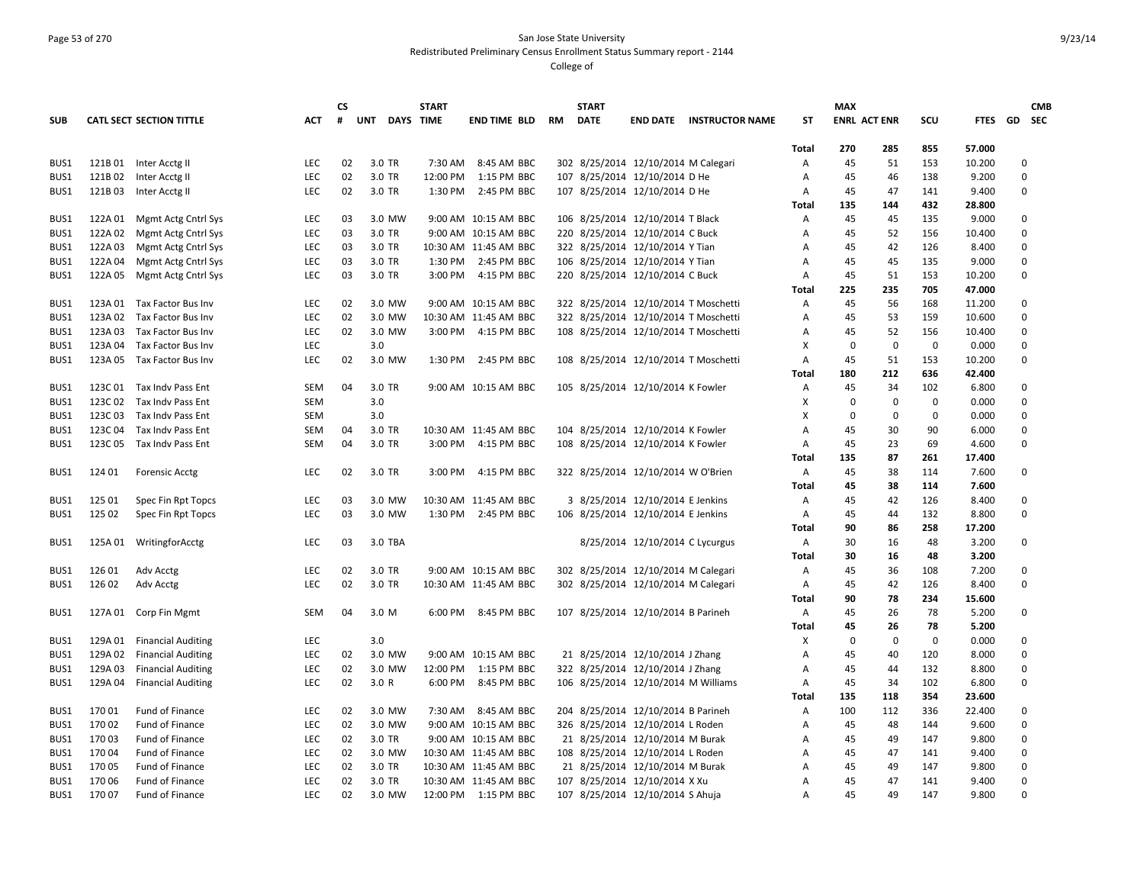## Page 53 of 270 San Jose State University Redistributed Preliminary Census Enrollment Status Summary report - 2144

|            |         |                                 |            | <b>CS</b> |            | <b>START</b>     |                       |           | <b>START</b> |                                     |                                      |                | <b>MAX</b>          |             |             |             |             | <b>CMB</b>    |
|------------|---------|---------------------------------|------------|-----------|------------|------------------|-----------------------|-----------|--------------|-------------------------------------|--------------------------------------|----------------|---------------------|-------------|-------------|-------------|-------------|---------------|
| <b>SUB</b> |         | <b>CATL SECT SECTION TITTLE</b> | <b>ACT</b> | #         | <b>UNT</b> | <b>DAYS TIME</b> | <b>END TIME BLD</b>   | <b>RM</b> | <b>DATE</b>  |                                     | <b>END DATE INSTRUCTOR NAME</b>      | <b>ST</b>      | <b>ENRL ACT ENR</b> |             | scu         | <b>FTES</b> |             | <b>GD</b> SEC |
|            |         |                                 |            |           |            |                  |                       |           |              |                                     |                                      |                |                     |             |             |             |             |               |
|            |         |                                 |            |           |            |                  |                       |           |              |                                     |                                      | Total          | 270                 | 285         | 855         | 57.000      |             |               |
| BUS1       | 121B01  | Inter Acctg II                  | LEC        | 02        | 3.0 TR     | 7:30 AM          | 8:45 AM BBC           |           |              | 302 8/25/2014 12/10/2014 M Calegari |                                      | Α              | 45                  | 51          | 153         | 10.200      |             | 0             |
| BUS1       | 121B02  | Inter Acctg II                  | LEC        | 02        | 3.0 TR     |                  | 12:00 PM 1:15 PM BBC  |           |              | 107 8/25/2014 12/10/2014 D He       |                                      | Α              | 45                  | 46          | 138         | 9.200       | $\Omega$    |               |
| BUS1       | 121B03  | Inter Acctg II                  | LEC        | 02        | 3.0 TR     |                  | 1:30 PM 2:45 PM BBC   |           |              | 107 8/25/2014 12/10/2014 D He       |                                      | Α              | 45                  | 47          | 141         | 9.400       |             | 0             |
|            |         |                                 |            |           |            |                  |                       |           |              |                                     |                                      | Total          | 135                 | 144         | 432         | 28.800      |             |               |
| BUS1       | 122A 01 | Mgmt Actg Cntrl Sys             | LEC        | 03        | 3.0 MW     |                  | 9:00 AM 10:15 AM BBC  |           |              | 106 8/25/2014 12/10/2014 T Black    |                                      | Α              | 45                  | 45          | 135         | 9.000       | $\mathbf 0$ |               |
| BUS1       | 122A 02 | Mgmt Actg Cntrl Sys             | LEC        | 03        | 3.0 TR     |                  | 9:00 AM 10:15 AM BBC  |           |              | 220 8/25/2014 12/10/2014 C Buck     |                                      | Α              | 45                  | 52          | 156         | 10.400      | $\mathbf 0$ |               |
| BUS1       | 122A 03 | Mgmt Actg Cntrl Sys             | LEC        | 03        | 3.0 TR     |                  | 10:30 AM 11:45 AM BBC |           |              | 322 8/25/2014 12/10/2014 Y Tian     |                                      | Α              | 45                  | 42          | 126         | 8.400       |             | 0             |
| BUS1       | 122A 04 | Mgmt Actg Cntrl Sys             | LEC        | 03        | 3.0 TR     |                  | 1:30 PM 2:45 PM BBC   |           |              | 106 8/25/2014 12/10/2014 Y Tian     |                                      | A              | 45                  | 45          | 135         | 9.000       | $\mathbf 0$ |               |
| BUS1       | 122A 05 | Mgmt Actg Cntrl Sys             | LEC        | 03        | 3.0 TR     | 3:00 PM          | 4:15 PM BBC           |           |              | 220 8/25/2014 12/10/2014 C Buck     |                                      | Α              | 45                  | 51          | 153         | 10.200      | $\mathbf 0$ |               |
|            |         |                                 |            |           |            |                  |                       |           |              |                                     |                                      | <b>Total</b>   | 225                 | 235         | 705         | 47.000      |             |               |
| BUS1       |         | 123A 01 Tax Factor Bus Inv      | LEC        | 02        | 3.0 MW     |                  | 9:00 AM 10:15 AM BBC  |           |              |                                     | 322 8/25/2014 12/10/2014 T Moschetti | Α              | 45                  | 56          | 168         | 11.200      |             | 0             |
| BUS1       |         | 123A 02 Tax Factor Bus Inv      | LEC        | 02        | 3.0 MW     |                  | 10:30 AM 11:45 AM BBC |           |              |                                     | 322 8/25/2014 12/10/2014 T Moschetti | A              | 45                  | 53          | 159         | 10.600      |             | $\pmb{0}$     |
| BUS1       | 123A 03 | Tax Factor Bus Inv              | LEC        | 02        | 3.0 MW     |                  | 3:00 PM 4:15 PM BBC   |           |              |                                     | 108 8/25/2014 12/10/2014 T Moschetti | A              | 45                  | 52          | 156         | 10.400      |             | $\mathbf 0$   |
| BUS1       | 123A 04 | Tax Factor Bus Inv              | LEC        |           | 3.0        |                  |                       |           |              |                                     |                                      | х              | $\mathbf 0$         | $\pmb{0}$   | $\mathbf 0$ | 0.000       |             | $\mathbf 0$   |
| BUS1       | 123A 05 | Tax Factor Bus Inv              | <b>LEC</b> | 02        | 3.0 MW     |                  | 1:30 PM 2:45 PM BBC   |           |              |                                     | 108 8/25/2014 12/10/2014 T Moschetti | Α              | 45                  | 51          | 153         | 10.200      |             | $\mathbf 0$   |
|            |         |                                 |            |           |            |                  |                       |           |              |                                     |                                      | Total          | 180                 | 212         | 636         | 42.400      |             |               |
| BUS1       |         | 123C 01 Tax Indv Pass Ent       | SEM        | 04        | 3.0 TR     |                  | 9:00 AM 10:15 AM BBC  |           |              | 105 8/25/2014 12/10/2014 K Fowler   |                                      | Α              | 45                  | 34          | 102         | 6.800       |             | 0             |
| BUS1       |         | 123C 02 Tax Indv Pass Ent       | <b>SEM</b> |           | 3.0        |                  |                       |           |              |                                     |                                      | X              | $\Omega$            | $\Omega$    | $\mathbf 0$ | 0.000       |             | $\mathbf 0$   |
| BUS1       | 123C 03 | Tax Indy Pass Ent               | <b>SEM</b> |           | 3.0        |                  |                       |           |              |                                     |                                      | X              | $\mathbf 0$         | $\Omega$    | $\mathbf 0$ | 0.000       |             | 0             |
| BUS1       | 123C 04 | Tax Indv Pass Ent               | <b>SEM</b> | 04        | 3.0 TR     |                  | 10:30 AM 11:45 AM BBC |           |              | 104 8/25/2014 12/10/2014 K Fowler   |                                      | A              | 45                  | 30          | 90          | 6.000       | $\mathbf 0$ |               |
| BUS1       | 123C 05 | Tax Indy Pass Ent               | <b>SEM</b> | 04        | 3.0 TR     |                  | 3:00 PM 4:15 PM BBC   |           |              | 108 8/25/2014 12/10/2014 K Fowler   |                                      | Α              | 45                  | 23          | 69          | 4.600       |             | $\mathbf 0$   |
|            |         |                                 |            |           |            |                  |                       |           |              |                                     |                                      | Total          | 135                 | 87          | 261         | 17.400      |             |               |
| BUS1       | 124 01  | <b>Forensic Acctg</b>           | LEC        | 02        | 3.0 TR     |                  | 3:00 PM 4:15 PM BBC   |           |              | 322 8/25/2014 12/10/2014 W O'Brien  |                                      | A              | 45                  | 38          | 114         | 7.600       | $\mathbf 0$ |               |
|            |         |                                 |            |           |            |                  |                       |           |              |                                     |                                      | <b>Total</b>   | 45                  | 38          | 114         | 7.600       |             |               |
| BUS1       | 125 01  | Spec Fin Rpt Topcs              | LEC        | 03        | 3.0 MW     |                  | 10:30 AM 11:45 AM BBC |           |              | 3 8/25/2014 12/10/2014 E Jenkins    |                                      | Α              | 45                  | 42          | 126         | 8.400       |             | 0             |
| BUS1       | 125 02  | Spec Fin Rpt Topcs              | LEC        | 03        | 3.0 MW     |                  | 1:30 PM 2:45 PM BBC   |           |              | 106 8/25/2014 12/10/2014 E Jenkins  |                                      | Α              | 45                  | 44          | 132         | 8.800       | $\Omega$    |               |
|            |         |                                 |            |           |            |                  |                       |           |              |                                     |                                      | <b>Total</b>   | 90                  | 86          | 258         | 17.200      |             |               |
| BUS1       |         | 125A 01 WritingforAcctg         | LEC        | 03        | 3.0 TBA    |                  |                       |           |              | 8/25/2014 12/10/2014 C Lycurgus     |                                      | Α              | 30                  | 16          | 48          | 3.200       | $\Omega$    |               |
|            |         |                                 |            |           |            |                  |                       |           |              |                                     |                                      | Total          | 30                  | 16          | 48          | 3.200       |             |               |
| BUS1       |         |                                 | LEC        |           | 3.0 TR     |                  | 9:00 AM 10:15 AM BBC  |           |              | 302 8/25/2014 12/10/2014 M Calegari |                                      |                | 45                  |             | 108         | 7.200       | $\mathbf 0$ |               |
|            | 126 01  | Adv Acctg                       | LEC        | 02<br>02  | 3.0 TR     |                  |                       |           |              |                                     |                                      | Α              |                     | 36          | 126         |             |             | 0             |
| BUS1       | 126 02  | Adv Acctg                       |            |           |            |                  | 10:30 AM 11:45 AM BBC |           |              | 302 8/25/2014 12/10/2014 M Calegari |                                      | Α              | 45                  | 42          |             | 8.400       |             |               |
|            |         |                                 |            |           |            |                  |                       |           |              |                                     |                                      | Total          | 90                  | 78          | 234         | 15.600      |             |               |
| BUS1       |         | 127A 01 Corp Fin Mgmt           | SEM        | 04        | 3.0 M      |                  | 6:00 PM 8:45 PM BBC   |           |              | 107 8/25/2014 12/10/2014 B Parineh  |                                      | Α              | 45                  | 26          | 78          | 5.200       | $\mathbf 0$ |               |
|            |         |                                 |            |           |            |                  |                       |           |              |                                     |                                      | Total          | 45                  | 26          | 78          | 5.200       |             |               |
| BUS1       | 129A 01 | <b>Financial Auditing</b>       | <b>LEC</b> |           | 3.0        |                  |                       |           |              |                                     |                                      | х              | 0                   | $\mathbf 0$ | $\mathsf 0$ | 0.000       |             | 0             |
| BUS1       | 129A 02 | <b>Financial Auditing</b>       | LEC        | 02        | 3.0 MW     |                  | 9:00 AM 10:15 AM BBC  |           |              | 21 8/25/2014 12/10/2014 J Zhang     |                                      | Α              | 45                  | 40          | 120         | 8.000       |             | $\pmb{0}$     |
| BUS1       | 129A 03 | <b>Financial Auditing</b>       | LEC        | 02        | 3.0 MW     |                  | 12:00 PM 1:15 PM BBC  |           |              | 322 8/25/2014 12/10/2014 J Zhang    |                                      | A              | 45                  | 44          | 132         | 8.800       |             | $\pmb{0}$     |
| BUS1       | 129A 04 | <b>Financial Auditing</b>       | <b>LEC</b> | 02        | 3.0 R      |                  | 6:00 PM 8:45 PM BBC   |           |              | 106 8/25/2014 12/10/2014 M Williams |                                      | Α              | 45                  | 34          | 102         | 6.800       | $\Omega$    |               |
|            |         |                                 |            |           |            |                  |                       |           |              |                                     |                                      | <b>Total</b>   | 135                 | 118         | 354         | 23.600      |             |               |
| BUS1       | 170 01  | Fund of Finance                 | <b>LEC</b> | 02        | 3.0 MW     |                  | 7:30 AM 8:45 AM BBC   |           |              | 204 8/25/2014 12/10/2014 B Parineh  |                                      | Α              | 100                 | 112         | 336         | 22.400      | $\mathbf 0$ |               |
| BUS1       | 170 02  | Fund of Finance                 | <b>LEC</b> | 02        | 3.0 MW     |                  | 9:00 AM 10:15 AM BBC  |           |              | 326 8/25/2014 12/10/2014 L Roden    |                                      | Α              | 45                  | 48          | 144         | 9.600       |             | $\pmb{0}$     |
| BUS1       | 170 03  | Fund of Finance                 | <b>LEC</b> | 02        | 3.0 TR     |                  | 9:00 AM 10:15 AM BBC  |           |              | 21 8/25/2014 12/10/2014 M Burak     |                                      | Α              | 45                  | 49          | 147         | 9.800       |             | 0             |
| BUS1       | 170 04  | Fund of Finance                 | <b>LEC</b> | 02        | 3.0 MW     |                  | 10:30 AM 11:45 AM BBC |           |              | 108 8/25/2014 12/10/2014 L Roden    |                                      | A              | 45                  | 47          | 141         | 9.400       |             | 0             |
| BUS1       | 170 05  | Fund of Finance                 | <b>LEC</b> | 02        | 3.0 TR     |                  | 10:30 AM 11:45 AM BBC |           |              | 21 8/25/2014 12/10/2014 M Burak     |                                      | Α              | 45                  | 49          | 147         | 9.800       | $\mathbf 0$ |               |
| BUS1       | 170 06  | Fund of Finance                 | LEC        | 02        | 3.0 TR     |                  | 10:30 AM 11:45 AM BBC |           |              | 107 8/25/2014 12/10/2014 X Xu       |                                      | A              | 45                  | 47          | 141         | 9.400       |             | $\pmb{0}$     |
| BUS1       | 170 07  | Fund of Finance                 | <b>LEC</b> | 02        | 3.0 MW     |                  | 12:00 PM 1:15 PM BBC  |           |              | 107 8/25/2014 12/10/2014 S Ahuja    |                                      | $\overline{A}$ | 45                  | 49          | 147         | 9.800       | $\Omega$    |               |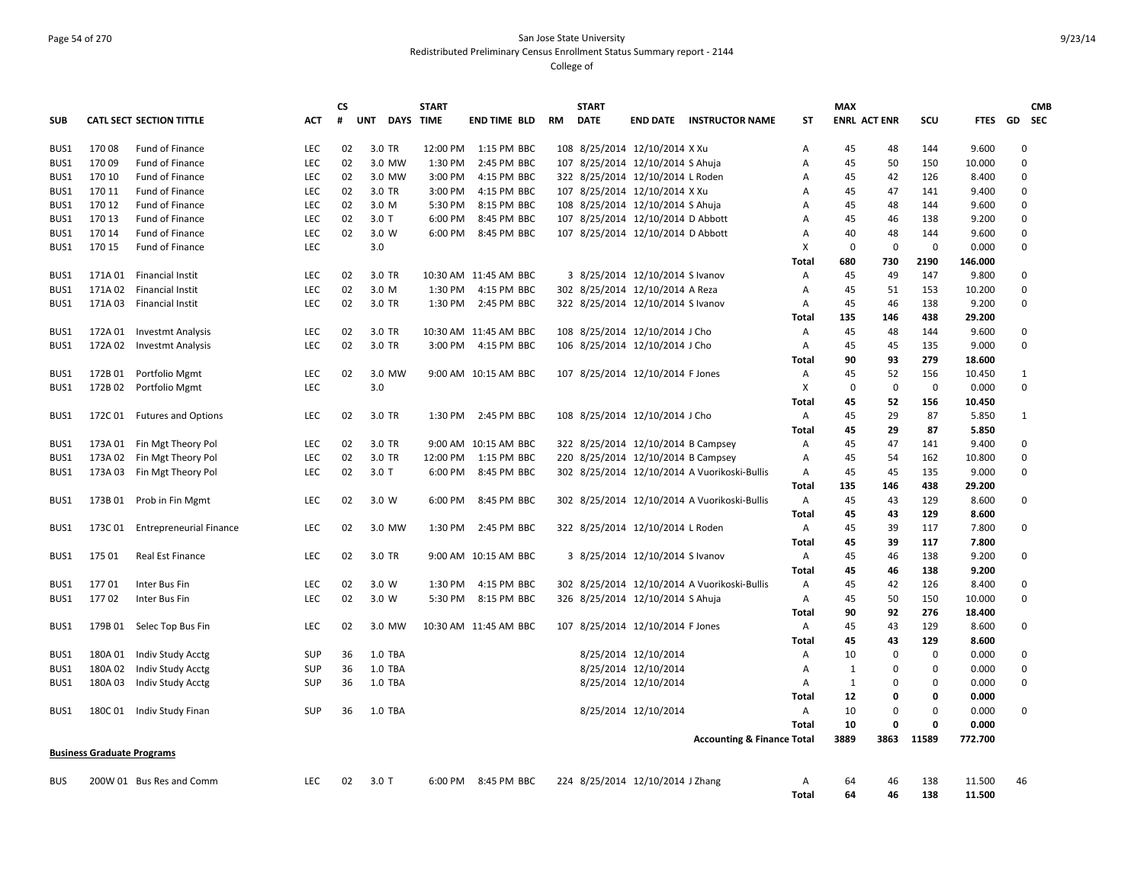# Page 54 of 270 San Jose State University Redistributed Preliminary Census Enrollment Status Summary report - 2144

|            |                                   |                                 |            | <b>CS</b> |                         | <b>START</b> |                       |    | <b>START</b> |                                    |                                              |              | <b>MAX</b>          |              |             |             | <b>CMB</b>    |
|------------|-----------------------------------|---------------------------------|------------|-----------|-------------------------|--------------|-----------------------|----|--------------|------------------------------------|----------------------------------------------|--------------|---------------------|--------------|-------------|-------------|---------------|
| <b>SUB</b> |                                   | <b>CATL SECT SECTION TITTLE</b> | ACT        | #         | <b>UNT</b><br>DAYS TIME |              | <b>END TIME BLD</b>   | RM | <b>DATE</b>  | <b>END DATE</b>                    | <b>INSTRUCTOR NAME</b>                       | ST           | <b>ENRL ACT ENR</b> |              | SCU         | <b>FTES</b> | <b>GD</b> SEC |
| BUS1       | 17008                             | Fund of Finance                 | <b>LEC</b> | 02        | 3.0 TR                  | 12:00 PM     | 1:15 PM BBC           |    |              | 108 8/25/2014 12/10/2014 X Xu      |                                              | Α            | 45                  | 48           | 144         | 9.600       | $\mathbf 0$   |
| BUS1       | 17009                             | Fund of Finance                 | <b>LEC</b> | 02        | 3.0 MW                  | 1:30 PM      | 2:45 PM BBC           |    |              | 107 8/25/2014 12/10/2014 S Ahuja   |                                              | Α            | 45                  | 50           | 150         | 10.000      | $\mathbf 0$   |
| BUS1       | 170 10                            | Fund of Finance                 | <b>LEC</b> | 02        | 3.0 MW                  | 3:00 PM      | 4:15 PM BBC           |    |              | 322 8/25/2014 12/10/2014 L Roden   |                                              | Α            | 45                  | 42           | 126         | 8.400       | $\mathbf 0$   |
| BUS1       | 170 11                            | Fund of Finance                 | <b>LEC</b> | 02        | 3.0 TR                  | 3:00 PM      | 4:15 PM BBC           |    |              | 107 8/25/2014 12/10/2014 X Xu      |                                              | Α            | 45                  | 47           | 141         | 9.400       | $\mathbf 0$   |
| BUS1       | 170 12                            | Fund of Finance                 | <b>LEC</b> | 02        | 3.0 M                   | 5:30 PM      | 8:15 PM BBC           |    |              | 108 8/25/2014 12/10/2014 S Ahuja   |                                              | Α            | 45                  | 48           | 144         | 9.600       | $\mathbf 0$   |
| BUS1       | 170 13                            | Fund of Finance                 | <b>LEC</b> | 02        | $3.0$ T                 | 6:00 PM      | 8:45 PM BBC           |    |              | 107 8/25/2014 12/10/2014 D Abbott  |                                              | A            | 45                  | 46           | 138         | 9.200       | $\mathbf 0$   |
| BUS1       | 170 14                            | Fund of Finance                 | LEC        | 02        | 3.0 W                   | 6:00 PM      | 8:45 PM BBC           |    |              | 107 8/25/2014 12/10/2014 D Abbott  |                                              | Α            | 40                  | 48           | 144         | 9.600       | $\mathbf 0$   |
| BUS1       | 170 15                            | Fund of Finance                 | LEC        |           | 3.0                     |              |                       |    |              |                                    |                                              | Χ            | 0                   | $\mathbf 0$  | $\mathbf 0$ | 0.000       | $\mathbf 0$   |
|            |                                   |                                 |            |           |                         |              |                       |    |              |                                    |                                              | Total        | 680                 | 730          | 2190        | 146.000     |               |
| BUS1       | 171A 01                           | Financial Instit                | <b>LEC</b> | 02        | 3.0 TR                  |              | 10:30 AM 11:45 AM BBC |    |              | 3 8/25/2014 12/10/2014 S Ivanov    |                                              | Α            | 45                  | 49           | 147         | 9.800       | $\mathbf 0$   |
| BUS1       | 171A 02                           | Financial Instit                | <b>LEC</b> | 02        | 3.0 M                   | 1:30 PM      | 4:15 PM BBC           |    |              | 302 8/25/2014 12/10/2014 A Reza    |                                              | Α            | 45                  | 51           | 153         | 10.200      | $\mathbf 0$   |
| BUS1       | 171A03                            | Financial Instit                | <b>LEC</b> | 02        | 3.0 TR                  | 1:30 PM      | 2:45 PM BBC           |    |              | 322 8/25/2014 12/10/2014 S Ivanov  |                                              | Α            | 45                  | 46           | 138         | 9.200       | $\mathbf 0$   |
|            |                                   |                                 |            |           |                         |              |                       |    |              |                                    |                                              | Total        | 135                 | 146          | 438         | 29.200      |               |
| BUS1       | 172A 01                           | <b>Investmt Analysis</b>        | <b>LEC</b> | 02        | 3.0 TR                  |              | 10:30 AM 11:45 AM BBC |    |              | 108 8/25/2014 12/10/2014 J Cho     |                                              | Α            | 45                  | 48           | 144         | 9.600       | $\mathbf 0$   |
| BUS1       | 172A 02                           | <b>Investmt Analysis</b>        | <b>LEC</b> | 02        | 3.0 TR                  | 3:00 PM      | 4:15 PM BBC           |    |              | 106 8/25/2014 12/10/2014 J Cho     |                                              | Α            | 45                  | 45           | 135         | 9.000       | $\mathbf 0$   |
|            |                                   |                                 |            |           |                         |              |                       |    |              |                                    |                                              | Total        | 90                  | 93           | 279         | 18.600      |               |
| BUS1       |                                   | 172B 01 Portfolio Mgmt          | <b>LEC</b> | 02        | 3.0 MW                  |              | 9:00 AM 10:15 AM BBC  |    |              | 107 8/25/2014 12/10/2014 F Jones   |                                              | Α            | 45                  | 52           | 156         | 10.450      | $\mathbf{1}$  |
| BUS1       | 172B02                            | Portfolio Mgmt                  | <b>LEC</b> |           | 3.0                     |              |                       |    |              |                                    |                                              | Х            | 0                   | $\mathbf 0$  | $\mathbf 0$ | 0.000       | $\mathbf 0$   |
|            |                                   |                                 |            |           |                         |              |                       |    |              |                                    |                                              | Total        | 45                  | 52           | 156         | 10.450      |               |
| BUS1       | 172C 01                           | <b>Futures and Options</b>      | <b>LEC</b> | 02        | 3.0 TR                  | 1:30 PM      | 2:45 PM BBC           |    |              | 108 8/25/2014 12/10/2014 J Cho     |                                              | Α            | 45                  | 29           | 87          | 5.850       | $\mathbf{1}$  |
|            |                                   |                                 |            |           |                         |              |                       |    |              |                                    |                                              | Total        | 45                  | 29           | 87          | 5.850       |               |
| BUS1       | 173A 01                           | Fin Mgt Theory Pol              | LEC        | 02        | 3.0 TR                  | 9:00 AM      | 10:15 AM BBC          |    |              | 322 8/25/2014 12/10/2014 B Campsey |                                              | Α            | 45                  | 47           | 141         | 9.400       | $\mathbf 0$   |
| BUS1       | 173A02                            | Fin Mgt Theory Pol              | <b>LEC</b> | 02        | 3.0 TR                  | 12:00 PM     | 1:15 PM BBC           |    |              | 220 8/25/2014 12/10/2014 B Campsey |                                              | Α            | 45                  | 54           | 162         | 10.800      | $\mathbf 0$   |
| BUS1       | 173A03                            | Fin Mgt Theory Pol              | LEC        | 02        | $3.0$ T                 | 6:00 PM      | 8:45 PM BBC           |    |              |                                    | 302 8/25/2014 12/10/2014 A Vuorikoski-Bullis | Α            | 45                  | 45           | 135         | 9.000       | $\mathbf 0$   |
|            |                                   |                                 |            |           |                         |              |                       |    |              |                                    |                                              | Total        | 135                 | 146          | 438         | 29.200      |               |
| BUS1       | 173B01                            | Prob in Fin Mgmt                | LEC        | 02        | 3.0 W                   | 6:00 PM      | 8:45 PM BBC           |    |              |                                    | 302 8/25/2014 12/10/2014 A Vuorikoski-Bullis | Α            | 45                  | 43           | 129         | 8.600       | $\pmb{0}$     |
|            |                                   |                                 |            |           |                         |              |                       |    |              |                                    |                                              | <b>Total</b> | 45                  | 43           | 129         | 8.600       |               |
| BUS1       | 173C01                            | <b>Entrepreneurial Finance</b>  | <b>LEC</b> | 02        | 3.0 MW                  | 1:30 PM      | 2:45 PM BBC           |    |              | 322 8/25/2014 12/10/2014 L Roden   |                                              | Α            | 45                  | 39           | 117         | 7.800       | $\mathbf 0$   |
|            |                                   |                                 |            |           |                         |              |                       |    |              |                                    |                                              | Total        | 45                  | 39           | 117         | 7.800       |               |
| BUS1       | 175 01                            | Real Est Finance                | <b>LEC</b> | 02        | 3.0 TR                  |              | 9:00 AM 10:15 AM BBC  |    |              | 3 8/25/2014 12/10/2014 S Ivanov    |                                              | Α            | 45                  | 46           | 138         | 9.200       | $\mathbf 0$   |
|            |                                   |                                 |            |           |                         |              |                       |    |              |                                    |                                              | Total        | 45                  | 46           | 138         | 9.200       |               |
| BUS1       | 17701                             | Inter Bus Fin                   | <b>LEC</b> | 02        | 3.0 W                   | 1:30 PM      | 4:15 PM BBC           |    |              |                                    | 302 8/25/2014 12/10/2014 A Vuorikoski-Bullis | Α            | 45                  | 42           | 126         | 8.400       | $\mathbf 0$   |
| BUS1       | 17702                             | Inter Bus Fin                   | <b>LEC</b> | 02        | 3.0 W                   | 5:30 PM      | 8:15 PM BBC           |    |              | 326 8/25/2014 12/10/2014 S Ahuja   |                                              | Α            | 45                  | 50           | 150         | 10.000      | $\mathbf 0$   |
|            |                                   |                                 |            |           |                         |              |                       |    |              |                                    |                                              | Total        | 90                  | 92           | 276         | 18.400      |               |
| BUS1       | 179B 01                           | Selec Top Bus Fin               | LEC        | 02        | 3.0 MW                  |              | 10:30 AM 11:45 AM BBC |    |              | 107 8/25/2014 12/10/2014 F Jones   |                                              | Α            | 45                  | 43           | 129         | 8.600       | $\mathbf 0$   |
|            |                                   |                                 |            |           |                         |              |                       |    |              |                                    |                                              | Total        | 45                  | 43           | 129         | 8.600       |               |
| BUS1       | 180A 01                           | Indiv Study Acctg               | SUP        | 36        | 1.0 TBA                 |              |                       |    |              | 8/25/2014 12/10/2014               |                                              | Α            | 10                  | 0            | $\mathbf 0$ | 0.000       | $\mathbf 0$   |
| BUS1       | 180A02                            | Indiv Study Acctg               | SUP        | 36        | 1.0 TBA                 |              |                       |    |              | 8/25/2014 12/10/2014               |                                              | Α            | 1                   | 0            | $\mathbf 0$ | 0.000       | $\mathbf 0$   |
| BUS1       | 180A 03                           | Indiv Study Acctg               | <b>SUP</b> | 36        | 1.0 TBA                 |              |                       |    |              | 8/25/2014 12/10/2014               |                                              | Α            | 1                   | 0            | $\mathbf 0$ | 0.000       | $\mathbf 0$   |
|            |                                   |                                 |            |           |                         |              |                       |    |              |                                    |                                              | Total        | 12                  | 0            | $\Omega$    | 0.000       |               |
| BUS1       |                                   | 180C 01 Indiv Study Finan       | <b>SUP</b> | 36        | 1.0 TBA                 |              |                       |    |              | 8/25/2014 12/10/2014               |                                              | Α            | 10                  | $\mathbf 0$  | $\Omega$    | 0.000       | $\mathbf 0$   |
|            |                                   |                                 |            |           |                         |              |                       |    |              |                                    |                                              | <b>Total</b> | 10                  | $\mathbf{0}$ | $\Omega$    | 0.000       |               |
|            |                                   |                                 |            |           |                         |              |                       |    |              |                                    | <b>Accounting &amp; Finance Total</b>        |              | 3889                | 3863         | 11589       | 772.700     |               |
|            | <b>Business Graduate Programs</b> |                                 |            |           |                         |              |                       |    |              |                                    |                                              |              |                     |              |             |             |               |
| <b>BUS</b> |                                   | 200W 01 Bus Res and Comm        | <b>LEC</b> | 02        | $3.0$ T                 |              | 6:00 PM 8:45 PM BBC   |    |              | 224 8/25/2014 12/10/2014 J Zhang   |                                              | Α            | 64                  | 46           | 138         | 11.500      | 46            |
|            |                                   |                                 |            |           |                         |              |                       |    |              |                                    |                                              | <b>Total</b> | 64                  | 46           | 138         | 11.500      |               |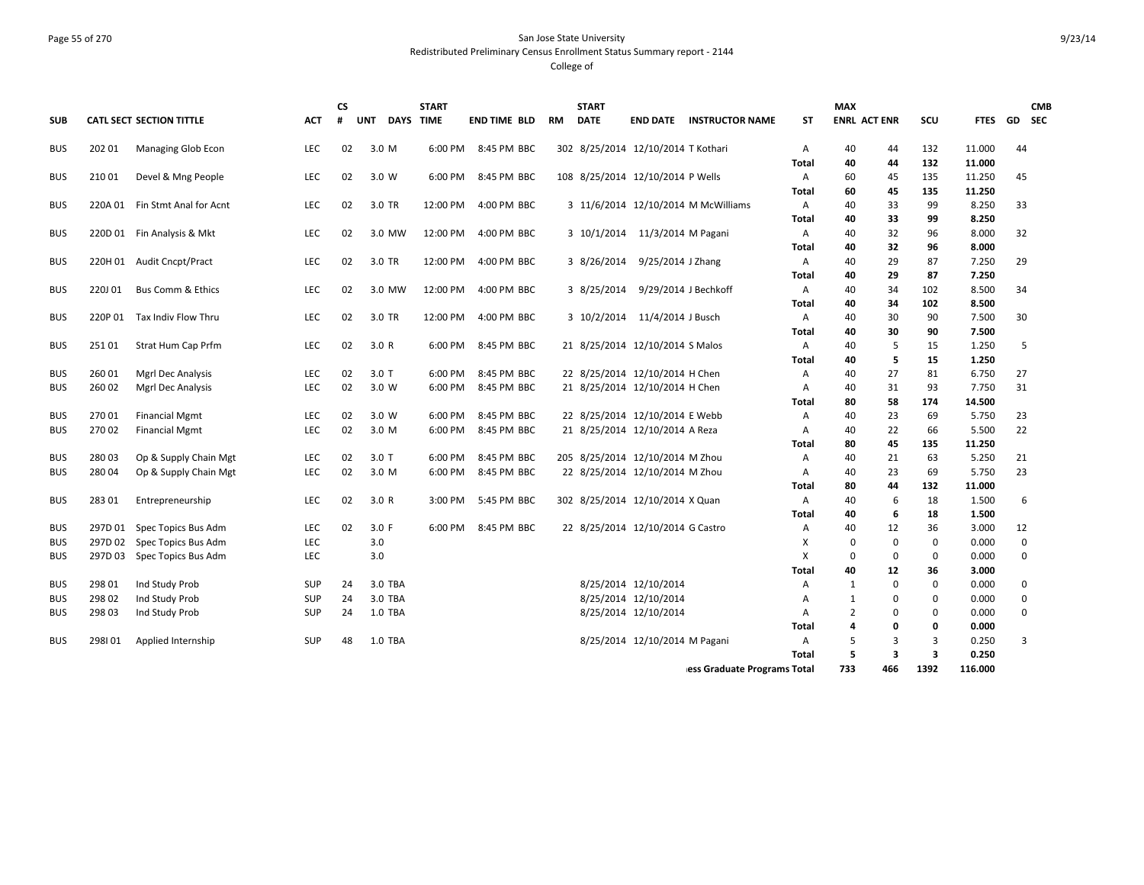# Page 55 of 270 San Jose State University Redistributed Preliminary Census Enrollment Status Summary report - 2144

|            |         |                                 |            | СS |                         | <b>START</b> |                     |    | <b>START</b> |                                    |                                     |                   | <b>MAX</b>          |          |             |                |             | <b>CMB</b> |
|------------|---------|---------------------------------|------------|----|-------------------------|--------------|---------------------|----|--------------|------------------------------------|-------------------------------------|-------------------|---------------------|----------|-------------|----------------|-------------|------------|
| <b>SUB</b> |         | <b>CATL SECT SECTION TITTLE</b> | АСТ        | #  | <b>UNT</b><br>DAYS TIME |              | <b>END TIME BLD</b> | RM | <b>DATE</b>  | <b>END DATE</b>                    | <b>INSTRUCTOR NAME</b>              | <b>ST</b>         | <b>ENRL ACT ENR</b> |          | SCU         | <b>FTES</b>    | GD          | <b>SEC</b> |
|            |         |                                 |            |    |                         |              |                     |    |              |                                    |                                     |                   |                     |          |             |                |             |            |
| <b>BUS</b> | 202 01  | <b>Managing Glob Econ</b>       | <b>LEC</b> | 02 | 3.0 M                   | 6:00 PM      | 8:45 PM BBC         |    |              | 302 8/25/2014 12/10/2014 T Kothari |                                     | $\mathsf{A}$      | 40                  | 44       | 132         | 11.000         | 44          |            |
|            |         |                                 |            |    |                         |              |                     |    |              |                                    |                                     | <b>Total</b>      | 40                  | 44       | 132         | 11.000         |             |            |
| <b>BUS</b> | 210 01  | Devel & Mng People              | LEC        | 02 | 3.0 W                   | 6:00 PM      | 8:45 PM BBC         |    |              | 108 8/25/2014 12/10/2014 P Wells   |                                     | $\mathsf{A}$      | 60                  | 45       | 135         | 11.250         | 45          |            |
|            |         |                                 |            |    |                         |              |                     |    |              |                                    |                                     | Total             | 60                  | 45       | 135         | 11.250         |             |            |
| <b>BUS</b> |         | 220A 01 Fin Stmt Anal for Acnt  | LEC        | 02 | 3.0 TR                  | 12:00 PM     | 4:00 PM BBC         |    |              |                                    | 3 11/6/2014 12/10/2014 M McWilliams | Α<br><b>Total</b> | 40<br>40            | 33<br>33 | 99<br>99    | 8.250<br>8.250 | 33          |            |
| <b>BUS</b> |         | 220D 01 Fin Analysis & Mkt      | LEC        | 02 | 3.0 MW                  | 12:00 PM     | 4:00 PM BBC         |    |              | 3 10/1/2014 11/3/2014 M Pagani     |                                     | $\mathsf{A}$      | 40                  | 32       | 96          | 8.000          | 32          |            |
|            |         |                                 |            |    |                         |              |                     |    |              |                                    |                                     | Total             | 40                  | 32       | 96          | 8.000          |             |            |
| <b>BUS</b> |         | 220H 01 Audit Cncpt/Pract       | <b>LEC</b> | 02 | 3.0 TR                  | 12:00 PM     | 4:00 PM BBC         |    | 3 8/26/2014  | 9/25/2014 J Zhang                  |                                     | $\mathsf{A}$      | 40                  | 29       | 87          | 7.250          | 29          |            |
|            |         |                                 |            |    |                         |              |                     |    |              |                                    |                                     | Total             | 40                  | 29       | 87          | 7.250          |             |            |
| <b>BUS</b> | 220J01  | <b>Bus Comm &amp; Ethics</b>    | <b>LEC</b> | 02 | 3.0 MW                  | 12:00 PM     | 4:00 PM BBC         |    | 3 8/25/2014  |                                    | 9/29/2014 J Bechkoff                | $\overline{A}$    | 40                  | 34       | 102         | 8.500          | 34          |            |
|            |         |                                 |            |    |                         |              |                     |    |              |                                    |                                     | <b>Total</b>      | 40                  | 34       | 102         | 8.500          |             |            |
| <b>BUS</b> | 220P 01 | Tax Indiv Flow Thru             | <b>LEC</b> | 02 | 3.0 TR                  | 12:00 PM     | 4:00 PM BBC         |    | 3 10/2/2014  | 11/4/2014 J Busch                  |                                     | $\mathsf{A}$      | 40                  | 30       | 90          | 7.500          | 30          |            |
|            |         |                                 |            |    |                         |              |                     |    |              |                                    |                                     | <b>Total</b>      | 40                  | 30       | 90          | 7.500          |             |            |
| <b>BUS</b> | 251 01  | Strat Hum Cap Prfm              | LEC        | 02 | 3.0 R                   | 6:00 PM      | 8:45 PM BBC         |    |              | 21 8/25/2014 12/10/2014 S Malos    |                                     | A                 | 40                  | 5        | 15          | 1.250          | 5           |            |
|            |         |                                 |            |    |                         |              |                     |    |              |                                    |                                     | <b>Total</b>      | 40                  | 5        | 15          | 1.250          |             |            |
| <b>BUS</b> | 260 01  | Mgrl Dec Analysis               | <b>LEC</b> | 02 | $3.0$ T                 | 6:00 PM      | 8:45 PM BBC         |    |              | 22 8/25/2014 12/10/2014 H Chen     |                                     | $\overline{A}$    | 40                  | 27       | 81          | 6.750          | 27          |            |
| <b>BUS</b> | 260 02  | <b>Mgrl Dec Analysis</b>        | <b>LEC</b> | 02 | 3.0 W                   | 6:00 PM      | 8:45 PM BBC         |    |              | 21 8/25/2014 12/10/2014 H Chen     |                                     | A                 | 40                  | 31       | 93          | 7.750          | 31          |            |
|            |         |                                 |            |    |                         |              |                     |    |              |                                    |                                     | Total             | 80                  | 58       | 174         | 14.500         |             |            |
| <b>BUS</b> | 270 01  | <b>Financial Mgmt</b>           | <b>LEC</b> | 02 | 3.0 W                   | 6:00 PM      | 8:45 PM BBC         |    |              | 22 8/25/2014 12/10/2014 E Webb     |                                     | Α                 | 40                  | 23       | 69          | 5.750          | 23          |            |
| <b>BUS</b> | 270 02  | <b>Financial Mgmt</b>           | <b>LEC</b> | 02 | 3.0 M                   | 6:00 PM      | 8:45 PM BBC         |    |              | 21 8/25/2014 12/10/2014 A Reza     |                                     | $\overline{A}$    | 40                  | 22       | 66          | 5.500          | 22          |            |
|            |         |                                 |            |    |                         |              |                     |    |              |                                    |                                     | <b>Total</b>      | 80                  | 45       | 135         | 11.250         |             |            |
| <b>BUS</b> | 28003   | Op & Supply Chain Mgt           | <b>LEC</b> | 02 | $3.0$ T                 | 6:00 PM      | 8:45 PM BBC         |    |              | 205 8/25/2014 12/10/2014 M Zhou    |                                     | $\mathsf{A}$      | 40                  | 21       | 63          | 5.250          | 21          |            |
| <b>BUS</b> | 280 04  | Op & Supply Chain Mgt           | <b>LEC</b> | 02 | 3.0 M                   | 6:00 PM      | 8:45 PM BBC         |    |              | 22 8/25/2014 12/10/2014 M Zhou     |                                     | $\mathsf{A}$      | 40                  | 23       | 69          | 5.750          | 23          |            |
|            |         |                                 |            |    |                         |              |                     |    |              |                                    |                                     | <b>Total</b>      | 80                  | 44       | 132         | 11.000         |             |            |
| <b>BUS</b> | 283 01  | Entrepreneurship                | <b>LEC</b> | 02 | 3.0 R                   | 3:00 PM      | 5:45 PM BBC         |    |              | 302 8/25/2014 12/10/2014 X Quan    |                                     | A                 | 40                  | 6        | 18          | 1.500          | 6           |            |
|            |         |                                 |            |    |                         |              |                     |    |              |                                    |                                     | <b>Total</b>      | 40                  | 6        | 18          | 1.500          |             |            |
| <b>BUS</b> | 297D 01 | Spec Topics Bus Adm             | <b>LEC</b> | 02 | 3.0 F                   | 6:00 PM      | 8:45 PM BBC         |    |              | 22 8/25/2014 12/10/2014 G Castro   |                                     | A                 | 40                  | 12       | 36          | 3.000          | 12          |            |
| <b>BUS</b> | 297D 02 | Spec Topics Bus Adm             | <b>LEC</b> |    | 3.0                     |              |                     |    |              |                                    |                                     | Х                 | $\mathbf 0$         | $\Omega$ | 0           | 0.000          | $\mathbf 0$ |            |
| <b>BUS</b> | 297D03  | Spec Topics Bus Adm             | <b>LEC</b> |    | 3.0                     |              |                     |    |              |                                    |                                     | X                 | $\mathbf 0$         | 0        | $\mathbf 0$ | 0.000          | $\mathbf 0$ |            |
|            |         |                                 |            |    |                         |              |                     |    |              |                                    |                                     | Total             | 40                  | 12       | 36          | 3.000          |             |            |
| <b>BUS</b> | 298 01  | Ind Study Prob                  | SUP        | 24 | 3.0 TBA                 |              |                     |    |              | 8/25/2014 12/10/2014               |                                     | A                 | -1                  | 0        | $\mathbf 0$ | 0.000          | $\mathbf 0$ |            |
| <b>BUS</b> | 298 02  | Ind Study Prob                  | SUP        | 24 | 3.0 TBA                 |              |                     |    |              | 8/25/2014 12/10/2014               |                                     | $\mathsf{A}$      | $\mathbf{1}$        | 0        | 0           | 0.000          | 0           |            |
| <b>BUS</b> | 298 03  | Ind Study Prob                  | <b>SUP</b> | 24 | 1.0 TBA                 |              |                     |    |              | 8/25/2014 12/10/2014               |                                     | A                 | $\overline{2}$      | $\Omega$ | 0           | 0.000          | $\mathbf 0$ |            |
|            |         |                                 |            |    |                         |              |                     |    |              |                                    |                                     | Total             | 4                   | 0        | 0           | 0.000          |             |            |
| <b>BUS</b> | 298101  | Applied Internship              | <b>SUP</b> | 48 | 1.0 TBA                 |              |                     |    |              | 8/25/2014 12/10/2014 M Pagani      |                                     | $\overline{A}$    | 5                   | 3        | 3           | 0.250          | 3           |            |
|            |         |                                 |            |    |                         |              |                     |    |              |                                    |                                     | <b>Total</b>      | 5                   | 3        | 3           | 0.250          |             |            |
|            |         |                                 |            |    |                         |              |                     |    |              |                                    | ess Graduate Programs Total         |                   | 733                 | 466      | 1392        | 116.000        |             |            |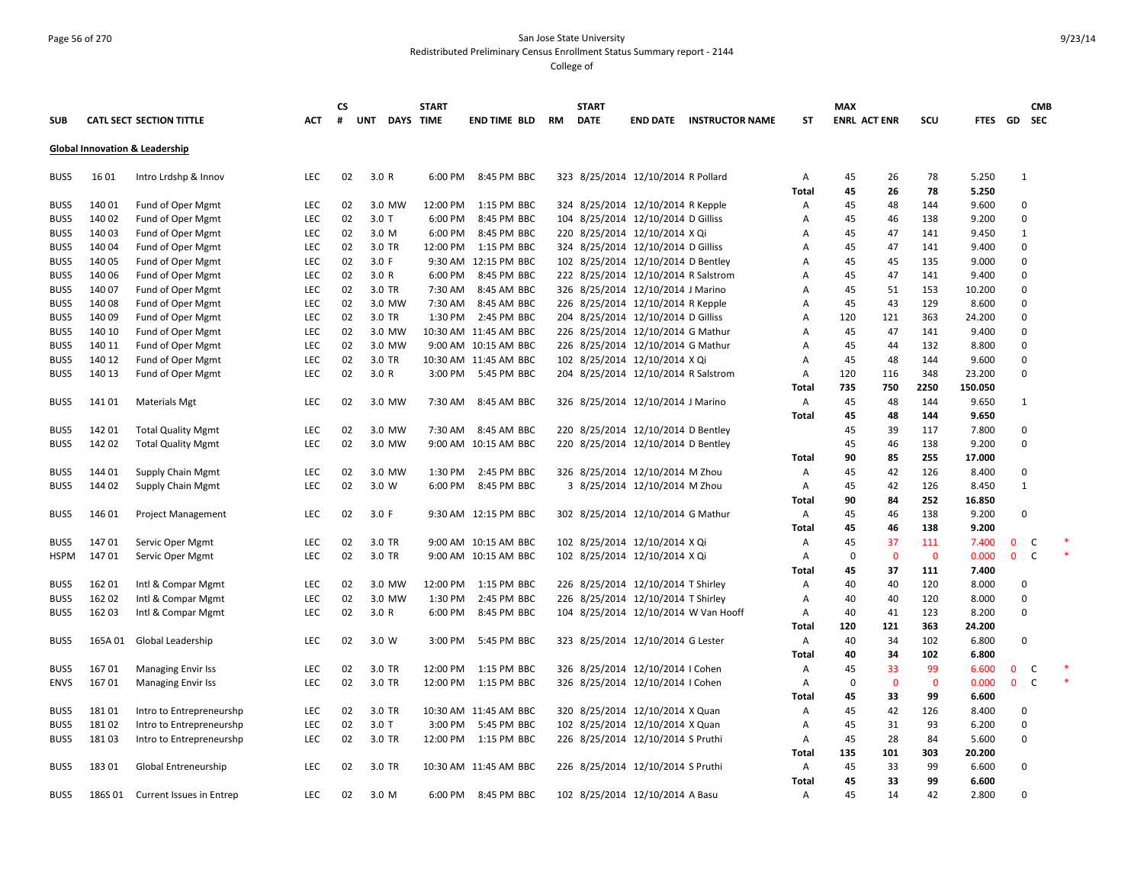### Page 56 of 270 San Jose State University Redistributed Preliminary Census Enrollment Status Summary report - 2144

|             |         |                                 |            | <b>CS</b> |               | <b>START</b> |                       |    | <b>START</b> |                                     |                                      |              | <b>MAX</b> |                     |              |         |              | <b>CMB</b>  |
|-------------|---------|---------------------------------|------------|-----------|---------------|--------------|-----------------------|----|--------------|-------------------------------------|--------------------------------------|--------------|------------|---------------------|--------------|---------|--------------|-------------|
| <b>SUB</b>  |         | <b>CATL SECT SECTION TITTLE</b> | <b>ACT</b> | #         | UNT DAYS TIME |              | <b>END TIME BLD</b>   | RM | <b>DATE</b>  |                                     | <b>END DATE INSTRUCTOR NAME</b>      | ST           |            | <b>ENRL ACT ENR</b> | scu          |         | FTES GD SEC  |             |
|             |         | Global Innovation & Leadership  |            |           |               |              |                       |    |              |                                     |                                      |              |            |                     |              |         |              |             |
| BUS5        | 1601    | Intro Lrdshp & Innov            | LEC        | 02        | 3.0 R         | 6:00 PM      | 8:45 PM BBC           |    |              | 323 8/25/2014 12/10/2014 R Pollard  |                                      | Α            | 45         | 26                  | 78           | 5.250   | $\mathbf{1}$ |             |
|             |         |                                 |            |           |               |              |                       |    |              |                                     |                                      | Total        | 45         | 26                  | 78           | 5.250   |              |             |
| BUS5        | 140 01  | Fund of Oper Mgmt               | <b>LEC</b> | 02        | 3.0 MW        | 12:00 PM     | 1:15 PM BBC           |    |              | 324 8/25/2014 12/10/2014 R Kepple   |                                      | А            | 45         | 48                  | 144          | 9.600   | $\Omega$     |             |
| BUS5        | 140 02  | Fund of Oper Mgmt               | <b>LEC</b> | 02        | $3.0$ T       | 6:00 PM      | 8:45 PM BBC           |    |              | 104 8/25/2014 12/10/2014 D Gilliss  |                                      | A            | 45         | 46                  | 138          | 9.200   | $\Omega$     |             |
| BUS5        | 140 03  | Fund of Oper Mgmt               | LEC        | 02        | 3.0 M         | 6:00 PM      | 8:45 PM BBC           |    |              | 220 8/25/2014 12/10/2014 X Qi       |                                      | А            | 45         | 47                  | 141          | 9.450   | 1            |             |
| BUS5        | 14004   | Fund of Oper Mgmt               | LEC        | 02        | 3.0 TR        | 12:00 PM     | 1:15 PM BBC           |    |              | 324 8/25/2014 12/10/2014 D Gilliss  |                                      | А            | 45         | 47                  | 141          | 9.400   | $\mathbf 0$  |             |
| BUS5        | 140 05  | Fund of Oper Mgmt               | LEC        | 02        | 3.0 F         |              | 9:30 AM 12:15 PM BBC  |    |              | 102 8/25/2014 12/10/2014 D Bentley  |                                      | А            | 45         | 45                  | 135          | 9.000   | 0            |             |
| BUS5        | 140 06  | Fund of Oper Mgmt               | LEC        | 02        | 3.0 R         | 6:00 PM      | 8:45 PM BBC           |    |              | 222 8/25/2014 12/10/2014 R Salstrom |                                      | А            | 45         | 47                  | 141          | 9.400   | $\Omega$     |             |
| BUS5        | 140 07  | Fund of Oper Mgmt               | LEC        | 02        | 3.0 TR        | 7:30 AM      | 8:45 AM BBC           |    |              | 326 8/25/2014 12/10/2014 J Marino   |                                      | A            | 45         | 51                  | 153          | 10.200  | $\Omega$     |             |
| BUS5        | 140 08  | Fund of Oper Mgmt               | LEC        | 02        | 3.0 MW        | 7:30 AM      | 8:45 AM BBC           |    |              | 226 8/25/2014 12/10/2014 R Kepple   |                                      | А            | 45         | 43                  | 129          | 8.600   | $\Omega$     |             |
| BUS5        | 140 09  | Fund of Oper Mgmt               | LEC        | 02        | 3.0 TR        | 1:30 PM      | 2:45 PM BBC           |    |              | 204 8/25/2014 12/10/2014 D Gilliss  |                                      | А            | 120        | 121                 | 363          | 24.200  | $\Omega$     |             |
| BUS5        | 140 10  | Fund of Oper Mgmt               | LEC        | 02        | 3.0 MW        |              | 10:30 AM 11:45 AM BBC |    |              | 226 8/25/2014 12/10/2014 G Mathur   |                                      | А            | 45         | 47                  | 141          | 9.400   | $\Omega$     |             |
| BUS5        | 140 11  | Fund of Oper Mgmt               | LEC        | 02        | 3.0 MW        |              | 9:00 AM 10:15 AM BBC  |    |              | 226 8/25/2014 12/10/2014 G Mathur   |                                      | A            | 45         | 44                  | 132          | 8.800   | $\Omega$     |             |
| BUS5        | 140 12  | Fund of Oper Mgmt               | LEC        | 02        | 3.0 TR        |              | 10:30 AM 11:45 AM BBC |    |              | 102 8/25/2014 12/10/2014 X Qi       |                                      | А            | 45         | 48                  | 144          | 9.600   | $\Omega$     |             |
| BUS5        | 140 13  | Fund of Oper Mgmt               | LEC        | 02        | 3.0 R         | 3:00 PM      | 5:45 PM BBC           |    |              | 204 8/25/2014 12/10/2014 R Salstrom |                                      | Α            | 120        | 116                 | 348          | 23.200  | 0            |             |
|             |         |                                 |            |           |               |              |                       |    |              |                                     |                                      | Total        | 735        | 750                 | 2250         | 150.050 |              |             |
| BUS5        | 14101   | <b>Materials Mgt</b>            | LEC        | 02        | 3.0 MW        | 7:30 AM      | 8:45 AM BBC           |    |              | 326 8/25/2014 12/10/2014 J Marino   |                                      | Α            | 45         | 48                  | 144          | 9.650   | $\mathbf{1}$ |             |
|             |         |                                 |            |           |               |              |                       |    |              |                                     |                                      | Total        | 45         | 48                  | 144          | 9.650   |              |             |
| BUS5        | 142 01  | <b>Total Quality Mgmt</b>       | LEC        | 02        | 3.0 MW        | 7:30 AM      | 8:45 AM BBC           |    |              | 220 8/25/2014 12/10/2014 D Bentley  |                                      |              | 45         | 39                  | 117          | 7.800   | 0            |             |
| BUS5        | 142 02  | <b>Total Quality Mgmt</b>       | LEC        | 02        | 3.0 MW        |              | 9:00 AM 10:15 AM BBC  |    |              | 220 8/25/2014 12/10/2014 D Bentley  |                                      |              | 45         | 46                  | 138          | 9.200   | 0            |             |
|             |         |                                 |            |           |               |              |                       |    |              |                                     |                                      | Total        | 90         | 85                  | 255          | 17.000  |              |             |
| BUS5        | 144 01  | <b>Supply Chain Mgmt</b>        | LEC        | 02        | 3.0 MW        | 1:30 PM      | 2:45 PM BBC           |    |              | 326 8/25/2014 12/10/2014 M Zhou     |                                      | А            | 45         | 42                  | 126          | 8.400   | 0            |             |
| BUS5        | 144 02  | Supply Chain Mgmt               | LEC        | 02        | 3.0 W         | 6:00 PM      | 8:45 PM BBC           |    |              | 3 8/25/2014 12/10/2014 M Zhou       |                                      | Α            | 45         | 42                  | 126          | 8.450   | $\mathbf{1}$ |             |
|             |         |                                 |            |           |               |              |                       |    |              |                                     |                                      | Total        | 90         | 84                  | 252          | 16.850  |              |             |
| BUS5        | 146 01  | <b>Project Management</b>       | LEC        | 02        | 3.0 F         |              | 9:30 AM 12:15 PM BBC  |    |              | 302 8/25/2014 12/10/2014 G Mathur   |                                      | Α            | 45         | 46                  | 138          | 9.200   | $\Omega$     |             |
|             |         |                                 |            |           |               |              |                       |    |              |                                     |                                      | Total        | 45         | 46                  | 138          | 9.200   |              |             |
| BUS5        | 14701   | Servic Oper Mgmt                | LEC        | 02        | 3.0 TR        |              | 9:00 AM 10:15 AM BBC  |    |              | 102 8/25/2014 12/10/2014 X Qi       |                                      | Α            | 45         | 37                  | 111          | 7.400   | 0            | C           |
| HSPM        | 14701   | Servic Oper Mgmt                | LEC        | 02        | 3.0 TR        |              | 9:00 AM 10:15 AM BBC  |    |              | 102 8/25/2014 12/10/2014 X Qi       |                                      | А            | 0          | $\Omega$            | $\mathbf{0}$ | 0.000   | $\mathbf{0}$ | C           |
|             |         |                                 |            |           |               |              |                       |    |              |                                     |                                      | Total        | 45         | 37                  | 111          | 7.400   |              |             |
| BUS5        | 162 01  | Intl & Compar Mgmt              | LEC        | 02        | 3.0 MW        | 12:00 PM     | 1:15 PM BBC           |    |              | 226 8/25/2014 12/10/2014 T Shirley  |                                      | Α            | 40         | 40                  | 120          | 8.000   | 0            |             |
| BUS5        | 162 02  | Intl & Compar Mgmt              | LEC        | 02        | 3.0 MW        | 1:30 PM      | 2:45 PM BBC           |    |              | 226 8/25/2014 12/10/2014 T Shirley  |                                      | Α            | 40         | 40                  | 120          | 8.000   | $\Omega$     |             |
| BUS5        | 162 03  | Intl & Compar Mgmt              | LEC        | 02        | 3.0 R         | 6:00 PM      | 8:45 PM BBC           |    |              |                                     | 104 8/25/2014 12/10/2014 W Van Hooff | A            | 40         | 41                  | 123          | 8.200   | $\Omega$     |             |
|             |         |                                 |            |           |               |              |                       |    |              |                                     |                                      | Total        | 120        | 121                 | 363          | 24.200  |              |             |
| BUS5        | 165A 01 | Global Leadership               | LEC        | 02        | 3.0 W         | 3:00 PM      | 5:45 PM BBC           |    |              | 323 8/25/2014 12/10/2014 G Lester   |                                      | Α            | 40         | 34                  | 102          | 6.800   | $\mathbf 0$  |             |
|             |         |                                 |            |           |               |              |                       |    |              |                                     |                                      | Total        | 40         | 34                  | 102          | 6.800   |              |             |
| BUS5        | 16701   | <b>Managing Envir Iss</b>       | LEC        | 02        | 3.0 TR        | 12:00 PM     | 1:15 PM BBC           |    |              | 326 8/25/2014 12/10/2014 I Cohen    |                                      | Α            | 45         | 33                  | 99           | 6.600   | $\mathbf 0$  | C           |
| <b>ENVS</b> | 16701   | <b>Managing Envir Iss</b>       | LEC        | 02        | 3.0 TR        | 12:00 PM     | 1:15 PM BBC           |    |              | 326 8/25/2014 12/10/2014 I Cohen    |                                      | Α            | 0          | $\Omega$            | 0            | 0.000   | $\mathbf{0}$ | $\ast$<br>C |
|             |         |                                 |            |           |               |              |                       |    |              |                                     |                                      | Total        | 45         | 33                  | 99           | 6.600   |              |             |
| BUS5        | 18101   | Intro to Entrepreneurshp        | LEC        | 02        | 3.0 TR        |              | 10:30 AM 11:45 AM BBC |    |              | 320 8/25/2014 12/10/2014 X Quan     |                                      | Α            | 45         | 42                  | 126          | 8.400   | 0            |             |
| BUS5        | 18102   | Intro to Entrepreneurshp        | LEC        | 02        | $3.0$ T       | 3:00 PM      | 5:45 PM BBC           |    |              | 102 8/25/2014 12/10/2014 X Quan     |                                      | А            | 45         | 31                  | 93           | 6.200   | 0            |             |
| BUS5        | 18103   | Intro to Entrepreneurshp        | LEC        | 02        | 3.0 TR        | 12:00 PM     | 1:15 PM BBC           |    |              | 226 8/25/2014 12/10/2014 S Pruthi   |                                      | Α            | 45         | 28                  | 84           | 5.600   | $\Omega$     |             |
|             |         |                                 |            |           |               |              |                       |    |              |                                     |                                      | <b>Total</b> | 135        | 101                 | 303          | 20.200  |              |             |
| BUS5        | 18301   | Global Entreneurship            | LEC        | 02        | 3.0 TR        |              | 10:30 AM 11:45 AM BBC |    |              | 226 8/25/2014 12/10/2014 S Pruthi   |                                      | Α            | 45         | 33                  | 99           | 6.600   | $\Omega$     |             |
|             |         |                                 |            |           |               |              |                       |    |              |                                     |                                      | <b>Total</b> | 45         | 33                  | 99           | 6.600   |              |             |
| BUS5        | 186S 01 | Current Issues in Entrep        | LEC        | 02        | 3.0 M         | 6:00 PM      | 8:45 PM BBC           |    |              | 102 8/25/2014 12/10/2014 A Basu     |                                      | Α            | 45         | 14                  | 42           | 2.800   | $\Omega$     |             |
|             |         |                                 |            |           |               |              |                       |    |              |                                     |                                      |              |            |                     |              |         |              |             |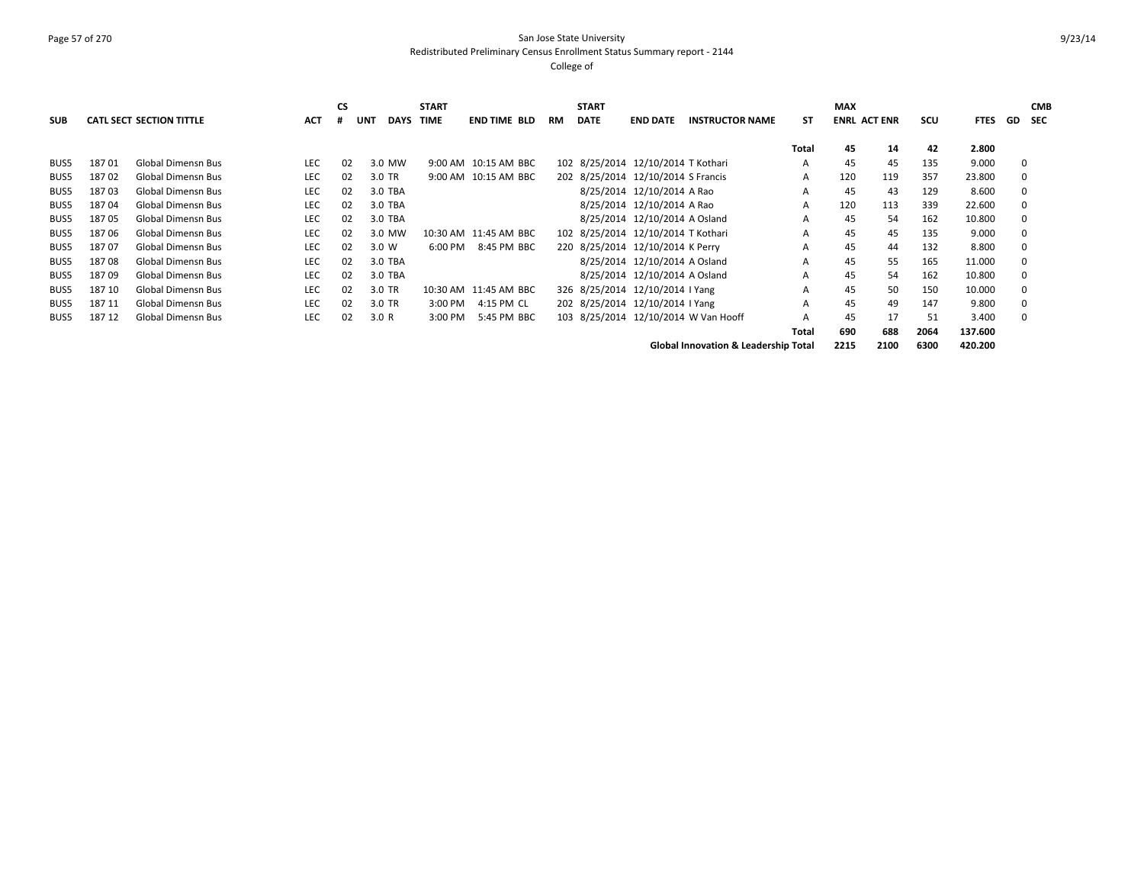# Page 57 of 270 San Jose State University Redistributed Preliminary Census Enrollment Status Summary report - 2144

College of

|            |        |                                 |            | <b>CS</b> |                           | <b>START</b> |                       |           | <b>START</b> |                                    |                                      |       | <b>MAX</b>          |              |        |             |    | <b>CMB</b> |
|------------|--------|---------------------------------|------------|-----------|---------------------------|--------------|-----------------------|-----------|--------------|------------------------------------|--------------------------------------|-------|---------------------|--------------|--------|-------------|----|------------|
| <b>SUB</b> |        | <b>CATL SECT SECTION TITTLE</b> | <b>ACT</b> |           | <b>DAYS</b><br><b>UNT</b> | <b>TIME</b>  | <b>END TIME BLD</b>   | <b>RM</b> | <b>DATE</b>  | <b>END DATE</b>                    | <b>INSTRUCTOR NAME</b>               | ST    | <b>ENRL ACT ENR</b> |              | scu    | <b>FTES</b> | GD | <b>SEC</b> |
|            |        |                                 |            |           |                           |              |                       |           |              |                                    |                                      | Total | 45                  | 14           | 42     | 2.800       |    |            |
| BUS5       | 18701  | <b>Global Dimensn Bus</b>       | <b>LEC</b> | 02        | 3.0 MW                    |              | 9:00 AM 10:15 AM BBC  |           |              | 102 8/25/2014 12/10/2014 T Kothari |                                      | A     | 45                  | 45           | 135    | 9.000       | 0  |            |
| BUS5       | 18702  | <b>Global Dimensn Bus</b>       | <b>LEC</b> | 02        | 3.0 TR                    |              | 9:00 AM 10:15 AM BBC  |           |              | 202 8/25/2014 12/10/2014 S Francis |                                      | A     | 120                 | 119          | 357    | 23.800      | 0  |            |
| BUS5       | 18703  | <b>Global Dimensn Bus</b>       | LEC        | 02        | 3.0 TBA                   |              |                       |           |              | 8/25/2014 12/10/2014 A Rao         |                                      | A     | 45                  | 43           | 129    | 8.600       | 0  |            |
| BUS5       | 18704  | <b>Global Dimensn Bus</b>       | <b>LEC</b> | 02        | 3.0 TBA                   |              |                       |           |              | 8/25/2014 12/10/2014 A Rao         |                                      | A     | 120                 | 113          | 339    | 22.600      | 0  |            |
| BUS5       | 18705  | <b>Global Dimensn Bus</b>       | LEC        | 02        | 3.0 TBA                   |              |                       |           |              | 8/25/2014 12/10/2014 A Osland      |                                      | A     | 45                  | 54           | 162    | 10.800      | 0  |            |
| BUS5       | 18706  | <b>Global Dimensn Bus</b>       | <b>LEC</b> | 02        | 3.0 MW                    |              | 10:30 AM 11:45 AM BBC |           |              | 102 8/25/2014 12/10/2014 T Kothari |                                      | A     | 45                  | 45           | 135    | 9.000       | 0  |            |
| BUS5       | 18707  | <b>Global Dimensn Bus</b>       | <b>LEC</b> | 02        | 3.0 W                     | 6:00 PM      | 8:45 PM BBC           |           |              | 220 8/25/2014 12/10/2014 K Perry   |                                      | A     | 45                  | 44           | 132    | 8.800       | 0  |            |
| BUS5       | 18708  | <b>Global Dimensn Bus</b>       | LEC        | 02        | 3.0 TBA                   |              |                       |           |              | 8/25/2014 12/10/2014 A Osland      |                                      | A     | 45                  | 55           | 165    | 11.000      | 0  |            |
| BUS5       | 18709  | <b>Global Dimensn Bus</b>       | LEC        | 02        | 3.0 TBA                   |              |                       |           |              | 8/25/2014 12/10/2014 A Osland      |                                      | A     | 45                  | 54           | 162    | 10.800      | 0  |            |
| BUS5       | 187 10 | <b>Global Dimensn Bus</b>       | LEC        | 02        | 3.0 TR                    |              | 10:30 AM 11:45 AM BBC |           |              | 326 8/25/2014 12/10/2014 I Yang    |                                      | A     | 45                  | 50           | 150    | 10.000      | 0  |            |
| BUS5       | 187 11 | <b>Global Dimensn Bus</b>       | LEC        | 02        | 3.0 TR                    | 3:00 PM      | 4:15 PM CL            |           |              | 202 8/25/2014 12/10/2014 I Yang    |                                      | А     | 45                  | 49           | 147    | 9.800       | 0  |            |
| BUS5       | 187 12 | <b>Global Dimensn Bus</b>       | LEC        | 02        | 3.0 R                     | 3:00 PM      | 5:45 PM BBC           |           |              |                                    | 103 8/25/2014 12/10/2014 W Van Hooff | А     | 45                  | 17           | 51     | 3.400       | 0  |            |
|            |        |                                 |            |           |                           |              |                       |           |              |                                    |                                      | Total | 690                 | 688          | 2064   | 137.600     |    |            |
|            |        |                                 |            |           |                           |              |                       |           |              |                                    | Clabel lanensten 0 Leadership Tetal  |       | 334 F               | <b>3400.</b> | $\sim$ | 122222      |    |            |

**Global Innovation & Leadership Total 2215 2100 6300 420.200**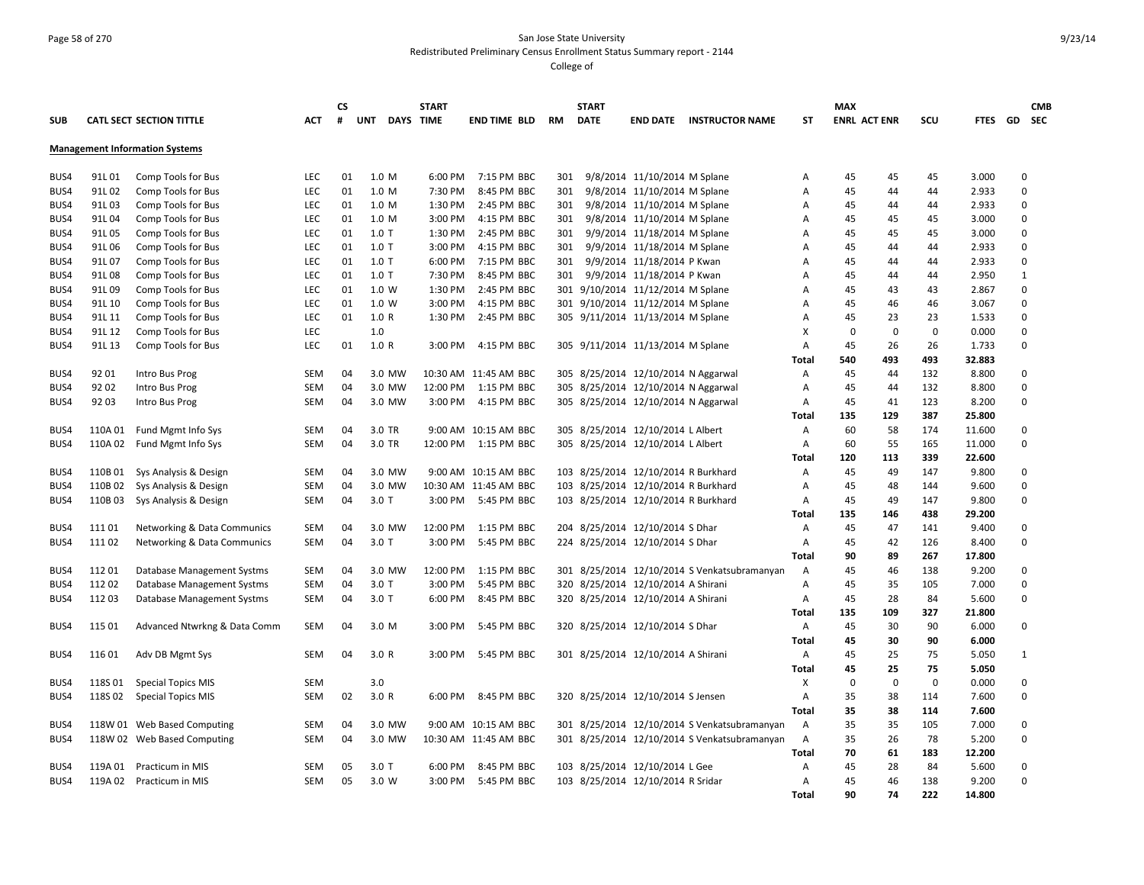## Page 58 of 270 San Jose State University Redistributed Preliminary Census Enrollment Status Summary report - 2144

|            |         |                                       |            | <b>CS</b> |                                | <b>START</b> |                       |           | <b>START</b> |                                                                        |                                              |              | <b>MAX</b>          |           |             |                  |                  | <b>CMB</b> |
|------------|---------|---------------------------------------|------------|-----------|--------------------------------|--------------|-----------------------|-----------|--------------|------------------------------------------------------------------------|----------------------------------------------|--------------|---------------------|-----------|-------------|------------------|------------------|------------|
| <b>SUB</b> |         | <b>CATL SECT SECTION TITTLE</b>       | <b>ACT</b> | #         | <b>UNT</b><br><b>DAYS TIME</b> |              | <b>END TIME BLD</b>   | <b>RM</b> | <b>DATE</b>  | <b>END DATE</b>                                                        | <b>INSTRUCTOR NAME</b>                       | <b>ST</b>    | <b>ENRL ACT ENR</b> |           | SCU         | FTES GD SEC      |                  |            |
|            |         | <b>Management Information Systems</b> |            |           |                                |              |                       |           |              |                                                                        |                                              |              |                     |           |             |                  |                  |            |
|            |         |                                       |            |           |                                |              |                       |           |              |                                                                        |                                              |              |                     |           |             |                  |                  |            |
| BUS4       | 91L01   | Comp Tools for Bus                    | LEC        | 01        | 1.0 M                          | 6:00 PM      | 7:15 PM BBC           | 301       |              | 9/8/2014 11/10/2014 M Splane                                           |                                              | Α            | 45                  | 45        | 45          | 3.000            | $\mathbf 0$      |            |
| BUS4       | 91L02   | Comp Tools for Bus                    | LEC        | 01        | 1.0 M                          | 7:30 PM      | 8:45 PM BBC           | 301       |              | 9/8/2014 11/10/2014 M Splane                                           |                                              | A            | 45                  | 44        | 44          | 2.933            | $\mathbf 0$      |            |
| BUS4       | 91L03   | Comp Tools for Bus                    | LEC        | 01        | 1.0 M                          | 1:30 PM      | 2:45 PM BBC           | 301       |              | 9/8/2014 11/10/2014 M Splane                                           |                                              | A            | 45                  | 44        | 44          | 2.933            | $\mathbf 0$      |            |
| BUS4       | 91L04   | Comp Tools for Bus                    | LEC        | 01        | 1.0 M                          | 3:00 PM      | 4:15 PM BBC           | 301       |              | 9/8/2014 11/10/2014 M Splane                                           |                                              | A            | 45                  | 45        | 45          | 3.000            | $\mathbf 0$      |            |
| BUS4       | 91L05   | Comp Tools for Bus                    | LEC        | 01        | $1.0$ T                        | 1:30 PM      | 2:45 PM BBC           | 301       |              | 9/9/2014 11/18/2014 M Splane                                           |                                              | A            | 45                  | 45        | 45          | 3.000            | $\pmb{0}$        |            |
| BUS4       | 91L06   | Comp Tools for Bus                    | <b>LEC</b> | 01        | $1.0$ T                        | 3:00 PM      | 4:15 PM BBC           | 301       |              | 9/9/2014 11/18/2014 M Splane                                           |                                              | A            | 45                  | 44        | 44          | 2.933            | $\mathbf 0$      |            |
| BUS4       | 91L 07  | Comp Tools for Bus                    | LEC        | 01        | $1.0$ T                        | 6:00 PM      | 7:15 PM BBC           | 301       |              | 9/9/2014 11/18/2014 P Kwan                                             |                                              | A            | 45                  | 44        | 44          | 2.933            | $\mathbf 0$      |            |
| BUS4       | 91L08   | Comp Tools for Bus                    | LEC        | 01        | $1.0$ T                        | 7:30 PM      | 8:45 PM BBC           | 301       |              | 9/9/2014 11/18/2014 P Kwan                                             |                                              | A            | 45                  | 44        | 44          | 2.950            | $1\,$            |            |
| BUS4       | 91L09   | Comp Tools for Bus                    | LEC        | 01        | 1.0 W                          | 1:30 PM      | 2:45 PM BBC           |           |              | 301 9/10/2014 11/12/2014 M Splane                                      |                                              | Α            | 45                  | 43        | 43          | 2.867            | $\mathbf 0$      |            |
| BUS4       | 91L 10  | Comp Tools for Bus                    | LEC        | 01        | 1.0 W                          | 3:00 PM      | 4:15 PM BBC           |           |              | 301 9/10/2014 11/12/2014 M Splane                                      |                                              | Α            | 45                  | 46        | 46          | 3.067            | $\mathbf 0$      |            |
| BUS4       | 91L 11  | Comp Tools for Bus                    | LEC        | 01        | 1.0 R                          | 1:30 PM      | 2:45 PM BBC           |           |              | 305 9/11/2014 11/13/2014 M Splane                                      |                                              | Α            | 45                  | 23        | 23          | 1.533            | $\mathbf 0$      |            |
| BUS4       | 91L 12  | Comp Tools for Bus                    | LEC        |           | 1.0                            |              |                       |           |              |                                                                        |                                              | X            | 0                   | $\pmb{0}$ | $\mathbf 0$ | 0.000            | $\mathbf 0$      |            |
| BUS4       | 91L 13  | Comp Tools for Bus                    | LEC        | 01        | 1.0 R                          | 3:00 PM      | 4:15 PM BBC           |           |              | 305 9/11/2014 11/13/2014 M Splane                                      |                                              | A            | 45                  | 26        | 26          | 1.733            | $\mathbf 0$      |            |
|            |         |                                       |            |           |                                |              |                       |           |              |                                                                        |                                              | <b>Total</b> | 540                 | 493       | 493         | 32.883           |                  |            |
| BUS4       | 92 01   | Intro Bus Prog                        | SEM        | 04        | 3.0 MW                         |              | 10:30 AM 11:45 AM BBC |           |              | 305 8/25/2014 12/10/2014 N Aggarwal                                    |                                              | Α            | 45                  | 44        | 132         | 8.800            | $\mathbf 0$      |            |
| BUS4       | 92 02   | Intro Bus Prog                        | SEM        | 04        | 3.0 MW                         | 12:00 PM     | 1:15 PM BBC           |           |              | 305 8/25/2014 12/10/2014 N Aggarwal                                    |                                              | Α            | 45                  | 44        | 132         | 8.800            | $\mathbf 0$      |            |
| BUS4       | 92 03   | Intro Bus Prog                        | SEM        | 04        | 3.0 MW                         | 3:00 PM      | 4:15 PM BBC           |           |              | 305 8/25/2014 12/10/2014 N Aggarwal                                    |                                              | Α            | 45                  | 41        | 123         | 8.200            | $\mathbf 0$      |            |
|            |         |                                       |            |           |                                |              |                       |           |              |                                                                        |                                              | Total        | 135                 | 129       | 387         | 25.800           |                  |            |
| BUS4       | 110A 01 | Fund Mgmt Info Sys                    | SEM        | 04        | 3.0 TR                         |              | 9:00 AM 10:15 AM BBC  |           |              | 305 8/25/2014 12/10/2014 L Albert<br>305 8/25/2014 12/10/2014 L Albert |                                              | Α            | 60                  | 58        | 174         | 11.600           | 0<br>$\mathbf 0$ |            |
| BUS4       | 110A 02 | Fund Mgmt Info Sys                    | SEM        | 04        | 3.0 TR                         | 12:00 PM     | 1:15 PM BBC           |           |              |                                                                        |                                              | Α<br>Total   | 60<br>120           | 55<br>113 | 165<br>339  | 11.000<br>22.600 |                  |            |
| BUS4       | 110B 01 | Sys Analysis & Design                 | SEM        | 04        | 3.0 MW                         |              | 9:00 AM 10:15 AM BBC  |           |              | 103 8/25/2014 12/10/2014 R Burkhard                                    |                                              | Α            | 45                  | 49        | 147         | 9.800            | 0                |            |
| BUS4       | 110B 02 | Sys Analysis & Design                 | SEM        | 04        | 3.0 MW                         |              | 10:30 AM 11:45 AM BBC |           |              | 103 8/25/2014 12/10/2014 R Burkhard                                    |                                              | Α            | 45                  | 48        | 144         | 9.600            | $\mathbf 0$      |            |
| BUS4       | 110B03  | Sys Analysis & Design                 | SEM        | 04        | $3.0$ T                        | 3:00 PM      | 5:45 PM BBC           |           |              | 103 8/25/2014 12/10/2014 R Burkhard                                    |                                              | Α            | 45                  | 49        | 147         | 9.800            | $\mathbf 0$      |            |
|            |         |                                       |            |           |                                |              |                       |           |              |                                                                        |                                              | Total        | 135                 | 146       | 438         | 29.200           |                  |            |
| BUS4       | 111 01  | Networking & Data Communics           | SEM        | 04        | 3.0 MW                         | 12:00 PM     | 1:15 PM BBC           |           |              | 204 8/25/2014 12/10/2014 S Dhar                                        |                                              | Α            | 45                  | 47        | 141         | 9.400            | 0                |            |
| BUS4       | 11102   | Networking & Data Communics           | SEM        | 04        | $3.0$ T                        | 3:00 PM      | 5:45 PM BBC           |           |              | 224 8/25/2014 12/10/2014 S Dhar                                        |                                              | Α            | 45                  | 42        | 126         | 8.400            | $\mathbf 0$      |            |
|            |         |                                       |            |           |                                |              |                       |           |              |                                                                        |                                              | Total        | 90                  | 89        | 267         | 17.800           |                  |            |
| BUS4       | 11201   | Database Management Systms            | SEM        | 04        | 3.0 MW                         | 12:00 PM     | 1:15 PM BBC           |           |              |                                                                        | 301 8/25/2014 12/10/2014 S Venkatsubramanyan | Α            | 45                  | 46        | 138         | 9.200            | 0                |            |
| BUS4       | 11202   | Database Management Systms            | SEM        | 04        | 3.0T                           | 3:00 PM      | 5:45 PM BBC           |           |              | 320 8/25/2014 12/10/2014 A Shirani                                     |                                              | Α            | 45                  | 35        | 105         | 7.000            | $\mathbf 0$      |            |
| BUS4       | 112 03  | Database Management Systms            | SEM        | 04        | $3.0$ T                        | 6:00 PM      | 8:45 PM BBC           |           |              | 320 8/25/2014 12/10/2014 A Shirani                                     |                                              | Α            | 45                  | 28        | 84          | 5.600            | $\mathbf 0$      |            |
|            |         |                                       |            |           |                                |              |                       |           |              |                                                                        |                                              | Total        | 135                 | 109       | 327         | 21.800           |                  |            |
| BUS4       | 115 01  | Advanced Ntwrkng & Data Comm          | SEM        | 04        | 3.0 M                          | 3:00 PM      | 5:45 PM BBC           |           |              | 320 8/25/2014 12/10/2014 S Dhar                                        |                                              | Α            | 45                  | 30        | 90          | 6.000            | $\mathbf 0$      |            |
|            |         |                                       |            |           |                                |              |                       |           |              |                                                                        |                                              | <b>Total</b> | 45                  | 30        | 90          | 6.000            |                  |            |
| BUS4       | 116 01  | Adv DB Mgmt Sys                       | <b>SEM</b> | 04        | 3.0 R                          | 3:00 PM      | 5:45 PM BBC           |           |              | 301 8/25/2014 12/10/2014 A Shirani                                     |                                              | Α            | 45                  | 25        | 75          | 5.050            | 1                |            |
|            |         |                                       |            |           |                                |              |                       |           |              |                                                                        |                                              | Total        | 45                  | 25        | 75          | 5.050            |                  |            |
| BUS4       | 118S 01 | <b>Special Topics MIS</b>             | SEM        |           | 3.0                            |              |                       |           |              |                                                                        |                                              | х            | 0                   | 0         | $\mathbf 0$ | 0.000            | $\mathbf 0$      |            |
| BUS4       | 118S 02 | <b>Special Topics MIS</b>             | SEM        | 02        | 3.0 R                          | 6:00 PM      | 8:45 PM BBC           |           |              | 320 8/25/2014 12/10/2014 S Jensen                                      |                                              | Α            | 35                  | 38        | 114         | 7.600            | $\mathbf 0$      |            |
|            |         |                                       |            |           |                                |              |                       |           |              |                                                                        |                                              | Total        | 35                  | 38        | 114         | 7.600            |                  |            |
| BUS4       |         | 118W 01 Web Based Computing           | SEM        | 04        | 3.0 MW                         |              | 9:00 AM 10:15 AM BBC  |           |              |                                                                        | 301 8/25/2014 12/10/2014 S Venkatsubramanyan | Α            | 35                  | 35        | 105         | 7.000            | $\mathbf 0$      |            |
| BUS4       |         | 118W 02 Web Based Computing           | SEM        | 04        | 3.0 MW                         |              | 10:30 AM 11:45 AM BBC |           |              |                                                                        | 301 8/25/2014 12/10/2014 S Venkatsubramanyan | Α            | 35                  | 26        | 78          | 5.200            | $\mathbf 0$      |            |
|            |         |                                       |            |           |                                |              |                       |           |              |                                                                        |                                              | Total        | 70                  | 61        | 183         | 12.200           |                  |            |
| BUS4       | 119A 01 | Practicum in MIS                      | SEM        | 05        | $3.0$ T                        | 6:00 PM      | 8:45 PM BBC           |           |              | 103 8/25/2014 12/10/2014 L Gee                                         |                                              | Α            | 45                  | 28        | 84          | 5.600            | 0                |            |
| BUS4       |         | 119A 02 Practicum in MIS              | SEM        | 05        | 3.0 W                          | 3:00 PM      | 5:45 PM BBC           |           |              | 103 8/25/2014 12/10/2014 R Sridar                                      |                                              | Α            | 45                  | 46        | 138         | 9.200            | $\mathbf 0$      |            |
|            |         |                                       |            |           |                                |              |                       |           |              |                                                                        |                                              | Total        | 90                  | 74        | 222         | 14.800           |                  |            |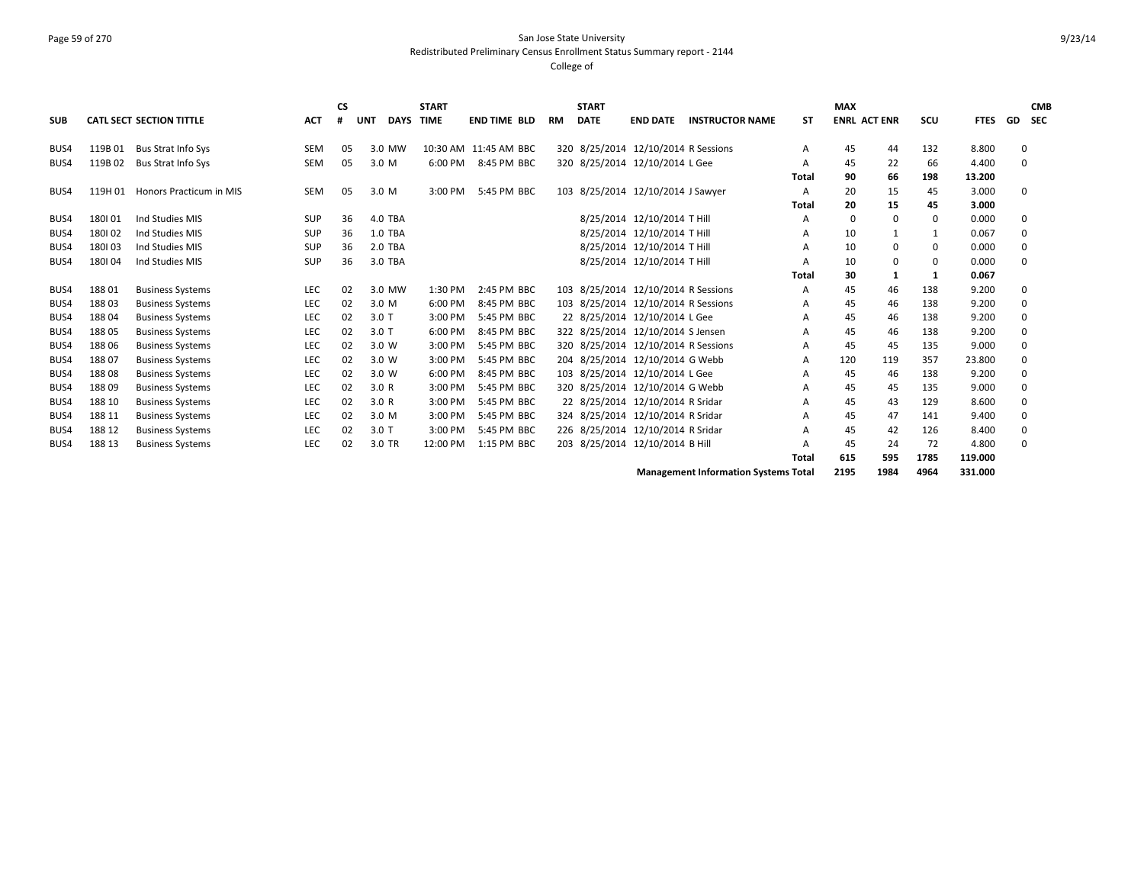# Page 59 of 270 San Jose State University Redistributed Preliminary Census Enrollment Status Summary report - 2144

#### College of

| <b>CATL SECT SECTION TITTLE</b><br><b>TIME</b><br><b>DATE</b><br><b>ENRL ACT ENR</b><br><b>ACT</b><br><b>DAYS</b><br><b>END TIME BLD</b><br><b>INSTRUCTOR NAME</b><br><b>ST</b><br>scu<br><b>FTES</b><br>GD<br><b>SEC</b><br><b>SUB</b><br><b>UNT</b><br><b>RM</b><br><b>END DATE</b><br>320 8/25/2014 12/10/2014 R Sessions<br>119B01<br><b>Bus Strat Info Sys</b><br><b>SEM</b><br>10:30 AM 11:45 AM BBC<br>132<br>8.800<br>BUS4<br>05<br>3.0 MW<br>45<br>44<br>$\Omega$<br>A<br>320 8/25/2014 12/10/2014 L Gee<br>119B02<br>SEM<br>05<br>8:45 PM BBC<br>22<br>66<br>4.400<br><b>Bus Strat Info Sys</b><br>3.0 M<br>6:00 PM<br>45<br>$\Omega$<br>BUS4<br>A<br>90<br>198<br>13.200<br>66<br>Total<br>103 8/25/2014 12/10/2014 J Sawyer<br>20<br>3.000<br>119H 01<br>Honors Practicum in MIS<br><b>SEM</b><br>05<br>3.0 M<br>3:00 PM<br>5:45 PM BBC<br>15<br>45<br>$\Omega$<br>BUS4<br>A<br>20<br>15<br>3.000<br>45<br>Total<br>8/25/2014 12/10/2014 T Hill<br>180101<br>Ind Studies MIS<br><b>SUP</b><br>36<br>4.0 TBA<br>$\mathbf 0$<br>$\mathbf 0$<br>0.000<br>BUS4<br>$\Omega$<br>$\Omega$<br>Α<br>1.0 TBA<br>8/25/2014 12/10/2014 T Hill<br>180102<br><b>SUP</b><br>36<br>10<br>0.067<br>Ind Studies MIS<br>$\mathbf 0$<br>BUS4<br>1<br>1<br>Α<br>2.0 TBA<br>8/25/2014 12/10/2014 T Hill<br>180103<br>36<br>10<br>0.000<br>Ind Studies MIS<br>SUP<br>0<br>BUS4<br>0<br>$\Omega$<br>А<br>180104<br>3.0 TBA<br>8/25/2014 12/10/2014 T Hill<br>Ind Studies MIS<br>SUP<br>36<br>10<br>0.000<br>BUS4<br>0<br>0<br>$\Omega$<br>A<br>30<br>0.067<br>Total<br>1<br>-1<br>02<br>103 8/25/2014 12/10/2014 R Sessions<br>9.200<br>18801<br>LEC<br>2:45 PM BBC<br>45<br>138<br>BUS4<br><b>Business Systems</b><br>3.0 MW<br>1:30 PM<br>46<br>$\Omega$<br>A<br>02<br>103 8/25/2014 12/10/2014 R Sessions<br>45<br>9.200<br>188 03<br>LEC<br>3.0 M<br>8:45 PM BBC<br>46<br>138<br>$\Omega$<br>BUS4<br><b>Business Systems</b><br>6:00 PM<br>A<br>LEC<br>02<br>22 8/25/2014 12/10/2014 L Gee<br>18804<br>5:45 PM BBC<br>45<br>46<br>138<br>9.200<br>$\Omega$<br>BUS4<br><b>Business Systems</b><br>$3.0$ T<br>3:00 PM<br>A<br>322 8/25/2014 12/10/2014 S Jensen<br>18805<br>LEC<br>02<br>9.200<br>BUS4<br><b>Business Systems</b><br>$3.0$ T<br>6:00 PM<br>8:45 PM BBC<br>45<br>46<br>138<br>$\mathbf 0$<br>A<br>320 8/25/2014 12/10/2014 R Sessions<br>18806<br>LEC<br>02<br>5:45 PM BBC<br>9.000<br>BUS4<br><b>Business Systems</b><br>3.0 W<br>3:00 PM<br>45<br>45<br>135<br>A<br>$\Omega$<br>18807<br>LEC<br>204 8/25/2014 12/10/2014 G Webb<br>120<br>02<br>5:45 PM BBC<br>119<br>357<br>23.800<br>BUS4<br><b>Business Systems</b><br>3.0 W<br>3:00 PM<br>$\Omega$<br>A<br>18808<br>LEC<br>02<br>103 8/25/2014 12/10/2014 L Gee<br>138<br>9.200<br>3.0 W<br>8:45 PM BBC<br>45<br>46<br>BUS4<br><b>Business Systems</b><br>6:00 PM<br>$\Omega$<br>A<br>188 09<br>LEC<br>02<br>3.0R<br>5:45 PM BBC<br>320 8/25/2014 12/10/2014 G Webb<br>45<br>135<br>9.000<br>BUS4<br><b>Business Systems</b><br>3:00 PM<br>45<br>$\Omega$<br>A<br>22 8/25/2014 12/10/2014 R Sridar<br>8.600<br>188 10<br>LEC<br>02<br>3.0R<br>5:45 PM BBC<br>45<br>43<br>129<br>BUS4<br><b>Business Systems</b><br>3:00 PM<br>$\Omega$<br>A<br>LEC<br>02<br>324 8/25/2014 12/10/2014 R Sridar<br>188 11<br>5:45 PM BBC<br>45<br>47<br>141<br>9.400<br>$\Omega$<br>BUS4<br><b>Business Systems</b><br>3.0 M<br>3:00 PM<br>A<br>LEC<br>226 8/25/2014 12/10/2014 R Sridar<br>126<br>8.400<br>188 12<br><b>Business Systems</b><br>02<br>$3.0$ T<br>3:00 PM<br>5:45 PM BBC<br>45<br>42<br>$\mathbf 0$<br>BUS4<br>A<br>188 13<br>LEC<br>02<br>3.0 TR<br>203 8/25/2014 12/10/2014 B Hill<br>24<br>72<br>12:00 PM<br>1:15 PM BBC<br>4.800<br>BUS4<br><b>Business Systems</b><br>45<br>$\Omega$<br>A |  |  | <b>CS</b> | <b>START</b> |  | <b>START</b> |  |       | <b>MAX</b> |     |      |         | <b>CMB</b> |
|---------------------------------------------------------------------------------------------------------------------------------------------------------------------------------------------------------------------------------------------------------------------------------------------------------------------------------------------------------------------------------------------------------------------------------------------------------------------------------------------------------------------------------------------------------------------------------------------------------------------------------------------------------------------------------------------------------------------------------------------------------------------------------------------------------------------------------------------------------------------------------------------------------------------------------------------------------------------------------------------------------------------------------------------------------------------------------------------------------------------------------------------------------------------------------------------------------------------------------------------------------------------------------------------------------------------------------------------------------------------------------------------------------------------------------------------------------------------------------------------------------------------------------------------------------------------------------------------------------------------------------------------------------------------------------------------------------------------------------------------------------------------------------------------------------------------------------------------------------------------------------------------------------------------------------------------------------------------------------------------------------------------------------------------------------------------------------------------------------------------------------------------------------------------------------------------------------------------------------------------------------------------------------------------------------------------------------------------------------------------------------------------------------------------------------------------------------------------------------------------------------------------------------------------------------------------------------------------------------------------------------------------------------------------------------------------------------------------------------------------------------------------------------------------------------------------------------------------------------------------------------------------------------------------------------------------------------------------------------------------------------------------------------------------------------------------------------------------------------------------------------------------------------------------------------------------------------------------------------------------------------------------------------------------------------------------------------------------------------------------------------------------------------------------------------------------------------------------------------------------------------------------------------------------------------------------------------------------------------------------------------------------------------------------------------------------------------------------------------------------------------|--|--|-----------|--------------|--|--------------|--|-------|------------|-----|------|---------|------------|
|                                                                                                                                                                                                                                                                                                                                                                                                                                                                                                                                                                                                                                                                                                                                                                                                                                                                                                                                                                                                                                                                                                                                                                                                                                                                                                                                                                                                                                                                                                                                                                                                                                                                                                                                                                                                                                                                                                                                                                                                                                                                                                                                                                                                                                                                                                                                                                                                                                                                                                                                                                                                                                                                                                                                                                                                                                                                                                                                                                                                                                                                                                                                                                                                                                                                                                                                                                                                                                                                                                                                                                                                                                                                                                                                                         |  |  |           |              |  |              |  |       |            |     |      |         |            |
|                                                                                                                                                                                                                                                                                                                                                                                                                                                                                                                                                                                                                                                                                                                                                                                                                                                                                                                                                                                                                                                                                                                                                                                                                                                                                                                                                                                                                                                                                                                                                                                                                                                                                                                                                                                                                                                                                                                                                                                                                                                                                                                                                                                                                                                                                                                                                                                                                                                                                                                                                                                                                                                                                                                                                                                                                                                                                                                                                                                                                                                                                                                                                                                                                                                                                                                                                                                                                                                                                                                                                                                                                                                                                                                                                         |  |  |           |              |  |              |  |       |            |     |      |         |            |
|                                                                                                                                                                                                                                                                                                                                                                                                                                                                                                                                                                                                                                                                                                                                                                                                                                                                                                                                                                                                                                                                                                                                                                                                                                                                                                                                                                                                                                                                                                                                                                                                                                                                                                                                                                                                                                                                                                                                                                                                                                                                                                                                                                                                                                                                                                                                                                                                                                                                                                                                                                                                                                                                                                                                                                                                                                                                                                                                                                                                                                                                                                                                                                                                                                                                                                                                                                                                                                                                                                                                                                                                                                                                                                                                                         |  |  |           |              |  |              |  |       |            |     |      |         |            |
|                                                                                                                                                                                                                                                                                                                                                                                                                                                                                                                                                                                                                                                                                                                                                                                                                                                                                                                                                                                                                                                                                                                                                                                                                                                                                                                                                                                                                                                                                                                                                                                                                                                                                                                                                                                                                                                                                                                                                                                                                                                                                                                                                                                                                                                                                                                                                                                                                                                                                                                                                                                                                                                                                                                                                                                                                                                                                                                                                                                                                                                                                                                                                                                                                                                                                                                                                                                                                                                                                                                                                                                                                                                                                                                                                         |  |  |           |              |  |              |  |       |            |     |      |         |            |
|                                                                                                                                                                                                                                                                                                                                                                                                                                                                                                                                                                                                                                                                                                                                                                                                                                                                                                                                                                                                                                                                                                                                                                                                                                                                                                                                                                                                                                                                                                                                                                                                                                                                                                                                                                                                                                                                                                                                                                                                                                                                                                                                                                                                                                                                                                                                                                                                                                                                                                                                                                                                                                                                                                                                                                                                                                                                                                                                                                                                                                                                                                                                                                                                                                                                                                                                                                                                                                                                                                                                                                                                                                                                                                                                                         |  |  |           |              |  |              |  |       |            |     |      |         |            |
|                                                                                                                                                                                                                                                                                                                                                                                                                                                                                                                                                                                                                                                                                                                                                                                                                                                                                                                                                                                                                                                                                                                                                                                                                                                                                                                                                                                                                                                                                                                                                                                                                                                                                                                                                                                                                                                                                                                                                                                                                                                                                                                                                                                                                                                                                                                                                                                                                                                                                                                                                                                                                                                                                                                                                                                                                                                                                                                                                                                                                                                                                                                                                                                                                                                                                                                                                                                                                                                                                                                                                                                                                                                                                                                                                         |  |  |           |              |  |              |  |       |            |     |      |         |            |
|                                                                                                                                                                                                                                                                                                                                                                                                                                                                                                                                                                                                                                                                                                                                                                                                                                                                                                                                                                                                                                                                                                                                                                                                                                                                                                                                                                                                                                                                                                                                                                                                                                                                                                                                                                                                                                                                                                                                                                                                                                                                                                                                                                                                                                                                                                                                                                                                                                                                                                                                                                                                                                                                                                                                                                                                                                                                                                                                                                                                                                                                                                                                                                                                                                                                                                                                                                                                                                                                                                                                                                                                                                                                                                                                                         |  |  |           |              |  |              |  |       |            |     |      |         |            |
|                                                                                                                                                                                                                                                                                                                                                                                                                                                                                                                                                                                                                                                                                                                                                                                                                                                                                                                                                                                                                                                                                                                                                                                                                                                                                                                                                                                                                                                                                                                                                                                                                                                                                                                                                                                                                                                                                                                                                                                                                                                                                                                                                                                                                                                                                                                                                                                                                                                                                                                                                                                                                                                                                                                                                                                                                                                                                                                                                                                                                                                                                                                                                                                                                                                                                                                                                                                                                                                                                                                                                                                                                                                                                                                                                         |  |  |           |              |  |              |  |       |            |     |      |         |            |
|                                                                                                                                                                                                                                                                                                                                                                                                                                                                                                                                                                                                                                                                                                                                                                                                                                                                                                                                                                                                                                                                                                                                                                                                                                                                                                                                                                                                                                                                                                                                                                                                                                                                                                                                                                                                                                                                                                                                                                                                                                                                                                                                                                                                                                                                                                                                                                                                                                                                                                                                                                                                                                                                                                                                                                                                                                                                                                                                                                                                                                                                                                                                                                                                                                                                                                                                                                                                                                                                                                                                                                                                                                                                                                                                                         |  |  |           |              |  |              |  |       |            |     |      |         |            |
|                                                                                                                                                                                                                                                                                                                                                                                                                                                                                                                                                                                                                                                                                                                                                                                                                                                                                                                                                                                                                                                                                                                                                                                                                                                                                                                                                                                                                                                                                                                                                                                                                                                                                                                                                                                                                                                                                                                                                                                                                                                                                                                                                                                                                                                                                                                                                                                                                                                                                                                                                                                                                                                                                                                                                                                                                                                                                                                                                                                                                                                                                                                                                                                                                                                                                                                                                                                                                                                                                                                                                                                                                                                                                                                                                         |  |  |           |              |  |              |  |       |            |     |      |         |            |
|                                                                                                                                                                                                                                                                                                                                                                                                                                                                                                                                                                                                                                                                                                                                                                                                                                                                                                                                                                                                                                                                                                                                                                                                                                                                                                                                                                                                                                                                                                                                                                                                                                                                                                                                                                                                                                                                                                                                                                                                                                                                                                                                                                                                                                                                                                                                                                                                                                                                                                                                                                                                                                                                                                                                                                                                                                                                                                                                                                                                                                                                                                                                                                                                                                                                                                                                                                                                                                                                                                                                                                                                                                                                                                                                                         |  |  |           |              |  |              |  |       |            |     |      |         |            |
|                                                                                                                                                                                                                                                                                                                                                                                                                                                                                                                                                                                                                                                                                                                                                                                                                                                                                                                                                                                                                                                                                                                                                                                                                                                                                                                                                                                                                                                                                                                                                                                                                                                                                                                                                                                                                                                                                                                                                                                                                                                                                                                                                                                                                                                                                                                                                                                                                                                                                                                                                                                                                                                                                                                                                                                                                                                                                                                                                                                                                                                                                                                                                                                                                                                                                                                                                                                                                                                                                                                                                                                                                                                                                                                                                         |  |  |           |              |  |              |  |       |            |     |      |         |            |
|                                                                                                                                                                                                                                                                                                                                                                                                                                                                                                                                                                                                                                                                                                                                                                                                                                                                                                                                                                                                                                                                                                                                                                                                                                                                                                                                                                                                                                                                                                                                                                                                                                                                                                                                                                                                                                                                                                                                                                                                                                                                                                                                                                                                                                                                                                                                                                                                                                                                                                                                                                                                                                                                                                                                                                                                                                                                                                                                                                                                                                                                                                                                                                                                                                                                                                                                                                                                                                                                                                                                                                                                                                                                                                                                                         |  |  |           |              |  |              |  |       |            |     |      |         |            |
|                                                                                                                                                                                                                                                                                                                                                                                                                                                                                                                                                                                                                                                                                                                                                                                                                                                                                                                                                                                                                                                                                                                                                                                                                                                                                                                                                                                                                                                                                                                                                                                                                                                                                                                                                                                                                                                                                                                                                                                                                                                                                                                                                                                                                                                                                                                                                                                                                                                                                                                                                                                                                                                                                                                                                                                                                                                                                                                                                                                                                                                                                                                                                                                                                                                                                                                                                                                                                                                                                                                                                                                                                                                                                                                                                         |  |  |           |              |  |              |  |       |            |     |      |         |            |
|                                                                                                                                                                                                                                                                                                                                                                                                                                                                                                                                                                                                                                                                                                                                                                                                                                                                                                                                                                                                                                                                                                                                                                                                                                                                                                                                                                                                                                                                                                                                                                                                                                                                                                                                                                                                                                                                                                                                                                                                                                                                                                                                                                                                                                                                                                                                                                                                                                                                                                                                                                                                                                                                                                                                                                                                                                                                                                                                                                                                                                                                                                                                                                                                                                                                                                                                                                                                                                                                                                                                                                                                                                                                                                                                                         |  |  |           |              |  |              |  |       |            |     |      |         |            |
|                                                                                                                                                                                                                                                                                                                                                                                                                                                                                                                                                                                                                                                                                                                                                                                                                                                                                                                                                                                                                                                                                                                                                                                                                                                                                                                                                                                                                                                                                                                                                                                                                                                                                                                                                                                                                                                                                                                                                                                                                                                                                                                                                                                                                                                                                                                                                                                                                                                                                                                                                                                                                                                                                                                                                                                                                                                                                                                                                                                                                                                                                                                                                                                                                                                                                                                                                                                                                                                                                                                                                                                                                                                                                                                                                         |  |  |           |              |  |              |  |       |            |     |      |         |            |
|                                                                                                                                                                                                                                                                                                                                                                                                                                                                                                                                                                                                                                                                                                                                                                                                                                                                                                                                                                                                                                                                                                                                                                                                                                                                                                                                                                                                                                                                                                                                                                                                                                                                                                                                                                                                                                                                                                                                                                                                                                                                                                                                                                                                                                                                                                                                                                                                                                                                                                                                                                                                                                                                                                                                                                                                                                                                                                                                                                                                                                                                                                                                                                                                                                                                                                                                                                                                                                                                                                                                                                                                                                                                                                                                                         |  |  |           |              |  |              |  |       |            |     |      |         |            |
|                                                                                                                                                                                                                                                                                                                                                                                                                                                                                                                                                                                                                                                                                                                                                                                                                                                                                                                                                                                                                                                                                                                                                                                                                                                                                                                                                                                                                                                                                                                                                                                                                                                                                                                                                                                                                                                                                                                                                                                                                                                                                                                                                                                                                                                                                                                                                                                                                                                                                                                                                                                                                                                                                                                                                                                                                                                                                                                                                                                                                                                                                                                                                                                                                                                                                                                                                                                                                                                                                                                                                                                                                                                                                                                                                         |  |  |           |              |  |              |  |       |            |     |      |         |            |
|                                                                                                                                                                                                                                                                                                                                                                                                                                                                                                                                                                                                                                                                                                                                                                                                                                                                                                                                                                                                                                                                                                                                                                                                                                                                                                                                                                                                                                                                                                                                                                                                                                                                                                                                                                                                                                                                                                                                                                                                                                                                                                                                                                                                                                                                                                                                                                                                                                                                                                                                                                                                                                                                                                                                                                                                                                                                                                                                                                                                                                                                                                                                                                                                                                                                                                                                                                                                                                                                                                                                                                                                                                                                                                                                                         |  |  |           |              |  |              |  |       |            |     |      |         |            |
|                                                                                                                                                                                                                                                                                                                                                                                                                                                                                                                                                                                                                                                                                                                                                                                                                                                                                                                                                                                                                                                                                                                                                                                                                                                                                                                                                                                                                                                                                                                                                                                                                                                                                                                                                                                                                                                                                                                                                                                                                                                                                                                                                                                                                                                                                                                                                                                                                                                                                                                                                                                                                                                                                                                                                                                                                                                                                                                                                                                                                                                                                                                                                                                                                                                                                                                                                                                                                                                                                                                                                                                                                                                                                                                                                         |  |  |           |              |  |              |  |       |            |     |      |         |            |
|                                                                                                                                                                                                                                                                                                                                                                                                                                                                                                                                                                                                                                                                                                                                                                                                                                                                                                                                                                                                                                                                                                                                                                                                                                                                                                                                                                                                                                                                                                                                                                                                                                                                                                                                                                                                                                                                                                                                                                                                                                                                                                                                                                                                                                                                                                                                                                                                                                                                                                                                                                                                                                                                                                                                                                                                                                                                                                                                                                                                                                                                                                                                                                                                                                                                                                                                                                                                                                                                                                                                                                                                                                                                                                                                                         |  |  |           |              |  |              |  |       |            |     |      |         |            |
|                                                                                                                                                                                                                                                                                                                                                                                                                                                                                                                                                                                                                                                                                                                                                                                                                                                                                                                                                                                                                                                                                                                                                                                                                                                                                                                                                                                                                                                                                                                                                                                                                                                                                                                                                                                                                                                                                                                                                                                                                                                                                                                                                                                                                                                                                                                                                                                                                                                                                                                                                                                                                                                                                                                                                                                                                                                                                                                                                                                                                                                                                                                                                                                                                                                                                                                                                                                                                                                                                                                                                                                                                                                                                                                                                         |  |  |           |              |  |              |  |       |            |     |      |         |            |
|                                                                                                                                                                                                                                                                                                                                                                                                                                                                                                                                                                                                                                                                                                                                                                                                                                                                                                                                                                                                                                                                                                                                                                                                                                                                                                                                                                                                                                                                                                                                                                                                                                                                                                                                                                                                                                                                                                                                                                                                                                                                                                                                                                                                                                                                                                                                                                                                                                                                                                                                                                                                                                                                                                                                                                                                                                                                                                                                                                                                                                                                                                                                                                                                                                                                                                                                                                                                                                                                                                                                                                                                                                                                                                                                                         |  |  |           |              |  |              |  |       |            |     |      |         |            |
|                                                                                                                                                                                                                                                                                                                                                                                                                                                                                                                                                                                                                                                                                                                                                                                                                                                                                                                                                                                                                                                                                                                                                                                                                                                                                                                                                                                                                                                                                                                                                                                                                                                                                                                                                                                                                                                                                                                                                                                                                                                                                                                                                                                                                                                                                                                                                                                                                                                                                                                                                                                                                                                                                                                                                                                                                                                                                                                                                                                                                                                                                                                                                                                                                                                                                                                                                                                                                                                                                                                                                                                                                                                                                                                                                         |  |  |           |              |  |              |  |       |            |     |      |         |            |
|                                                                                                                                                                                                                                                                                                                                                                                                                                                                                                                                                                                                                                                                                                                                                                                                                                                                                                                                                                                                                                                                                                                                                                                                                                                                                                                                                                                                                                                                                                                                                                                                                                                                                                                                                                                                                                                                                                                                                                                                                                                                                                                                                                                                                                                                                                                                                                                                                                                                                                                                                                                                                                                                                                                                                                                                                                                                                                                                                                                                                                                                                                                                                                                                                                                                                                                                                                                                                                                                                                                                                                                                                                                                                                                                                         |  |  |           |              |  |              |  | Total | 615        | 595 | 1785 | 119.000 |            |

**Management Information Systems Total 2195 1984 4964 331.000**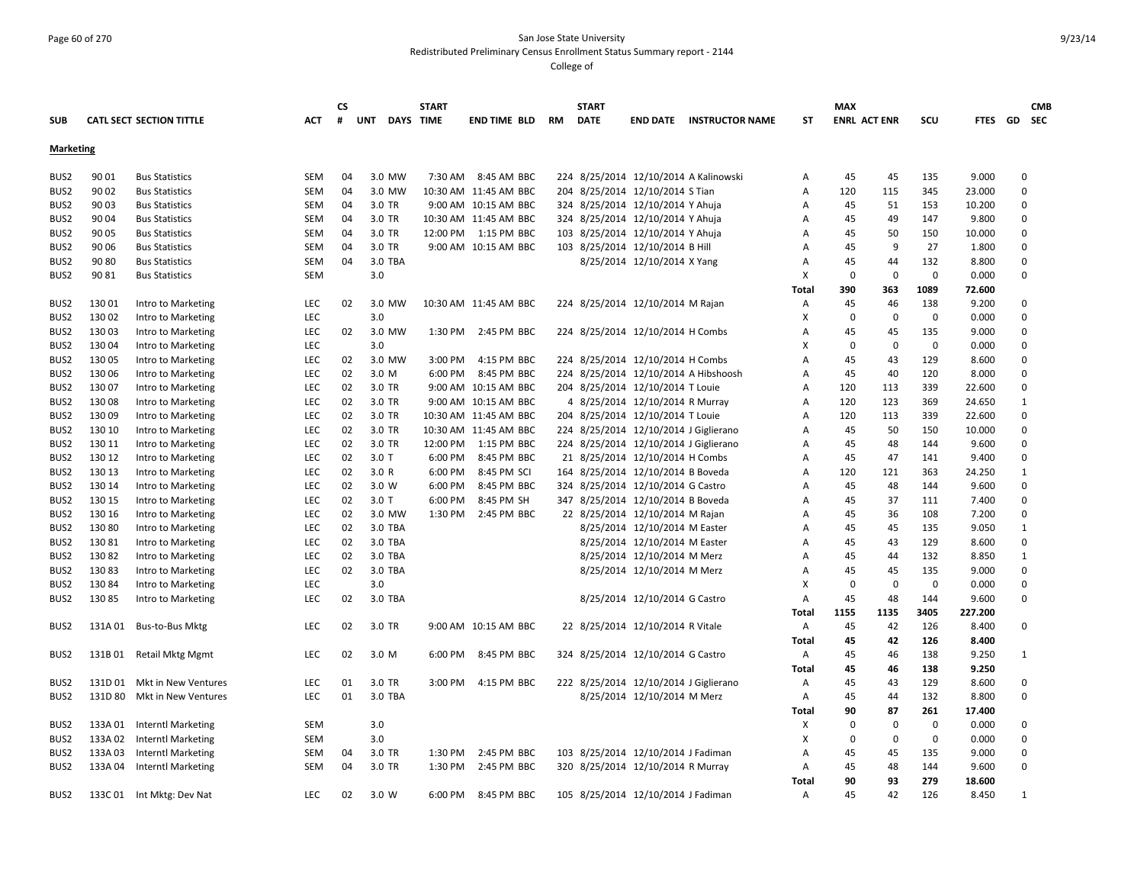### Page 60 of 270 San Jose State University Redistributed Preliminary Census Enrollment Status Summary report - 2144

|                  |         |                                 |            | <b>CS</b> |         |           | <b>START</b> |                       |    | <b>START</b> |                                       |                                       |       | <b>MAX</b>          |          |             |         |              | <b>CMB</b> |
|------------------|---------|---------------------------------|------------|-----------|---------|-----------|--------------|-----------------------|----|--------------|---------------------------------------|---------------------------------------|-------|---------------------|----------|-------------|---------|--------------|------------|
| <b>SUB</b>       |         | <b>CATL SECT SECTION TITTLE</b> | <b>ACT</b> | #         | UNT     | DAYS TIME |              | <b>END TIME BLD</b>   | RM | <b>DATE</b>  | <b>END DATE</b>                       | <b>INSTRUCTOR NAME</b>                | ST    | <b>ENRL ACT ENR</b> |          | SCU         |         | FTES GD SEC  |            |
|                  |         |                                 |            |           |         |           |              |                       |    |              |                                       |                                       |       |                     |          |             |         |              |            |
| Marketing        |         |                                 |            |           |         |           |              |                       |    |              |                                       |                                       |       |                     |          |             |         |              |            |
| BUS <sub>2</sub> | 90 01   | <b>Bus Statistics</b>           | SEM        | 04        |         | 3.0 MW    | 7:30 AM      | 8:45 AM BBC           |    |              |                                       | 224 8/25/2014 12/10/2014 A Kalinowski | Α     | 45                  | 45       | 135         | 9.000   | 0            |            |
| BUS2             | 90 02   | <b>Bus Statistics</b>           | SEM        | 04        |         | 3.0 MW    |              | 10:30 AM 11:45 AM BBC |    |              | 204 8/25/2014 12/10/2014 S Tian       |                                       | Α     | 120                 | 115      | 345         | 23.000  | $\mathbf 0$  |            |
| BUS <sub>2</sub> | 90 03   | <b>Bus Statistics</b>           | SEM        | 04        |         | 3.0 TR    |              | 9:00 AM 10:15 AM BBC  |    |              | 324 8/25/2014 12/10/2014 Y Ahuja      |                                       | Α     | 45                  | 51       | 153         | 10.200  | 0            |            |
| BUS <sub>2</sub> | 90 04   | <b>Bus Statistics</b>           | SEM        | 04        |         | 3.0 TR    |              | 10:30 AM 11:45 AM BBC |    |              | 324 8/25/2014 12/10/2014 Y Ahuja      |                                       | Α     | 45                  | 49       | 147         | 9.800   | 0            |            |
| BUS <sub>2</sub> | 90 05   | <b>Bus Statistics</b>           | SEM        | 04        |         | 3.0 TR    |              | 12:00 PM 1:15 PM BBC  |    |              | 103 8/25/2014 12/10/2014 Y Ahuja      |                                       | Α     | 45                  | 50       | 150         | 10.000  | $\mathbf 0$  |            |
| BUS <sub>2</sub> | 90 06   | <b>Bus Statistics</b>           | <b>SEM</b> | 04        |         | 3.0 TR    |              | 9:00 AM 10:15 AM BBC  |    |              | 103 8/25/2014 12/10/2014 B Hill       |                                       | Α     | 45                  | 9        | 27          | 1.800   | $\mathbf 0$  |            |
| BUS <sub>2</sub> | 90 80   | <b>Bus Statistics</b>           | SEM        | 04        |         | 3.0 TBA   |              |                       |    |              | 8/25/2014 12/10/2014 X Yang           |                                       | Α     | 45                  | 44       | 132         | 8.800   | $\mathbf 0$  |            |
| BUS2             | 90 81   | <b>Bus Statistics</b>           | <b>SEM</b> |           | 3.0     |           |              |                       |    |              |                                       |                                       | х     | 0                   | 0        | $\mathbf 0$ | 0.000   | $\mathbf 0$  |            |
|                  |         |                                 |            |           |         |           |              |                       |    |              |                                       |                                       | Total | 390                 | 363      | 1089        | 72.600  |              |            |
| BUS2             | 130 01  | Intro to Marketing              | <b>LEC</b> | 02        |         | 3.0 MW    |              | 10:30 AM 11:45 AM BBC |    |              | 224 8/25/2014 12/10/2014 M Rajan      |                                       | Α     | 45                  | 46       | 138         | 9.200   | 0            |            |
| BUS <sub>2</sub> | 130 02  | Intro to Marketing              | LEC        |           | 3.0     |           |              |                       |    |              |                                       |                                       | Χ     | 0                   | 0        | $\mathbf 0$ | 0.000   | $\mathbf 0$  |            |
| BUS2             | 130 03  | Intro to Marketing              | LEC        | 02        |         | 3.0 MW    | 1:30 PM      | 2:45 PM BBC           |    |              | 224 8/25/2014 12/10/2014 H Combs      |                                       | A     | 45                  | 45       | 135         | 9.000   | $\mathbf 0$  |            |
| BUS <sub>2</sub> | 130 04  | Intro to Marketing              | <b>LEC</b> |           | 3.0     |           |              |                       |    |              |                                       |                                       | х     | $\Omega$            | 0        | 0           | 0.000   | $\mathbf 0$  |            |
|                  | 130 05  |                                 |            |           |         |           |              |                       |    |              |                                       |                                       | А     | 45                  |          |             | 8.600   | $\mathbf 0$  |            |
| BUS <sub>2</sub> |         | Intro to Marketing              | <b>LEC</b> | 02<br>02  |         | 3.0 MW    | 3:00 PM      | 4:15 PM BBC           |    |              | 224 8/25/2014 12/10/2014 H Combs      |                                       |       |                     | 43       | 129         |         |              |            |
| BUS <sub>2</sub> | 130 06  | Intro to Marketing              | <b>LEC</b> |           |         | 3.0 M     | 6:00 PM      | 8:45 PM BBC           |    |              |                                       | 224 8/25/2014 12/10/2014 A Hibshoosh  | Α     | 45                  | 40       | 120         | 8.000   | $\mathbf 0$  |            |
| BUS <sub>2</sub> | 130 07  | Intro to Marketing              | <b>LEC</b> | 02        |         | 3.0 TR    |              | 9:00 AM 10:15 AM BBC  |    |              | 204 8/25/2014 12/10/2014 T Louie      |                                       | A     | 120                 | 113      | 339         | 22.600  | $\mathbf 0$  |            |
| BUS <sub>2</sub> | 13008   | Intro to Marketing              | <b>LEC</b> | 02        |         | 3.0 TR    |              | 9:00 AM 10:15 AM BBC  |    |              | 4 8/25/2014 12/10/2014 R Murray       |                                       | Α     | 120                 | 123      | 369         | 24.650  | 1            |            |
| BUS <sub>2</sub> | 13009   | Intro to Marketing              | <b>LEC</b> | 02        |         | 3.0 TR    |              | 10:30 AM 11:45 AM BBC |    |              | 204 8/25/2014 12/10/2014 T Louie      |                                       | A     | 120                 | 113      | 339         | 22.600  | $\mathbf 0$  |            |
| BUS <sub>2</sub> | 130 10  | Intro to Marketing              | <b>LEC</b> | 02        |         | 3.0 TR    |              | 10:30 AM 11:45 AM BBC |    |              | 224 8/25/2014 12/10/2014 J Giglierano |                                       | A     | 45                  | 50       | 150         | 10.000  | $\mathbf 0$  |            |
| BUS <sub>2</sub> | 130 11  | Intro to Marketing              | <b>LEC</b> | 02        |         | 3.0 TR    | 12:00 PM     | 1:15 PM BBC           |    |              | 224 8/25/2014 12/10/2014 J Giglierano |                                       | A     | 45                  | 48       | 144         | 9.600   | $\mathbf 0$  |            |
| BUS <sub>2</sub> | 130 12  | Intro to Marketing              | <b>LEC</b> | 02        | $3.0$ T |           | 6:00 PM      | 8:45 PM BBC           |    |              | 21 8/25/2014 12/10/2014 H Combs       |                                       | Α     | 45                  | 47       | 141         | 9.400   | $\mathbf 0$  |            |
| BUS <sub>2</sub> | 130 13  | Intro to Marketing              | <b>LEC</b> | 02        | 3.0 R   |           | 6:00 PM      | 8:45 PM SCI           |    |              | 164 8/25/2014 12/10/2014 B Boveda     |                                       | A     | 120                 | 121      | 363         | 24.250  | 1            |            |
| BUS <sub>2</sub> | 130 14  | Intro to Marketing              | LEC        | 02        | 3.0 W   |           | 6:00 PM      | 8:45 PM BBC           |    |              | 324 8/25/2014 12/10/2014 G Castro     |                                       | A     | 45                  | 48       | 144         | 9.600   | $\mathbf 0$  |            |
| BUS <sub>2</sub> | 130 15  | Intro to Marketing              | <b>LEC</b> | 02        | $3.0$ T |           | 6:00 PM      | 8:45 PM SH            |    |              | 347 8/25/2014 12/10/2014 B Boveda     |                                       | A     | 45                  | 37       | 111         | 7.400   | $\mathbf 0$  |            |
| BUS <sub>2</sub> | 130 16  | Intro to Marketing              | <b>LEC</b> | 02        |         | 3.0 MW    | 1:30 PM      | 2:45 PM BBC           |    |              | 22 8/25/2014 12/10/2014 M Rajan       |                                       | А     | 45                  | 36       | 108         | 7.200   | $\mathbf 0$  |            |
| BUS <sub>2</sub> | 130 80  | Intro to Marketing              | LEC        | 02        |         | 3.0 TBA   |              |                       |    |              | 8/25/2014 12/10/2014 M Easter         |                                       | А     | 45                  | 45       | 135         | 9.050   | $\mathbf{1}$ |            |
| BUS <sub>2</sub> | 13081   | Intro to Marketing              | LEC        | 02        |         | 3.0 TBA   |              |                       |    |              | 8/25/2014 12/10/2014 M Easter         |                                       | Α     | 45                  | 43       | 129         | 8.600   | $\mathbf 0$  |            |
| BUS <sub>2</sub> | 130 82  | Intro to Marketing              | <b>LEC</b> | 02        |         | 3.0 TBA   |              |                       |    |              | 8/25/2014 12/10/2014 M Merz           |                                       | Α     | 45                  | 44       | 132         | 8.850   | $\mathbf{1}$ |            |
| BUS <sub>2</sub> | 130 83  | Intro to Marketing              | LEC        | 02        |         | 3.0 TBA   |              |                       |    |              | 8/25/2014 12/10/2014 M Merz           |                                       | Α     | 45                  | 45       | 135         | 9.000   | $\mathbf 0$  |            |
| BUS <sub>2</sub> | 130 84  | Intro to Marketing              | <b>LEC</b> |           | 3.0     |           |              |                       |    |              |                                       |                                       | X     | 0                   | 0        | $\mathbf 0$ | 0.000   | $\mathbf 0$  |            |
| BUS <sub>2</sub> | 13085   | Intro to Marketing              | LEC        | 02        |         | 3.0 TBA   |              |                       |    |              | 8/25/2014 12/10/2014 G Castro         |                                       | Α     | 45                  | 48       | 144         | 9.600   | $\mathbf 0$  |            |
|                  |         |                                 |            |           |         |           |              |                       |    |              |                                       |                                       | Total | 1155                | 1135     | 3405        | 227.200 |              |            |
| BUS <sub>2</sub> | 131A 01 | Bus-to-Bus Mktg                 | LEC        | 02        |         | 3.0 TR    |              | 9:00 AM 10:15 AM BBC  |    |              | 22 8/25/2014 12/10/2014 R Vitale      |                                       | Α     | 45                  | 42       | 126         | 8.400   | $\mathbf 0$  |            |
|                  |         |                                 |            |           |         |           |              |                       |    |              |                                       |                                       | Total | 45                  | 42       | 126         | 8.400   |              |            |
| BUS <sub>2</sub> | 131B 01 | <b>Retail Mktg Mgmt</b>         | <b>LEC</b> | 02        | 3.0 M   |           | 6:00 PM      | 8:45 PM BBC           |    |              | 324 8/25/2014 12/10/2014 G Castro     |                                       | Α     | 45                  | 46       | 138         | 9.250   | 1            |            |
|                  |         |                                 |            |           |         |           |              |                       |    |              |                                       |                                       | Total | 45                  | 46       | 138         | 9.250   |              |            |
| BUS <sub>2</sub> | 131D 01 | Mkt in New Ventures             | <b>LEC</b> | 01        |         | 3.0 TR    |              | 3:00 PM 4:15 PM BBC   |    |              | 222 8/25/2014 12/10/2014 J Giglierano |                                       | Α     | 45                  | 43       | 129         | 8.600   | $\mathbf 0$  |            |
| BUS2             | 131D 80 | Mkt in New Ventures             | <b>LEC</b> | 01        |         | 3.0 TBA   |              |                       |    |              | 8/25/2014 12/10/2014 M Merz           |                                       | Α     | 45                  | 44       | 132         | 8.800   | $\mathbf 0$  |            |
|                  |         |                                 |            |           |         |           |              |                       |    |              |                                       |                                       | Total | 90                  | 87       | 261         | 17.400  |              |            |
| BUS <sub>2</sub> | 133A 01 | <b>Interntl Marketing</b>       | SEM        |           | 3.0     |           |              |                       |    |              |                                       |                                       | X     | 0                   | 0        | $\mathbf 0$ | 0.000   | $\mathbf 0$  |            |
| BUS <sub>2</sub> | 133A02  | Interntl Marketing              | <b>SEM</b> |           | 3.0     |           |              |                       |    |              |                                       |                                       | x     | 0                   | 0        | $\mathbf 0$ | 0.000   | $\mathbf 0$  |            |
| BUS <sub>2</sub> | 133A03  | Interntl Marketing              | <b>SEM</b> | 04        |         | 3.0 TR    | 1:30 PM      | 2:45 PM BBC           |    |              | 103 8/25/2014 12/10/2014 J Fadiman    |                                       | Α     | 45                  | 45       | 135         | 9.000   | $\mathbf 0$  |            |
|                  | 133A 04 |                                 |            | 04        |         | 3.0 TR    |              | 2:45 PM BBC           |    |              |                                       |                                       |       |                     |          |             | 9.600   | $\mathbf 0$  |            |
| BUS <sub>2</sub> |         | Interntl Marketing              | <b>SEM</b> |           |         |           | 1:30 PM      |                       |    |              | 320 8/25/2014 12/10/2014 R Murray     |                                       | Α     | 45<br>90            | 48<br>93 | 144<br>279  | 18.600  |              |            |
|                  |         |                                 |            |           |         |           |              |                       |    |              |                                       |                                       | Total | 45                  |          |             |         | $\mathbf{1}$ |            |
| BUS2             |         | 133C 01 Int Mktg: Dev Nat       | <b>LEC</b> | 02        | 3.0 W   |           | 6:00 PM      | 8:45 PM BBC           |    |              | 105 8/25/2014 12/10/2014 J Fadiman    |                                       | A     |                     | 42       | 126         | 8.450   |              |            |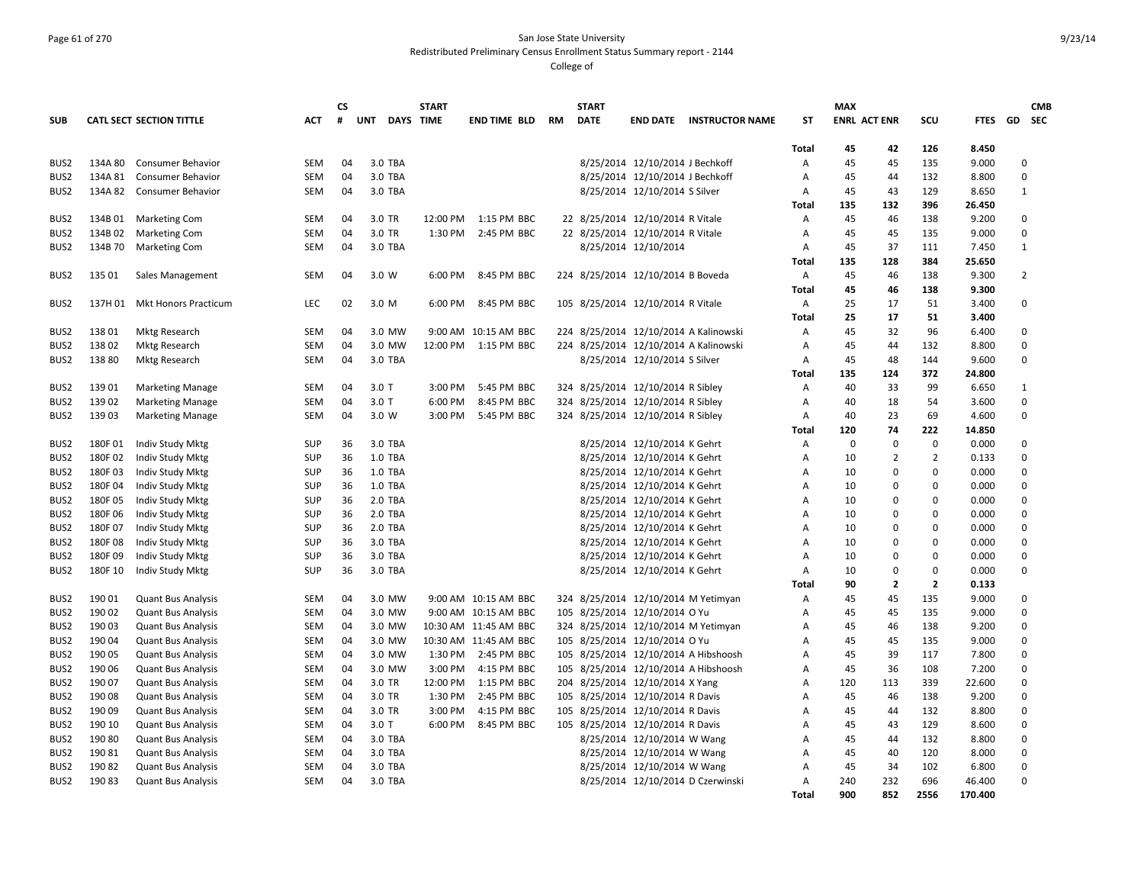## Page 61 of 270 San Jose State University Redistributed Preliminary Census Enrollment Status Summary report - 2144

|                  |         |                                 |            | <b>CS</b> |            | <b>START</b>     |                       |    | <b>START</b> |                                   |                                       |              | <b>MAX</b>          |                |                |             |                | <b>CMB</b> |
|------------------|---------|---------------------------------|------------|-----------|------------|------------------|-----------------------|----|--------------|-----------------------------------|---------------------------------------|--------------|---------------------|----------------|----------------|-------------|----------------|------------|
| <b>SUB</b>       |         | <b>CATL SECT SECTION TITTLE</b> | <b>ACT</b> | #         | <b>UNT</b> | <b>DAYS TIME</b> | <b>END TIME BLD</b>   | RM | <b>DATE</b>  | <b>END DATE</b>                   | <b>INSTRUCTOR NAME</b>                | <b>ST</b>    | <b>ENRL ACT ENR</b> |                | scu            | <b>FTES</b> | GD             | <b>SEC</b> |
|                  |         |                                 |            |           |            |                  |                       |    |              |                                   |                                       |              |                     |                |                |             |                |            |
|                  |         |                                 |            |           |            |                  |                       |    |              |                                   |                                       | <b>Total</b> | 45                  | 42             | 126            | 8.450       |                |            |
| BUS <sub>2</sub> | 134A 80 | <b>Consumer Behavior</b>        | <b>SEM</b> | 04        | 3.0 TBA    |                  |                       |    |              | 8/25/2014 12/10/2014 J Bechkoff   |                                       | Α            | 45                  | 45             | 135            | 9.000       | 0              |            |
| BUS <sub>2</sub> | 134A 81 | <b>Consumer Behavior</b>        | <b>SEM</b> | 04        | 3.0 TBA    |                  |                       |    |              | 8/25/2014 12/10/2014 J Bechkoff   |                                       | Α            | 45                  | 44             | 132            | 8.800       | $\mathbf 0$    |            |
| BUS <sub>2</sub> | 134A 82 | <b>Consumer Behavior</b>        | <b>SEM</b> | 04        | 3.0 TBA    |                  |                       |    |              | 8/25/2014 12/10/2014 S Silver     |                                       | Α            | 45                  | 43             | 129            | 8.650       | $\mathbf{1}$   |            |
|                  |         |                                 |            |           |            |                  |                       |    |              |                                   |                                       | Total        | 135                 | 132            | 396            | 26.450      |                |            |
| BUS2             | 134B01  | <b>Marketing Com</b>            | <b>SEM</b> | 04        | 3.0 TR     | 12:00 PM         | 1:15 PM BBC           |    |              | 22 8/25/2014 12/10/2014 R Vitale  |                                       | Α            | 45                  | 46             | 138            | 9.200       | $\mathbf 0$    |            |
| BUS <sub>2</sub> | 134B02  | <b>Marketing Com</b>            | <b>SEM</b> | 04        | 3.0 TR     | 1:30 PM          | 2:45 PM BBC           |    |              | 22 8/25/2014 12/10/2014 R Vitale  |                                       | Α            | 45                  | 45             | 135            | 9.000       | $\mathbf 0$    |            |
| BUS2             | 134B 70 | <b>Marketing Com</b>            | <b>SEM</b> | 04        | 3.0 TBA    |                  |                       |    |              | 8/25/2014 12/10/2014              |                                       | Α            | 45                  | 37             | 111            | 7.450       | $\mathbf{1}$   |            |
|                  |         |                                 |            |           |            |                  |                       |    |              |                                   |                                       | Total        | 135                 | 128            | 384            | 25.650      |                |            |
| BUS2             | 135 01  | Sales Management                | <b>SEM</b> | 04        | 3.0 W      | 6:00 PM          | 8:45 PM BBC           |    |              | 224 8/25/2014 12/10/2014 B Boveda |                                       | Α            | 45                  | 46             | 138            | 9.300       | $\overline{2}$ |            |
|                  |         |                                 |            |           |            |                  |                       |    |              |                                   |                                       | <b>Total</b> | 45                  | 46             | 138            | 9.300       |                |            |
| BUS2             | 137H 01 | <b>Mkt Honors Practicum</b>     | LEC        | 02        | 3.0 M      | 6:00 PM          | 8:45 PM BBC           |    |              | 105 8/25/2014 12/10/2014 R Vitale |                                       | Α            | 25                  | 17             | 51             | 3.400       | $\Omega$       |            |
|                  |         |                                 |            |           |            |                  |                       |    |              |                                   |                                       | <b>Total</b> | 25                  | 17             | 51             | 3.400       |                |            |
| BUS <sub>2</sub> | 138 01  | <b>Mktg Research</b>            | <b>SEM</b> | 04        | 3.0 MW     |                  | 9:00 AM 10:15 AM BBC  |    |              |                                   | 224 8/25/2014 12/10/2014 A Kalinowski | Α            | 45                  | 32             | 96             | 6.400       | 0              |            |
| BUS <sub>2</sub> | 138 02  | <b>Mktg Research</b>            | <b>SEM</b> | 04        | 3.0 MW     |                  | 12:00 PM 1:15 PM BBC  |    |              |                                   | 224 8/25/2014 12/10/2014 A Kalinowski | Α            | 45                  | 44             | 132            | 8.800       | $\Omega$       |            |
| BUS <sub>2</sub> | 13880   | <b>Mktg Research</b>            | <b>SEM</b> | 04        | 3.0 TBA    |                  |                       |    |              | 8/25/2014 12/10/2014 S Silver     |                                       | Α            | 45                  | 48             | 144            | 9.600       | $\Omega$       |            |
|                  |         |                                 |            |           |            |                  |                       |    |              |                                   |                                       | Total        | 135                 | 124            | 372            | 24.800      |                |            |
| BUS <sub>2</sub> | 139 01  | <b>Marketing Manage</b>         | <b>SEM</b> | 04        | $3.0$ T    | 3:00 PM          | 5:45 PM BBC           |    |              | 324 8/25/2014 12/10/2014 R Sibley |                                       | Α            | 40                  | 33             | 99             | 6.650       | 1              |            |
| BUS <sub>2</sub> | 139 02  | <b>Marketing Manage</b>         | <b>SEM</b> | 04        | $3.0$ T    | 6:00 PM          | 8:45 PM BBC           |    |              | 324 8/25/2014 12/10/2014 R Sibley |                                       | Α            | 40                  | 18             | 54             | 3.600       | $\Omega$       |            |
| BUS <sub>2</sub> | 139 03  |                                 | <b>SEM</b> | 04        | 3.0 W      | 3:00 PM          | 5:45 PM BBC           |    |              | 324 8/25/2014 12/10/2014 R Sibley |                                       | Α            | 40                  | 23             | 69             | 4.600       | $\Omega$       |            |
|                  |         | <b>Marketing Manage</b>         |            |           |            |                  |                       |    |              |                                   |                                       |              |                     |                |                |             |                |            |
|                  |         |                                 |            |           |            |                  |                       |    |              |                                   |                                       | Total        | 120                 | 74             | 222            | 14.850      |                |            |
| BUS <sub>2</sub> | 180F01  | Indiv Study Mktg                | <b>SUP</b> | 36        | 3.0 TBA    |                  |                       |    |              | 8/25/2014 12/10/2014 K Gehrt      |                                       | Α            | $\mathbf 0$         | 0              | 0              | 0.000       | 0              |            |
| BUS <sub>2</sub> | 180F02  | Indiv Study Mktg                | <b>SUP</b> | 36        | 1.0 TBA    |                  |                       |    |              | 8/25/2014 12/10/2014 K Gehrt      |                                       | A            | 10                  | $\overline{2}$ | $\overline{2}$ | 0.133       | $\Omega$       |            |
| BUS <sub>2</sub> | 180F03  | Indiv Study Mktg                | <b>SUP</b> | 36        | 1.0 TBA    |                  |                       |    |              | 8/25/2014 12/10/2014 K Gehrt      |                                       | A            | 10                  | $\mathbf 0$    | 0              | 0.000       | $\mathbf 0$    |            |
| BUS <sub>2</sub> | 180F04  | Indiv Study Mktg                | <b>SUP</b> | 36        | 1.0 TBA    |                  |                       |    |              | 8/25/2014 12/10/2014 K Gehrt      |                                       | A            | 10                  | 0              | 0              | 0.000       | $\Omega$       |            |
| BUS2             | 180F05  | Indiv Study Mktg                | <b>SUP</b> | 36        | 2.0 TBA    |                  |                       |    |              | 8/25/2014 12/10/2014 K Gehrt      |                                       | A            | 10                  | 0              | 0              | 0.000       | $\mathbf 0$    |            |
| BUS <sub>2</sub> | 180F06  | Indiv Study Mktg                | <b>SUP</b> | 36        | 2.0 TBA    |                  |                       |    |              | 8/25/2014 12/10/2014 K Gehrt      |                                       | A            | 10                  | $\Omega$       | $\mathbf 0$    | 0.000       | $\Omega$       |            |
| BUS <sub>2</sub> | 180F07  | Indiv Study Mktg                | <b>SUP</b> | 36        | 2.0 TBA    |                  |                       |    |              | 8/25/2014 12/10/2014 K Gehrt      |                                       | A            | 10                  | $\Omega$       | 0              | 0.000       | $\Omega$       |            |
| BUS2             | 180F08  | Indiv Study Mktg                | <b>SUP</b> | 36        | 3.0 TBA    |                  |                       |    |              | 8/25/2014 12/10/2014 K Gehrt      |                                       | A            | 10                  | $\Omega$       | 0              | 0.000       | $\mathbf 0$    |            |
| BUS2             | 180F09  | Indiv Study Mktg                | SUP        | 36        | 3.0 TBA    |                  |                       |    |              | 8/25/2014 12/10/2014 K Gehrt      |                                       | A            | 10                  | $\Omega$       | 0              | 0.000       | $\Omega$       |            |
| BUS <sub>2</sub> | 180F 10 | Indiv Study Mktg                | SUP        | 36        | 3.0 TBA    |                  |                       |    |              | 8/25/2014 12/10/2014 K Gehrt      |                                       | A            | 10                  | $\Omega$       | 0              | 0.000       | $\Omega$       |            |
|                  |         |                                 |            |           |            |                  |                       |    |              |                                   |                                       | Total        | 90                  | $\overline{2}$ | $\overline{2}$ | 0.133       |                |            |
| BUS2             | 190 01  | <b>Quant Bus Analysis</b>       | <b>SEM</b> | 04        | 3.0 MW     |                  | 9:00 AM 10:15 AM BBC  |    |              |                                   | 324 8/25/2014 12/10/2014 M Yetimyan   | A            | 45                  | 45             | 135            | 9.000       | $\mathbf 0$    |            |
| BUS <sub>2</sub> | 190 02  | <b>Quant Bus Analysis</b>       | <b>SEM</b> | 04        | 3.0 MW     |                  | 9:00 AM 10:15 AM BBC  |    |              | 105 8/25/2014 12/10/2014 O Yu     |                                       | A            | 45                  | 45             | 135            | 9.000       | $\Omega$       |            |
| BUS <sub>2</sub> | 190 03  | <b>Quant Bus Analysis</b>       | <b>SEM</b> | 04        | 3.0 MW     |                  | 10:30 AM 11:45 AM BBC |    |              |                                   | 324 8/25/2014 12/10/2014 M Yetimyan   | A            | 45                  | 46             | 138            | 9.200       | $\Omega$       |            |
| BUS <sub>2</sub> | 190 04  | <b>Quant Bus Analysis</b>       | <b>SEM</b> | 04        | 3.0 MW     |                  | 10:30 AM 11:45 AM BBC |    |              | 105 8/25/2014 12/10/2014 O Yu     |                                       | A            | 45                  | 45             | 135            | 9.000       | $\mathbf 0$    |            |
| BUS2             | 190 05  | <b>Quant Bus Analysis</b>       | <b>SEM</b> | 04        | 3.0 MW     | 1:30 PM          | 2:45 PM BBC           |    |              |                                   | 105 8/25/2014 12/10/2014 A Hibshoosh  | A            | 45                  | 39             | 117            | 7.800       | $\Omega$       |            |
| BUS <sub>2</sub> | 190 06  | <b>Quant Bus Analysis</b>       | <b>SEM</b> | 04        | 3.0 MW     | 3:00 PM          | 4:15 PM BBC           |    |              |                                   | 105 8/25/2014 12/10/2014 A Hibshoosh  | A            | 45                  | 36             | 108            | 7.200       | $\Omega$       |            |
| BUS <sub>2</sub> | 190 07  | <b>Quant Bus Analysis</b>       | <b>SEM</b> | 04        | 3.0 TR     | 12:00 PM         | 1:15 PM BBC           |    |              | 204 8/25/2014 12/10/2014 X Yang   |                                       | Α            | 120                 | 113            | 339            | 22.600      | $\Omega$       |            |
| BUS <sub>2</sub> | 19008   | <b>Quant Bus Analysis</b>       | <b>SEM</b> | 04        | 3.0 TR     | 1:30 PM          | 2:45 PM BBC           |    |              | 105 8/25/2014 12/10/2014 R Davis  |                                       | A            | 45                  | 46             | 138            | 9.200       | $\mathbf 0$    |            |
| BUS <sub>2</sub> | 190 09  | <b>Quant Bus Analysis</b>       | <b>SEM</b> | 04        | 3.0 TR     | 3:00 PM          | 4:15 PM BBC           |    |              | 105 8/25/2014 12/10/2014 R Davis  |                                       | Α            | 45                  | 44             | 132            | 8.800       | $\mathbf 0$    |            |
| BUS <sub>2</sub> | 190 10  | <b>Quant Bus Analysis</b>       | <b>SEM</b> | 04        | $3.0$ T    | 6:00 PM          | 8:45 PM BBC           |    |              | 105 8/25/2014 12/10/2014 R Davis  |                                       | A            | 45                  | 43             | 129            | 8.600       | 0              |            |
| BUS <sub>2</sub> | 190 80  | <b>Quant Bus Analysis</b>       | <b>SEM</b> | 04        | 3.0 TBA    |                  |                       |    |              | 8/25/2014 12/10/2014 W Wang       |                                       | Α            | 45                  | 44             | 132            | 8.800       | $\Omega$       |            |
| BUS <sub>2</sub> | 190 81  | <b>Quant Bus Analysis</b>       | <b>SEM</b> | 04        | 3.0 TBA    |                  |                       |    |              | 8/25/2014 12/10/2014 W Wang       |                                       | Α            | 45                  | 40             | 120            | 8.000       | 0              |            |
| BUS2             | 19082   | <b>Quant Bus Analysis</b>       | <b>SEM</b> | 04        | 3.0 TBA    |                  |                       |    |              | 8/25/2014 12/10/2014 W Wang       |                                       | Α            | 45                  | 34             | 102            | 6.800       | $\mathbf 0$    |            |
| BUS2             | 19083   | <b>Quant Bus Analysis</b>       | <b>SEM</b> | 04        | 3.0 TBA    |                  |                       |    |              |                                   | 8/25/2014 12/10/2014 D Czerwinski     | A            | 240                 | 232            | 696            | 46.400      | $\Omega$       |            |
|                  |         |                                 |            |           |            |                  |                       |    |              |                                   |                                       |              | 900                 | 852            | 2556           | 170.400     |                |            |
|                  |         |                                 |            |           |            |                  |                       |    |              |                                   |                                       | <b>Total</b> |                     |                |                |             |                |            |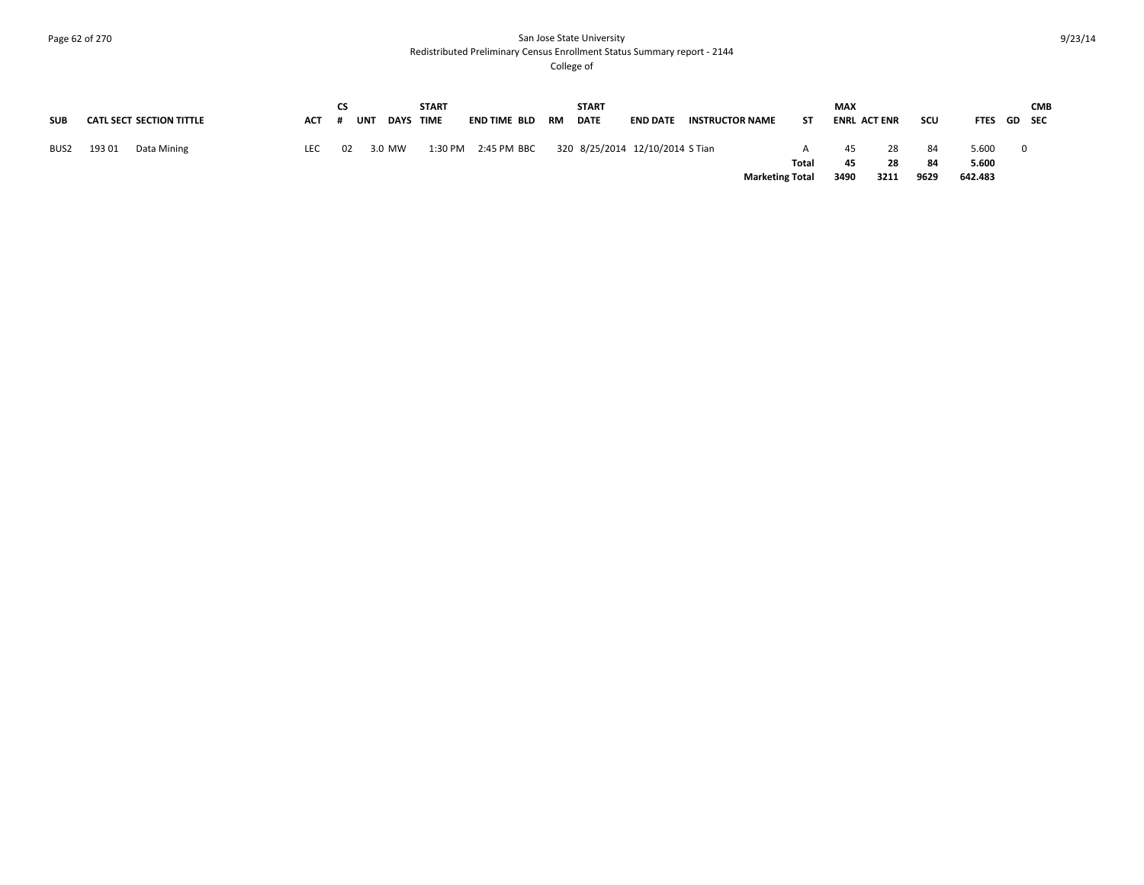# Page 62 of 270 San Jose State University Redistributed Preliminary Census Enrollment Status Summary report - 2144

|            |                                 |            | CS |                    | <b>START</b> |                     |    | <b>START</b> |                                 |                        |       | <b>MAX</b>          |          |             |                |   | <b>CMB</b> |
|------------|---------------------------------|------------|----|--------------------|--------------|---------------------|----|--------------|---------------------------------|------------------------|-------|---------------------|----------|-------------|----------------|---|------------|
| <b>SUB</b> | <b>CATL SECT SECTION TITTLE</b> | <b>ACT</b> |    | UNT<br><b>DAYS</b> | <b>TIME</b>  | END TIME BLD        | RM | <b>DATE</b>  | <b>END DATE</b>                 | <b>INSTRUCTOR NAME</b> | SΤ    | <b>ENRL ACT ENR</b> |          | scu         | FTES GD SEC    |   |            |
| BUS2       | 193 01<br>Data Mining           | LEC        | 02 | 3.0 MW             |              | 1:30 PM 2:45 PM BBC |    |              | 320 8/25/2014 12/10/2014 S Tian |                        | Total | 45<br>45            | 28<br>28 | - 84<br>-84 | 5.600<br>5.600 | 0 |            |
|            |                                 |            |    |                    |              |                     |    |              |                                 | <b>Marketing Total</b> |       | 3490                | 3211     | 9629        | 642.483        |   |            |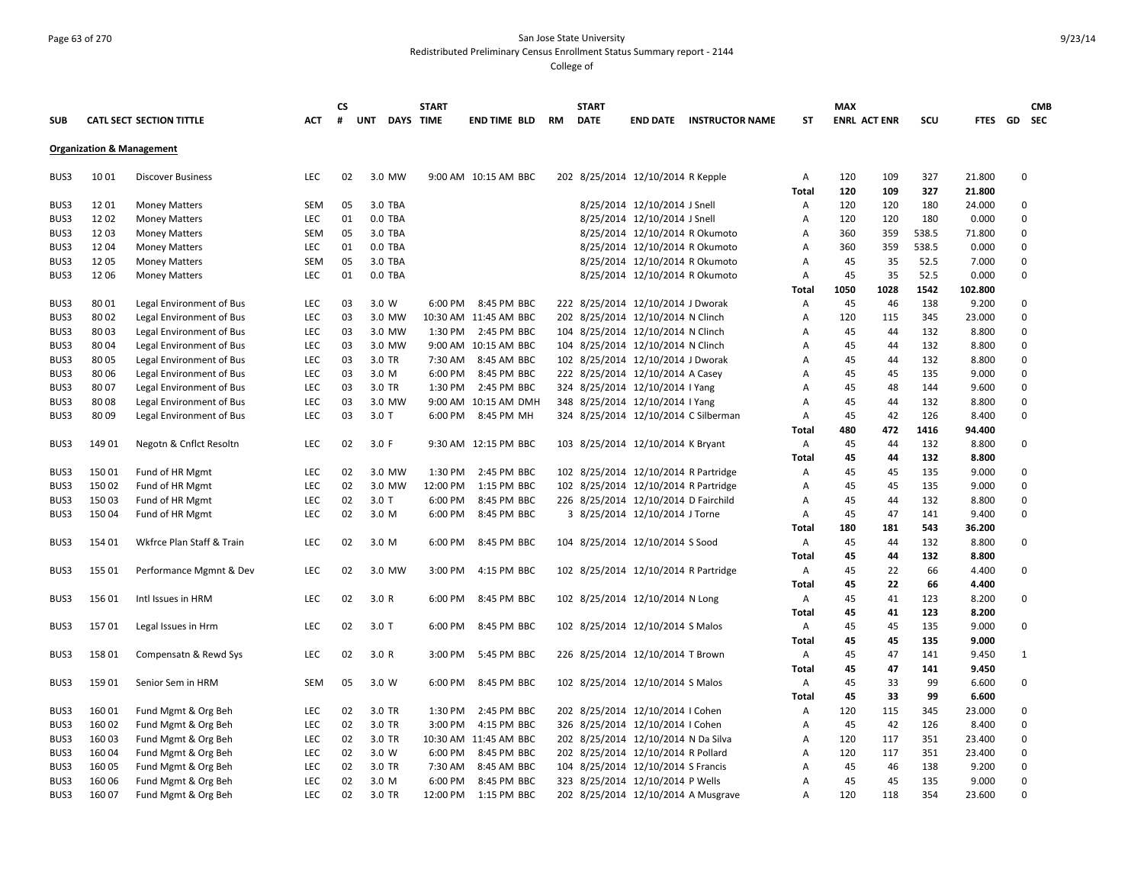### Page 63 of 270 San Jose State University Redistributed Preliminary Census Enrollment Status Summary report - 2144

|            |        |                                      |            | <b>CS</b> |                                | <b>START</b> |                       |    | <b>START</b> |                                      |                                      |              | <b>MAX</b>          |      |       |             |             | <b>CMB</b> |
|------------|--------|--------------------------------------|------------|-----------|--------------------------------|--------------|-----------------------|----|--------------|--------------------------------------|--------------------------------------|--------------|---------------------|------|-------|-------------|-------------|------------|
| <b>SUB</b> |        | <b>CATL SECT SECTION TITTLE</b>      | <b>ACT</b> | #         | <b>UNT</b><br><b>DAYS TIME</b> |              | <b>END TIME BLD</b>   | RM | <b>DATE</b>  | <b>END DATE</b>                      | <b>INSTRUCTOR NAME</b>               | <b>ST</b>    | <b>ENRL ACT ENR</b> |      | SCU   | FTES GD SEC |             |            |
|            |        | <b>Organization &amp; Management</b> |            |           |                                |              |                       |    |              |                                      |                                      |              |                     |      |       |             |             |            |
| BUS3       | 1001   | <b>Discover Business</b>             | <b>LEC</b> | 02        | 3.0 MW                         |              | 9:00 AM 10:15 AM BBC  |    |              | 202 8/25/2014 12/10/2014 R Kepple    |                                      | Α            | 120                 | 109  | 327   | 21.800      | $\mathbf 0$ |            |
|            |        |                                      |            |           |                                |              |                       |    |              |                                      |                                      | <b>Total</b> | 120                 | 109  | 327   | 21.800      |             |            |
| BUS3       | 1201   | <b>Money Matters</b>                 | <b>SEM</b> | 05        | 3.0 TBA                        |              |                       |    |              | 8/25/2014 12/10/2014 J Snell         |                                      | Α            | 120                 | 120  | 180   | 24.000      | $\mathbf 0$ |            |
| BUS3       | 1202   | <b>Money Matters</b>                 | LEC        | 01        | 0.0 TBA                        |              |                       |    |              | 8/25/2014 12/10/2014 J Snell         |                                      | Α            | 120                 | 120  | 180   | 0.000       | $\mathbf 0$ |            |
| BUS3       | 1203   | <b>Money Matters</b>                 | SEM        | 05        | 3.0 TBA                        |              |                       |    |              | 8/25/2014 12/10/2014 R Okumoto       |                                      | Α            | 360                 | 359  | 538.5 | 71.800      | $\mathbf 0$ |            |
| BUS3       | 1204   | <b>Money Matters</b>                 | LEC        | 01        | 0.0 TBA                        |              |                       |    |              | 8/25/2014 12/10/2014 R Okumoto       |                                      | Α            | 360                 | 359  | 538.5 | 0.000       | $\mathbf 0$ |            |
| BUS3       | 1205   | <b>Money Matters</b>                 | SEM        | 05        | 3.0 TBA                        |              |                       |    |              | 8/25/2014 12/10/2014 R Okumoto       |                                      | Α            | 45                  | 35   | 52.5  | 7.000       | $\mathbf 0$ |            |
| BUS3       | 1206   | <b>Money Matters</b>                 | LEC        | 01        | 0.0 TBA                        |              |                       |    |              | 8/25/2014 12/10/2014 R Okumoto       |                                      | Α            | 45                  | 35   | 52.5  | 0.000       | $\mathbf 0$ |            |
|            |        |                                      |            |           |                                |              |                       |    |              |                                      |                                      | Total        | 1050                | 1028 | 1542  | 102.800     |             |            |
| BUS3       | 8001   | Legal Environment of Bus             | <b>LEC</b> | 03        | 3.0 W                          | 6:00 PM      | 8:45 PM BBC           |    |              | 222 8/25/2014 12/10/2014 J Dworak    |                                      | Α            | 45                  | 46   | 138   | 9.200       | 0           |            |
| BUS3       | 8002   | Legal Environment of Bus             | LEC        | 03        | 3.0 MW                         |              | 10:30 AM 11:45 AM BBC |    |              | 202 8/25/2014 12/10/2014 N Clinch    |                                      | Α            | 120                 | 115  | 345   | 23.000      | $\mathbf 0$ |            |
| BUS3       | 8003   | Legal Environment of Bus             | LEC        | 03        | 3.0 MW                         | 1:30 PM      | 2:45 PM BBC           |    |              | 104 8/25/2014 12/10/2014 N Clinch    |                                      | Α            | 45                  | 44   | 132   | 8.800       | $\mathbf 0$ |            |
| BUS3       | 80 04  | Legal Environment of Bus             | LEC        | 03        | 3.0 MW                         |              | 9:00 AM 10:15 AM BBC  |    |              | 104 8/25/2014 12/10/2014 N Clinch    |                                      | Α            | 45                  | 44   | 132   | 8.800       | $\mathbf 0$ |            |
| BUS3       | 8005   | Legal Environment of Bus             | LEC        | 03        | 3.0 TR                         | 7:30 AM      | 8:45 AM BBC           |    |              | 102 8/25/2014 12/10/2014 J Dworak    |                                      | Α            | 45                  | 44   | 132   | 8.800       | $\mathbf 0$ |            |
| BUS3       | 80 06  | Legal Environment of Bus             | LEC        | 03        | 3.0 M                          | 6:00 PM      | 8:45 PM BBC           |    |              | 222 8/25/2014 12/10/2014 A Casey     |                                      | Α            | 45                  | 45   | 135   | 9.000       | $\mathbf 0$ |            |
| BUS3       | 8007   | Legal Environment of Bus             | LEC        | 03        | 3.0 TR                         | 1:30 PM      | 2:45 PM BBC           |    |              | 324 8/25/2014 12/10/2014 I Yang      |                                      | Α            | 45                  | 48   | 144   | 9.600       | $\mathbf 0$ |            |
| BUS3       | 8008   | Legal Environment of Bus             | LEC        | 03        | 3.0 MW                         | 9:00 AM      | 10:15 AM DMH          |    |              | 348 8/25/2014 12/10/2014 I Yang      |                                      | Α            | 45                  | 44   | 132   | 8.800       | $\mathbf 0$ |            |
| BUS3       | 8009   | Legal Environment of Bus             | LEC        | 03        | $3.0$ T                        | 6:00 PM      | 8:45 PM MH            |    |              |                                      | 324 8/25/2014 12/10/2014 C Silberman | Α            | 45                  | 42   | 126   | 8.400       | $\mathbf 0$ |            |
|            |        |                                      |            |           |                                |              |                       |    |              |                                      |                                      | Total        | 480                 | 472  | 1416  | 94.400      |             |            |
| BUS3       | 149 01 | Negotn & Cnflct Resoltn              | LEC        | 02        | 3.0 F                          |              | 9:30 AM 12:15 PM BBC  |    |              | 103 8/25/2014 12/10/2014 K Bryant    |                                      | Α            | 45                  | 44   | 132   | 8.800       | $\mathbf 0$ |            |
|            |        |                                      |            |           |                                |              |                       |    |              |                                      |                                      | Total        | 45                  | 44   | 132   | 8.800       |             |            |
| BUS3       | 15001  | Fund of HR Mgmt                      | LEC        | 02        | 3.0 MW                         | 1:30 PM      | 2:45 PM BBC           |    |              | 102 8/25/2014 12/10/2014 R Partridge |                                      | Α            | 45                  | 45   | 135   | 9.000       | $\mathbf 0$ |            |
| BUS3       | 15002  | Fund of HR Mgmt                      | LEC        | 02        | 3.0 MW                         | 12:00 PM     | 1:15 PM BBC           |    |              | 102 8/25/2014 12/10/2014 R Partridge |                                      | A            | 45                  | 45   | 135   | 9.000       | $\mathbf 0$ |            |
| BUS3       | 150 03 | Fund of HR Mgmt                      | <b>LEC</b> | 02        | $3.0$ T                        | 6:00 PM      | 8:45 PM BBC           |    |              | 226 8/25/2014 12/10/2014 D Fairchild |                                      | Α            | 45                  | 44   | 132   | 8.800       | $\mathbf 0$ |            |
| BUS3       | 150 04 | Fund of HR Mgmt                      | LEC        | 02        | 3.0 M                          | 6:00 PM      | 8:45 PM BBC           |    |              | 3 8/25/2014 12/10/2014 J Torne       |                                      | Α            | 45                  | 47   | 141   | 9.400       | $\mathbf 0$ |            |
|            |        |                                      |            |           |                                |              |                       |    |              |                                      |                                      | <b>Total</b> | 180                 | 181  | 543   | 36.200      |             |            |
| BUS3       | 154 01 | Wkfrce Plan Staff & Train            | <b>LEC</b> | 02        | 3.0 M                          | 6:00 PM      | 8:45 PM BBC           |    |              | 104 8/25/2014 12/10/2014 S Sood      |                                      | Α            | 45                  | 44   | 132   | 8.800       | 0           |            |
|            |        |                                      |            |           |                                |              |                       |    |              |                                      |                                      | <b>Total</b> | 45                  | 44   | 132   | 8.800       |             |            |
| BUS3       | 155 01 | Performance Mgmnt & Dev              | <b>LEC</b> | 02        | 3.0 MW                         | 3:00 PM      | 4:15 PM BBC           |    |              | 102 8/25/2014 12/10/2014 R Partridge |                                      | Α            | 45                  | 22   | 66    | 4.400       | 0           |            |
|            |        |                                      |            |           |                                |              |                       |    |              |                                      |                                      | <b>Total</b> | 45                  | 22   | 66    | 4.400       |             |            |
| BUS3       | 156 01 | Intl Issues in HRM                   | <b>LEC</b> | 02        | 3.0 R                          | 6:00 PM      | 8:45 PM BBC           |    |              | 102 8/25/2014 12/10/2014 N Long      |                                      | Α            | 45                  | 41   | 123   | 8.200       | 0           |            |
|            |        |                                      |            |           |                                |              |                       |    |              |                                      |                                      | <b>Total</b> | 45                  | 41   | 123   | 8.200       |             |            |
| BUS3       | 15701  | Legal Issues in Hrm                  | <b>LEC</b> | 02        | $3.0$ T                        | 6:00 PM      | 8:45 PM BBC           |    |              | 102 8/25/2014 12/10/2014 S Malos     |                                      | Α            | 45                  | 45   | 135   | 9.000       | $\mathbf 0$ |            |
|            |        |                                      |            |           |                                |              |                       |    |              |                                      |                                      | Total        | 45                  | 45   | 135   | 9.000       |             |            |
| BUS3       | 158 01 | Compensatn & Rewd Sys                | <b>LEC</b> | 02        | 3.0 R                          | 3:00 PM      | 5:45 PM BBC           |    |              | 226 8/25/2014 12/10/2014 T Brown     |                                      | Α            | 45                  | 47   | 141   | 9.450       | 1           |            |
|            |        |                                      |            |           |                                |              |                       |    |              |                                      |                                      | Total        | 45                  | 47   | 141   | 9.450       |             |            |
| BUS3       | 15901  | Senior Sem in HRM                    | <b>SEM</b> | 05        | 3.0 W                          | 6:00 PM      | 8:45 PM BBC           |    |              | 102 8/25/2014 12/10/2014 S Malos     |                                      | Α            | 45                  | 33   | 99    | 6.600       | 0           |            |
|            |        |                                      |            |           |                                |              |                       |    |              |                                      |                                      | Total        | 45                  | 33   | 99    | 6.600       |             |            |
| BUS3       | 16001  | Fund Mgmt & Org Beh                  | <b>LEC</b> | 02        | 3.0 TR                         | 1:30 PM      | 2:45 PM BBC           |    |              | 202 8/25/2014 12/10/2014 I Cohen     |                                      | Α            | 120                 | 115  | 345   | 23.000      | 0           |            |
| BUS3       | 16002  | Fund Mgmt & Org Beh                  | <b>LEC</b> | 02        | 3.0 TR                         | 3:00 PM      | 4:15 PM BBC           |    |              | 326 8/25/2014 12/10/2014   Cohen     |                                      | Α            | 45                  | 42   | 126   | 8.400       | $\mathbf 0$ |            |
| BUS3       | 16003  | Fund Mgmt & Org Beh                  | LEC        | 02        | 3.0 TR                         |              | 10:30 AM 11:45 AM BBC |    |              | 202 8/25/2014 12/10/2014 N Da Silva  |                                      | Α            | 120                 | 117  | 351   | 23.400      | $\mathbf 0$ |            |
| BUS3       | 160 04 | Fund Mgmt & Org Beh                  | <b>LEC</b> | 02        | 3.0 W                          | 6:00 PM      | 8:45 PM BBC           |    |              | 202 8/25/2014 12/10/2014 R Pollard   |                                      | Α            | 120                 | 117  | 351   | 23.400      | $\mathbf 0$ |            |
| BUS3       | 160 05 | Fund Mgmt & Org Beh                  | <b>LEC</b> | 02        | 3.0 TR                         | 7:30 AM      | 8:45 AM BBC           |    |              | 104 8/25/2014 12/10/2014 S Francis   |                                      | Α            | 45                  | 46   | 138   | 9.200       | $\mathbf 0$ |            |
| BUS3       | 160 06 | Fund Mgmt & Org Beh                  | <b>LEC</b> | 02        | 3.0 M                          | 6:00 PM      | 8:45 PM BBC           |    |              | 323 8/25/2014 12/10/2014 P Wells     |                                      | Α            | 45                  | 45   | 135   | 9.000       | $\mathbf 0$ |            |
| BUS3       | 16007  | Fund Mgmt & Org Beh                  | <b>LEC</b> | 02        | 3.0 TR                         | 12:00 PM     | 1:15 PM BBC           |    |              |                                      | 202 8/25/2014 12/10/2014 A Musgrave  | A            | 120                 | 118  | 354   | 23.600      | $\mathbf 0$ |            |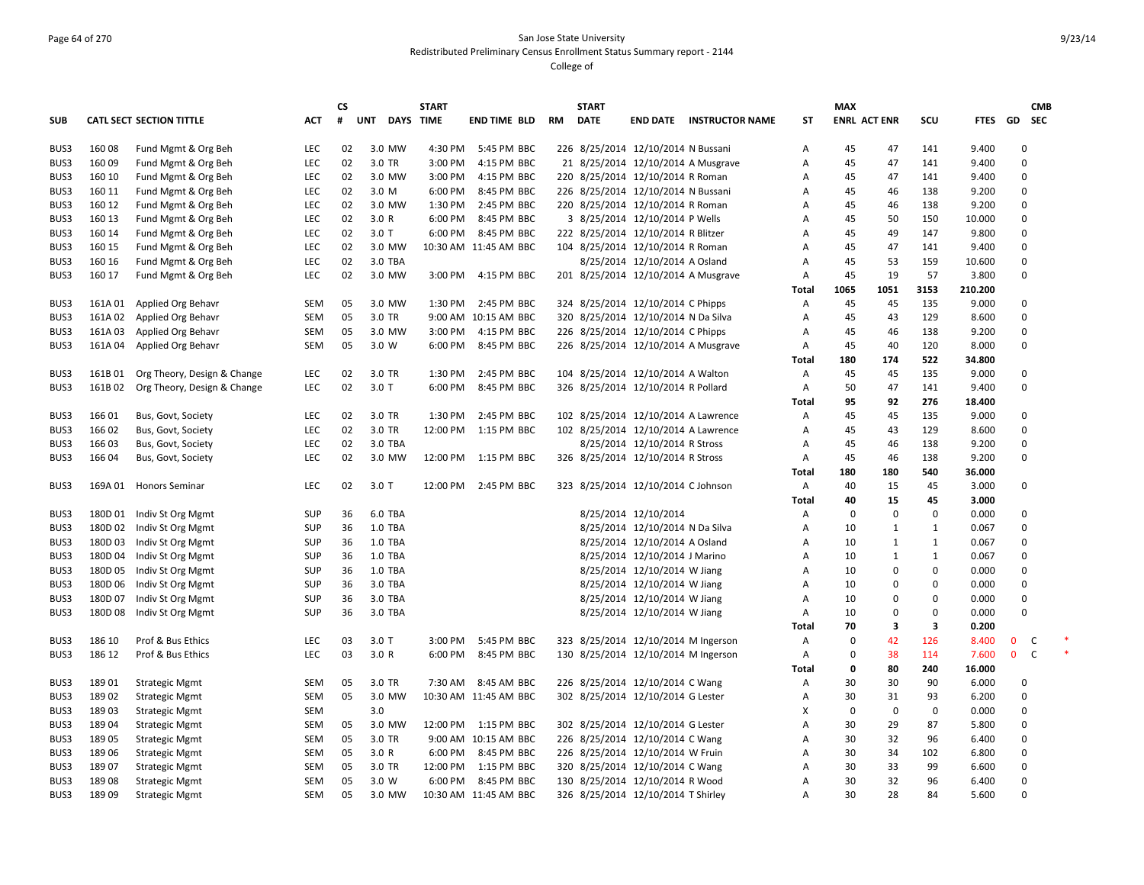# Page 64 of 270 San Jose State University Redistributed Preliminary Census Enrollment Status Summary report - 2144

|            |         |                                 |            | <b>CS</b> |            | <b>START</b>     |                       |           | <b>START</b> |                                     |                                 |              | <b>MAX</b> |                     |              |         |              | <b>CMB</b> |
|------------|---------|---------------------------------|------------|-----------|------------|------------------|-----------------------|-----------|--------------|-------------------------------------|---------------------------------|--------------|------------|---------------------|--------------|---------|--------------|------------|
| <b>SUB</b> |         | <b>CATL SECT SECTION TITTLE</b> | <b>ACT</b> | #         | <b>UNT</b> | <b>DAYS TIME</b> | <b>END TIME BLD</b>   | <b>RM</b> | <b>DATE</b>  |                                     | <b>END DATE INSTRUCTOR NAME</b> | <b>ST</b>    |            | <b>ENRL ACT ENR</b> | <b>SCU</b>   | FTES GD |              | <b>SEC</b> |
| BUS3       | 16008   | Fund Mgmt & Org Beh             | <b>LEC</b> | 02        | 3.0 MW     | 4:30 PM          | 5:45 PM BBC           |           |              | 226 8/25/2014 12/10/2014 N Bussani  |                                 | Α            | 45         | 47                  | 141          | 9.400   | $\Omega$     |            |
| BUS3       | 160 09  | Fund Mgmt & Org Beh             | <b>LEC</b> | 02        | 3.0 TR     | 3:00 PM          | 4:15 PM BBC           |           |              | 21 8/25/2014 12/10/2014 A Musgrave  |                                 | А            | 45         | 47                  | 141          | 9.400   | $\Omega$     |            |
| BUS3       | 160 10  | Fund Mgmt & Org Beh             | <b>LEC</b> | 02        | 3.0 MW     | 3:00 PM          | 4:15 PM BBC           |           |              | 220 8/25/2014 12/10/2014 R Roman    |                                 | Α            | 45         | 47                  | 141          | 9.400   | 0            |            |
| BUS3       | 160 11  | Fund Mgmt & Org Beh             | <b>LEC</b> | 02        | 3.0 M      | 6:00 PM          | 8:45 PM BBC           |           |              | 226 8/25/2014 12/10/2014 N Bussani  |                                 | Α            | 45         | 46                  | 138          | 9.200   | 0            |            |
| BUS3       | 160 12  | Fund Mgmt & Org Beh             | <b>LEC</b> | 02        | 3.0 MW     | 1:30 PM          | 2:45 PM BBC           |           |              | 220 8/25/2014 12/10/2014 R Roman    |                                 | A            | 45         | 46                  | 138          | 9.200   | 0            |            |
| BUS3       | 160 13  | Fund Mgmt & Org Beh             | LEC        | 02        | 3.0 R      | 6:00 PM          | 8:45 PM BBC           |           |              | 3 8/25/2014 12/10/2014 P Wells      |                                 | A            | 45         | 50                  | 150          | 10.000  | 0            |            |
| BUS3       | 160 14  | Fund Mgmt & Org Beh             | LEC        | 02        | $3.0$ T    | 6:00 PM          | 8:45 PM BBC           |           |              | 222 8/25/2014 12/10/2014 R Blitzer  |                                 | A            | 45         | 49                  | 147          | 9.800   | 0            |            |
| BUS3       | 160 15  | Fund Mgmt & Org Beh             | LEC        | 02        | 3.0 MW     |                  | 10:30 AM 11:45 AM BBC |           |              | 104 8/25/2014 12/10/2014 R Roman    |                                 | A            | 45         | 47                  | 141          | 9.400   | 0            |            |
| BUS3       | 160 16  | Fund Mgmt & Org Beh             | <b>LEC</b> | 02        | 3.0 TBA    |                  |                       |           |              | 8/25/2014 12/10/2014 A Osland       |                                 | A            | 45         | 53                  | 159          | 10.600  | 0            |            |
| BUS3       | 160 17  | Fund Mgmt & Org Beh             | <b>LEC</b> | 02        | 3.0 MW     | 3:00 PM          | 4:15 PM BBC           |           |              | 201 8/25/2014 12/10/2014 A Musgrave |                                 | Α            | 45         | 19                  | 57           | 3.800   | 0            |            |
|            |         |                                 |            |           |            |                  |                       |           |              |                                     |                                 | Total        | 1065       | 1051                | 3153         | 210.200 |              |            |
| BUS3       | 161A 01 | Applied Org Behavr              | SEM        | 05        | 3.0 MW     | 1:30 PM          | 2:45 PM BBC           |           |              | 324 8/25/2014 12/10/2014 C Phipps   |                                 | Α            | 45         | 45                  | 135          | 9.000   | 0            |            |
| BUS3       | 161A 02 | Applied Org Behavr              | SEM        | 05        | 3.0 TR     |                  | 9:00 AM 10:15 AM BBC  |           |              | 320 8/25/2014 12/10/2014 N Da Silva |                                 | Α            | 45         | 43                  | 129          | 8.600   | 0            |            |
| BUS3       | 161A03  | Applied Org Behavr              | SEM        | 05        | 3.0 MW     | 3:00 PM          | 4:15 PM BBC           |           |              | 226 8/25/2014 12/10/2014 C Phipps   |                                 | A            | 45         | 46                  | 138          | 9.200   | 0            |            |
| BUS3       | 161A 04 | Applied Org Behavr              | SEM        | 05        | 3.0 W      | 6:00 PM          | 8:45 PM BBC           |           |              | 226 8/25/2014 12/10/2014 A Musgrave |                                 | Α            | 45         | 40                  | 120          | 8.000   | 0            |            |
|            |         |                                 |            |           |            |                  |                       |           |              |                                     |                                 | <b>Total</b> | 180        | 174                 | 522          | 34.800  |              |            |
| BUS3       | 161B01  | Org Theory, Design & Change     | <b>LEC</b> | 02        | 3.0 TR     | 1:30 PM          | 2:45 PM BBC           |           |              | 104 8/25/2014 12/10/2014 A Walton   |                                 | Α            | 45         | 45                  | 135          | 9.000   | 0            |            |
| BUS3       | 161B02  | Org Theory, Design & Change     | <b>LEC</b> | 02        | $3.0$ T    | 6:00 PM          | 8:45 PM BBC           |           |              | 326 8/25/2014 12/10/2014 R Pollard  |                                 | Α            | 50         | 47                  | 141          | 9.400   | 0            |            |
|            |         |                                 |            |           |            |                  |                       |           |              |                                     |                                 | Total        | 95         | 92                  | 276          | 18.400  |              |            |
| BUS3       | 166 01  | Bus, Govt, Society              | <b>LEC</b> | 02        | 3.0 TR     | 1:30 PM          | 2:45 PM BBC           |           |              | 102 8/25/2014 12/10/2014 A Lawrence |                                 | Α            | 45         | 45                  | 135          | 9.000   | 0            |            |
| BUS3       | 166 02  | Bus, Govt, Society              | <b>LEC</b> | 02        | 3.0 TR     | 12:00 PM         | 1:15 PM BBC           |           |              | 102 8/25/2014 12/10/2014 A Lawrence |                                 | Α            | 45         | 43                  | 129          | 8.600   | $\Omega$     |            |
| BUS3       | 16603   | Bus, Govt, Society              | LEC        | 02        | 3.0 TBA    |                  |                       |           |              | 8/25/2014 12/10/2014 R Stross       |                                 | Α            | 45         | 46                  | 138          | 9.200   | 0            |            |
| BUS3       | 16604   | Bus, Govt, Society              | LEC        | 02        | 3.0 MW     | 12:00 PM         | 1:15 PM BBC           |           |              | 326 8/25/2014 12/10/2014 R Stross   |                                 | Α            | 45         | 46                  | 138          | 9.200   | 0            |            |
|            |         |                                 |            |           |            |                  |                       |           |              |                                     |                                 | Total        | 180        | 180                 | 540          | 36.000  |              |            |
| BUS3       |         | 169A 01 Honors Seminar          | <b>LEC</b> | 02        | $3.0$ T    | 12:00 PM         | 2:45 PM BBC           |           |              | 323 8/25/2014 12/10/2014 C Johnson  |                                 | Α            | 40         | 15                  | 45           | 3.000   | 0            |            |
|            |         |                                 |            |           |            |                  |                       |           |              |                                     |                                 | <b>Total</b> | 40         | 15                  | 45           | 3.000   |              |            |
| BUS3       | 180D 01 | Indiv St Org Mgmt               | SUP        | 36        | 6.0 TBA    |                  |                       |           |              | 8/25/2014 12/10/2014                |                                 | Α            | $\Omega$   | $\Omega$            | 0            | 0.000   | 0            |            |
| BUS3       |         | 180D 02 Indiv St Org Mgmt       | SUP        | 36        | 1.0 TBA    |                  |                       |           |              | 8/25/2014 12/10/2014 N Da Silva     |                                 | Α            | 10         | $\mathbf{1}$        | $\mathbf{1}$ | 0.067   | 0            |            |
| BUS3       | 180D03  | Indiv St Org Mgmt               | SUP        | 36        | 1.0 TBA    |                  |                       |           |              | 8/25/2014 12/10/2014 A Osland       |                                 | Α            | 10         | 1                   | $\mathbf{1}$ | 0.067   | 0            |            |
| BUS3       | 180D 04 | Indiv St Org Mgmt               | SUP        | 36        | 1.0 TBA    |                  |                       |           |              | 8/25/2014 12/10/2014 J Marino       |                                 | Α            | 10         | 1                   | $\mathbf{1}$ | 0.067   | 0            |            |
| BUS3       | 180D 05 | Indiv St Org Mgmt               | SUP        | 36        | 1.0 TBA    |                  |                       |           |              | 8/25/2014 12/10/2014 W Jiang        |                                 | Α            | 10         | $\mathbf 0$         | $\mathbf 0$  | 0.000   | 0            |            |
| BUS3       | 180D 06 | Indiv St Org Mgmt               | SUP        | 36        | 3.0 TBA    |                  |                       |           |              | 8/25/2014 12/10/2014 W Jiang        |                                 | Α            | 10         | $\Omega$            | 0            | 0.000   | 0            |            |
| BUS3       | 180D 07 | Indiv St Org Mgmt               | SUP        | 36        | 3.0 TBA    |                  |                       |           |              | 8/25/2014 12/10/2014 W Jiang        |                                 | Α            | 10         | $\Omega$            | $\mathbf 0$  | 0.000   | 0            |            |
| BUS3       | 180D 08 | Indiv St Org Mgmt               | SUP        | 36        | 3.0 TBA    |                  |                       |           |              | 8/25/2014 12/10/2014 W Jiang        |                                 | Α            | 10         | $\Omega$            | $\mathbf 0$  | 0.000   | $\Omega$     |            |
|            |         |                                 |            |           |            |                  |                       |           |              |                                     |                                 | Total        | 70         | 3                   | 3            | 0.200   |              |            |
| BUS3       | 186 10  | Prof & Bus Ethics               | <b>LEC</b> | 03        | $3.0$ T    | 3:00 PM          | 5:45 PM BBC           |           |              | 323 8/25/2014 12/10/2014 M Ingerson |                                 | Α            | $\Omega$   | 42                  | 126          | 8.400   | $\mathbf{0}$ | C          |
| BUS3       | 186 12  | Prof & Bus Ethics               | <b>LEC</b> | 03        | 3.0 R      | 6:00 PM          | 8:45 PM BBC           |           |              | 130 8/25/2014 12/10/2014 M Ingerson |                                 | Α            | $\Omega$   | 38                  | 114          | 7.600   | $\mathbf{0}$ | C          |
|            |         |                                 |            |           |            |                  |                       |           |              |                                     |                                 | Total        | 0          | 80                  | 240          | 16.000  |              |            |
| BUS3       | 18901   | <b>Strategic Mgmt</b>           | <b>SEM</b> | 05        | 3.0 TR     | 7:30 AM          | 8:45 AM BBC           |           |              | 226 8/25/2014 12/10/2014 C Wang     |                                 | Α            | 30         | 30                  | 90           | 6.000   | $\Omega$     |            |
| BUS3       | 18902   | <b>Strategic Mgmt</b>           | <b>SEM</b> | 05        | 3.0 MW     |                  | 10:30 AM 11:45 AM BBC |           |              | 302 8/25/2014 12/10/2014 G Lester   |                                 | Α            | 30         | 31                  | 93           | 6.200   | $\Omega$     |            |
| BUS3       | 189 03  | <b>Strategic Mgmt</b>           | <b>SEM</b> |           | 3.0        |                  |                       |           |              |                                     |                                 | х            | $\Omega$   | $\Omega$            | $\mathbf 0$  | 0.000   | $\Omega$     |            |
| BUS3       | 18904   | <b>Strategic Mgmt</b>           | <b>SEM</b> | 05        | 3.0 MW     |                  | 12:00 PM 1:15 PM BBC  |           |              | 302 8/25/2014 12/10/2014 G Lester   |                                 | Α            | 30         | 29                  | 87           | 5.800   | $\Omega$     |            |
| BUS3       | 189 05  | <b>Strategic Mgmt</b>           | <b>SEM</b> | 05        | 3.0 TR     |                  | 9:00 AM 10:15 AM BBC  |           |              | 226 8/25/2014 12/10/2014 C Wang     |                                 | А            | 30         | 32                  | 96           | 6.400   | $\Omega$     |            |
| BUS3       | 189 06  | <b>Strategic Mgmt</b>           | SEM        | 05        | 3.0 R      | 6:00 PM          | 8:45 PM BBC           |           |              | 226 8/25/2014 12/10/2014 W Fruin    |                                 | Α            | 30         | 34                  | 102          | 6.800   | 0            |            |
| BUS3       | 189 07  | <b>Strategic Mgmt</b>           | SEM        | 05        | 3.0 TR     | 12:00 PM         | 1:15 PM BBC           |           |              | 320 8/25/2014 12/10/2014 C Wang     |                                 | А            | 30         | 33                  | 99           | 6.600   | 0            |            |
| BUS3       | 18908   | <b>Strategic Mgmt</b>           | SEM        | 05        | 3.0 W      | 6:00 PM          | 8:45 PM BBC           |           |              | 130 8/25/2014 12/10/2014 R Wood     |                                 | A            | 30         | 32                  | 96           | 6.400   | 0            |            |
| BUS3       | 189 09  | <b>Strategic Mgmt</b>           | <b>SEM</b> | 05        | 3.0 MW     |                  | 10:30 AM 11:45 AM BBC |           |              | 326 8/25/2014 12/10/2014 T Shirley  |                                 | Α            | 30         | 28                  | 84           | 5.600   | $\Omega$     |            |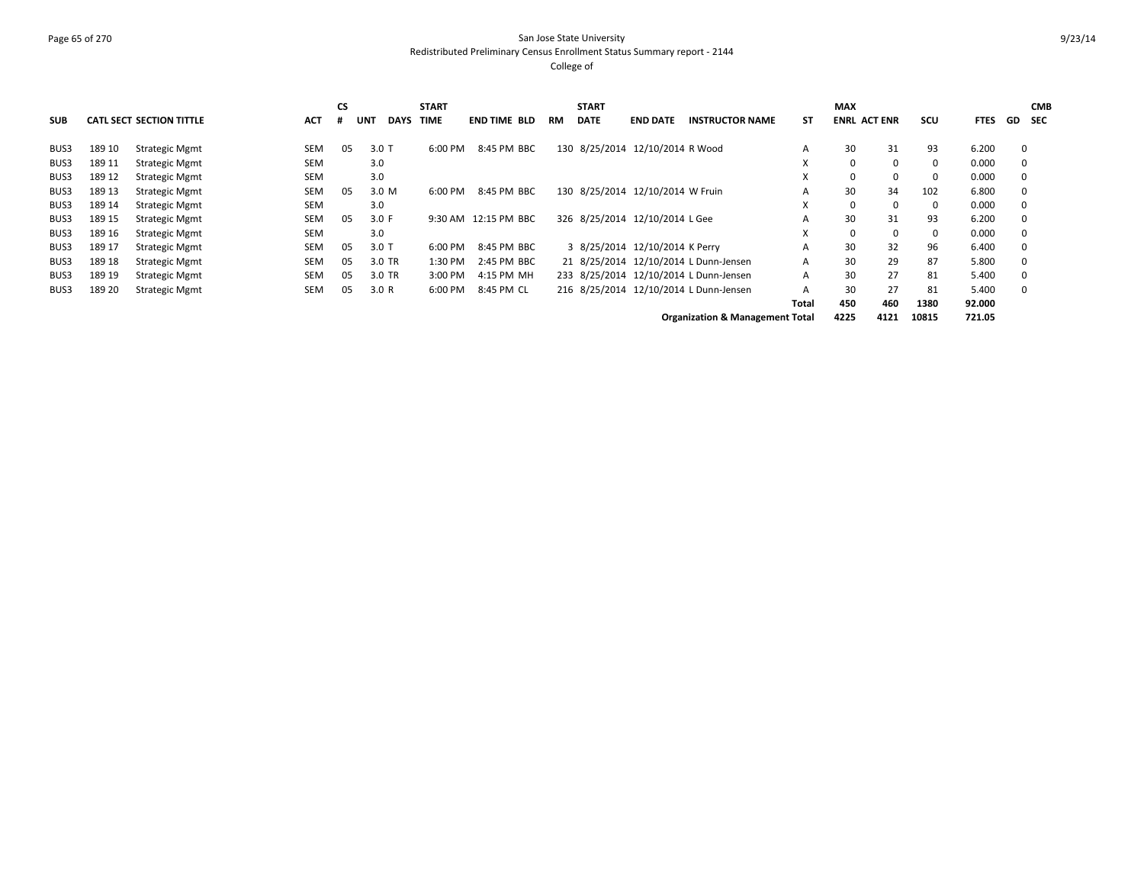# Page 65 of 270 San Jose State University Redistributed Preliminary Census Enrollment Status Summary report - 2144

College of

|            |        |                                 |            | <b>CS</b> |                    | <b>START</b> |                      |           | <b>START</b> |                                        |                        |       | <b>MAX</b>          |     |          |             |          | <b>CMB</b> |
|------------|--------|---------------------------------|------------|-----------|--------------------|--------------|----------------------|-----------|--------------|----------------------------------------|------------------------|-------|---------------------|-----|----------|-------------|----------|------------|
| <b>SUB</b> |        | <b>CATL SECT SECTION TITTLE</b> | <b>ACT</b> |           | <b>DAYS</b><br>UNT | <b>TIME</b>  | <b>END TIME BLD</b>  | <b>RM</b> | <b>DATE</b>  | <b>END DATE</b>                        | <b>INSTRUCTOR NAME</b> | SΤ    | <b>ENRL ACT ENR</b> |     | scu      | <b>FTES</b> | GD SEC   |            |
| BUS3       | 189 10 | <b>Strategic Mgmt</b>           | <b>SEM</b> | 05        | $3.0$ T            | 6:00 PM      | 8:45 PM BBC          |           |              | 130 8/25/2014 12/10/2014 R Wood        |                        | A     | 30                  | 31  | 93       | 6.200       | $\Omega$ |            |
| BUS3       | 189 11 | Strategic Mgmt                  | <b>SEM</b> |           | 3.0                |              |                      |           |              |                                        |                        | x     | $\Omega$            | 0   | $\Omega$ | 0.000       | $\Omega$ |            |
| BUS3       | 189 12 | <b>Strategic Mgmt</b>           | <b>SEM</b> |           | 3.0                |              |                      |           |              |                                        |                        | X     |                     | 0   |          | 0.000       |          |            |
| BUS3       | 189 13 | <b>Strategic Mgmt</b>           | <b>SEM</b> | 05        | 3.0 M              | 6:00 PM      | 8:45 PM BBC          |           |              | 130 8/25/2014 12/10/2014 W Fruin       |                        | A     | 30                  | 34  | 102      | 6.800       | $\Omega$ |            |
| BUS3       | 189 14 | <b>Strategic Mgmt</b>           | <b>SEM</b> |           | 3.0                |              |                      |           |              |                                        |                        | X     | $\Omega$            | 0   | $\Omega$ | 0.000       | $\Omega$ |            |
| BUS3       | 189 15 | Strategic Mgmt                  | <b>SEM</b> | 05        | 3.0 F              |              | 9:30 AM 12:15 PM BBC |           |              | 326 8/25/2014 12/10/2014 L Gee         |                        | A     | 30                  | 31  | 93       | 6.200       | $\Omega$ |            |
| BUS3       | 189 16 | Strategic Mgmt                  | <b>SEM</b> |           | 3.0                |              |                      |           |              |                                        |                        | X     | $\Omega$            | 0   | 0        | 0.000       | $\Omega$ |            |
| BUS3       | 189 17 | <b>Strategic Mgmt</b>           | <b>SEM</b> | 05        | $3.0$ T            | 6:00 PM      | 8:45 PM BBC          |           |              | 3 8/25/2014 12/10/2014 K Perry         |                        | A     | 30                  | 32  | 96       | 6.400       | $\Omega$ |            |
| BUS3       | 189 18 | Strategic Mgmt                  | <b>SEM</b> | 05        | 3.0 TR             | 1:30 PM      | 2:45 PM BBC          |           |              | 21 8/25/2014 12/10/2014 L Dunn-Jensen  |                        | A     | 30                  | 29  | 87       | 5.800       | $\Omega$ |            |
| BUS3       | 189 19 | <b>Strategic Mgmt</b>           | SEM        | 05        | 3.0 TR             | 3:00 PM      | 4:15 PM MH           |           |              | 233 8/25/2014 12/10/2014 L Dunn-Jensen |                        | A     | 30                  | 27  | 81       | 5.400       | 0        |            |
| BUS3       | 189 20 | <b>Strategic Mgmt</b>           | <b>SEM</b> | 05        | 3.0 R              | 6:00 PM      | 8:45 PM CL           |           |              | 216 8/25/2014 12/10/2014 L Dunn-Jensen |                        | A     | 30                  | 27  | 81       | 5.400       | $\Omega$ |            |
|            |        |                                 |            |           |                    |              |                      |           |              |                                        |                        | Total | 450                 | 460 | 1380     | 92.000      |          |            |
|            |        |                                 |            |           |                    |              |                      |           |              |                                        |                        |       |                     |     |          |             |          |            |

**Organization & Management Total 4225 4121 10815 721.05**